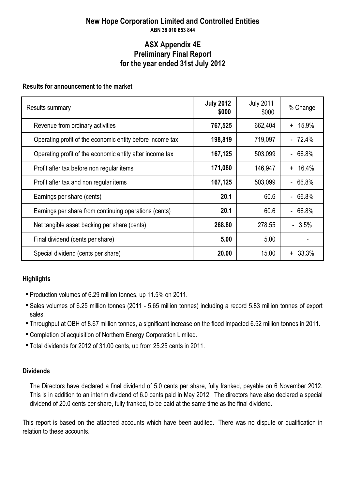### **New Hope Corporation Limited and Controlled Entities ABN 38 010 653 844**

### **ASX Appendix 4E for the year ended 31st July 2012 Preliminary Final Report**

### **Results for announcement to the market**

| Results summary                                           | <b>July 2012</b><br>\$000 | <b>July 2011</b><br>\$000 | % Change     |
|-----------------------------------------------------------|---------------------------|---------------------------|--------------|
| Revenue from ordinary activities                          | 767,525                   | 662,404                   | 15.9%<br>$+$ |
| Operating profit of the economic entity before income tax | 198,819                   | 719,097                   | $-72.4%$     |
| Operating profit of the economic entity after income tax  | 167,125                   | 503,099                   | $-66.8%$     |
| Profit after tax before non regular items                 | 171,080                   | 146,947                   | 16.4%<br>$+$ |
| Profit after tax and non regular items                    | 167,125                   | 503,099                   | 66.8%        |
| Earnings per share (cents)                                | 20.1                      | 60.6                      | $-66.8%$     |
| Earnings per share from continuing operations (cents)     | 20.1                      | 60.6                      | $-66.8%$     |
| Net tangible asset backing per share (cents)              | 268.80                    | 278.55                    | $-3.5%$      |
| Final dividend (cents per share)                          | 5.00                      | 5.00                      |              |
| Special dividend (cents per share)                        | 20.00                     | 15.00                     | $+33.3%$     |

### **Highlights**

- Production volumes of 6.29 million tonnes, up 11.5% on 2011.
- Sales volumes of 6.25 million tonnes (2011 5.65 million tonnes) including a record 5.83 million tonnes of export sales.
- Throughput at QBH of 8.67 million tonnes, a significant increase on the flood impacted 6.52 million tonnes in 2011.
- Completion of acquisition of Northern Energy Corporation Limited.
- Total dividends for 2012 of 31.00 cents, up from 25.25 cents in 2011.

### **Dividends**

The Directors have declared a final dividend of 5.0 cents per share, fully franked, payable on 6 November 2012. This is in addition to an interim dividend of 6.0 cents paid in May 2012. The directors have also declared a special dividend of 20.0 cents per share, fully franked, to be paid at the same time as the final dividend.

This report is based on the attached accounts which have been audited. There was no dispute or qualification in relation to these accounts.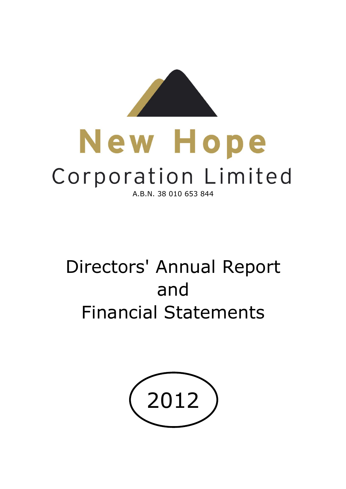

# New Hope Corporation Limited A.B.N. 38 010 653 844

# Directors' Annual Report and Financial Statements

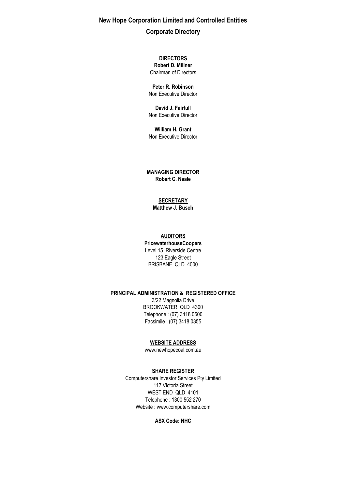**New Hope Corporation Limited and Controlled Entities Corporate Directory**

> Chairman of Directors **DIRECTORS Robert D. Millner**

**Peter R. Robinson** Non Executive Director

**David J. Fairfull** Non Executive Director

Non Executive Director **William H. Grant**

**MANAGING DIRECTOR Robert C. Neale**

#### **SECRETARY**

**Matthew J. Busch**

#### **AUDITORS**

**PricewaterhouseCoopers** Level 15, Riverside Centre 123 Eagle Street BRISBANE QLD 4000

#### **PRINCIPAL ADMINISTRATION & REGISTERED OFFICE**

Facsimile : (07) 3418 0355 3/22 Magnolia Drive BROOKWATER QLD 4300 Telephone : (07) 3418 0500

#### **WEBSITE ADDRESS**

www.newhopecoal.com.au

#### **SHARE REGISTER**

WEST END QLD 4101 Telephone : 1300 552 270 Website : www.computershare.com Computershare Investor Services Pty Limited 117 Victoria Street

#### **ASX Code: NHC**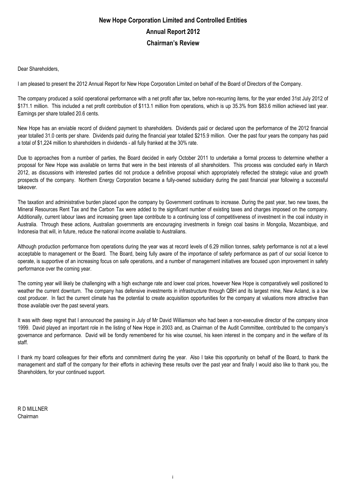# **New Hope Corporation Limited and Controlled Entities Chairman's Review Annual Report 2012**

Dear Shareholders,

I am pleased to present the 2012 Annual Report for New Hope Corporation Limited on behalf of the Board of Directors of the Company.

The company produced a solid operational performance with a net profit after tax, before non-recurring items, for the year ended 31st July 2012 of \$171.1 million. This included a net profit contribution of \$113.1 million from operations, which is up 35.3% from \$83.6 million achieved last year. Earnings per share totalled 20.6 cents.

New Hope has an enviable record of dividend payment to shareholders. Dividends paid or declared upon the performance of the 2012 financial year totalled 31.0 cents per share. Dividends paid during the financial year totalled \$215.9 million. Over the past four years the company has paid a total of \$1,224 million to shareholders in dividends - all fully franked at the 30% rate.

Due to approaches from a number of parties, the Board decided in early October 2011 to undertake a formal process to determine whether a proposal for New Hope was available on terms that were in the best interests of all shareholders. This process was concluded early in March 2012, as discussions with interested parties did not produce a definitive proposal which appropriately reflected the strategic value and growth prospects of the company. Northern Energy Corporation became a fully-owned subsidiary during the past financial year following a successful takeover.

The taxation and administrative burden placed upon the company by Government continues to increase. During the past year, two new taxes, the Mineral Resources Rent Tax and the Carbon Tax were added to the significant number of existing taxes and charges imposed on the company. Additionally, current labour laws and increasing green tape contribute to a continuing loss of competitiveness of investment in the coal industry in Australia. Through these actions, Australian governments are encouraging investments in foreign coal basins in Mongolia, Mozambique, and Indonesia that will, in future, reduce the national income available to Australians.

Although production performance from operations during the year was at record levels of 6.29 million tonnes, safety performance is not at a level acceptable to management or the Board. The Board, being fully aware of the importance of safety performance as part of our social licence to operate, is supportive of an increasing focus on safe operations, and a number of management initiatives are focused upon improvement in safety performance over the coming year.

The coming year will likely be challenging with a high exchange rate and lower coal prices, however New Hope is comparatively well positioned to weather the current downturn. The company has defensive investments in infrastructure through QBH and its largest mine, New Acland, is a low cost producer. In fact the current climate has the potential to create acquisition opportunities for the company at valuations more attractive than those available over the past several years.

It was with deep regret that I announced the passing in July of Mr David Williamson who had been a non-executive director of the company since 1999. David played an important role in the listing of New Hope in 2003 and, as Chairman of the Audit Committee, contributed to the company's governance and performance. David will be fondly remembered for his wise counsel, his keen interest in the company and in the welfare of its staff.

I thank my board colleagues for their efforts and commitment during the year. Also I take this opportunity on behalf of the Board, to thank the management and staff of the company for their efforts in achieving these results over the past year and finally I would also like to thank you, the Shareholders, for your continued support.

R D MILLNER Chairman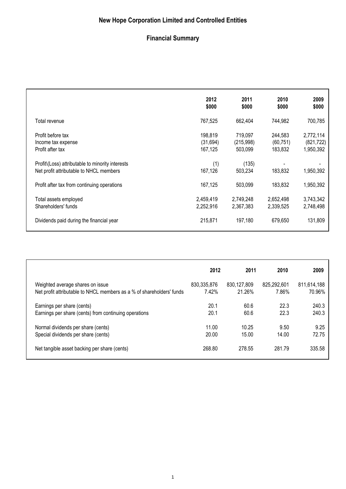# **New Hope Corporation Limited and Controlled Entities**

# **Financial Summary**

|                                                                                             | 2012<br>\$000                  | 2011<br>\$000                   | 2010<br>\$000                   | 2009<br>\$000                        |
|---------------------------------------------------------------------------------------------|--------------------------------|---------------------------------|---------------------------------|--------------------------------------|
| Total revenue                                                                               | 767,525                        | 662,404                         | 744,982                         | 700,785                              |
| Profit before tax<br>Income tax expense<br>Profit after tax                                 | 198,819<br>(31,694)<br>167,125 | 719,097<br>(215,998)<br>503,099 | 244,583<br>(60, 751)<br>183,832 | 2,772,114<br>(821, 722)<br>1,950,392 |
| Profit\(Loss) attributable to minority interests<br>Net profit attributable to NHCL members | (1)<br>167,126                 | (135)<br>503,234                | 183,832                         | 1,950,392                            |
| Profit after tax from continuing operations                                                 | 167,125                        | 503,099                         | 183,832                         | 1,950,392                            |
| Total assets employed<br>Shareholders' funds                                                | 2,459,419<br>2,252,916         | 2,749,248<br>2,367,383          | 2,652,498<br>2,339,525          | 3,743,342<br>2,748,498               |
| Dividends paid during the financial year                                                    | 215,871                        | 197,180                         | 679,650                         | 131,809                              |

|                                                                       | 2012          | 2011        | 2010        | 2009        |
|-----------------------------------------------------------------------|---------------|-------------|-------------|-------------|
| Weighted average shares on issue                                      | 830, 335, 876 | 830,127,809 | 825,292,601 | 811,614,188 |
| Net profit attributable to NHCL members as a % of shareholders' funds | 7.42%         | 21.26%      | 7.86%       | 70.96%      |
| Earnings per share (cents)                                            | 20.1          | 60.6        | 22.3        | 240.3       |
| Earnings per share (cents) from continuing operations                 | 20.1          | 60.6        | 22.3        | 240.3       |
| Normal dividends per share (cents)                                    | 11.00         | 10.25       | 9.50        | 9.25        |
| Special dividends per share (cents)                                   | 20.00         | 15.00       | 14.00       | 72.75       |
| Net tangible asset backing per share (cents)                          | 268.80        | 278.55      | 281.79      | 335.58      |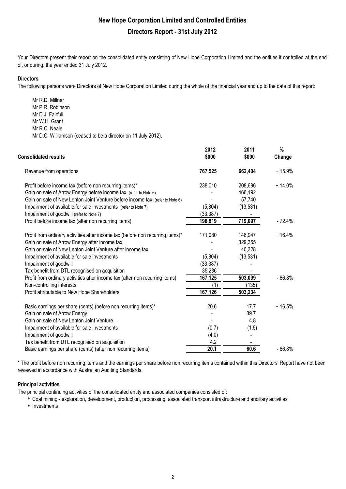Your Directors present their report on the consolidated entity consisting of New Hope Corporation Limited and the entities it controlled at the end of, or during, the year ended 31 July 2012.

#### **Directors**

The following persons were Directors of New Hope Corporation Limited during the whole of the financial year and up to the date of this report:

Mr R.D. Millner Mr P.R. Robinson Mr D.J. Fairfull Mr W.H. Grant Mr R.C. Neale Mr D.C. Williamson (ceased to be a director on 11 July 2012).

| <b>Consolidated results</b>                                                                                                                                                                                                                  | 2012<br>\$000        | 2011<br>\$000                             | %<br>Change |
|----------------------------------------------------------------------------------------------------------------------------------------------------------------------------------------------------------------------------------------------|----------------------|-------------------------------------------|-------------|
| Revenue from operations                                                                                                                                                                                                                      | 767,525              | 662,404                                   | $+15.9%$    |
| Profit before income tax (before non recurring items)*<br>Gain on sale of Arrow Energy before income tax (refer to Note 6)                                                                                                                   | 238,010              | 208,696<br>466,192                        | $+14.0%$    |
| Gain on sale of New Lenton Joint Venture before income tax (refer to Note 6)<br>Impairment of available for sale investments (refer to Note 7)<br>Impairment of goodwill (refer to Note 7)                                                   | (5,804)<br>(33, 387) | 57,740<br>(13, 531)                       |             |
| Profit before income tax (after non recurring items)                                                                                                                                                                                         | 198,819              | 719,097                                   | $-72.4%$    |
| Profit from ordinary activities after income tax (before non recurring items)*<br>Gain on sale of Arrow Energy after income tax<br>Gain on sale of New Lenton Joint Venture after income tax<br>Impairment of available for sale investments | 171,080<br>(5,804)   | 146,947<br>329,355<br>40,328<br>(13, 531) | $+16.4%$    |
| Impairment of goodwill<br>Tax benefit from DTL recognised on acquisition                                                                                                                                                                     | (33, 387)<br>35,236  |                                           |             |
| Profit from ordinary activities after income tax (after non recurring items)<br>Non-controlling interests<br>Profit attributable to New Hope Shareholders                                                                                    | 167,125<br>167,126   | 503,099<br>(135)<br>503,234               | $-66.8%$    |
| Basic earnings per share (cents) (before non recurring items)*<br>Gain on sale of Arrow Energy<br>Gain on sale of New Lenton Joint Venture<br>Impairment of available for sale investments                                                   | 20.6<br>(0.7)        | 17.7<br>39.7<br>4.8<br>(1.6)              | $+16.5%$    |
| Impairment of goodwill<br>Tax benefit from DTL recognised on acquisition                                                                                                                                                                     | (4.0)<br>4.2<br>20.1 | 60.6                                      | $-66.8%$    |
| Basic earnings per share (cents) (after non recurring items)                                                                                                                                                                                 |                      |                                           |             |

\* The profit before non recurring items and the earnings per share before non recurring items contained within this Directors' Report have not been reviewed in accordance with Australian Auditing Standards.

#### **Principal activities**

The principal continuing activities of the consolidated entity and associated companies consisted of:

• Coal mining - exploration, development, production, processing, associated transport infrastructure and ancillary activities

• Investments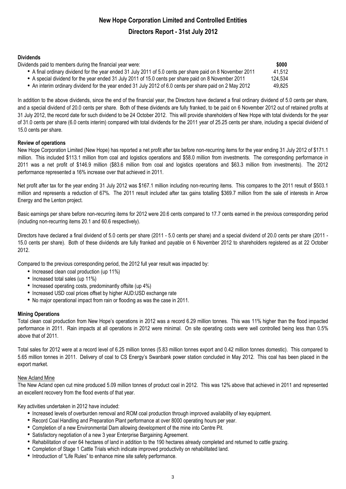#### **Dividends**

| Dividends paid to members during the financial year were:                                                  | \$000   |
|------------------------------------------------------------------------------------------------------------|---------|
| • A final ordinary dividend for the year ended 31 July 2011 of 5.0 cents per share paid on 8 November 2011 | 41,512  |
| • A special dividend for the year ended 31 July 2011 of 15.0 cents per share paid on 8 November 2011       | 124,534 |
| • An interim ordinary dividend for the year ended 31 July 2012 of 6.0 cents per share paid on 2 May 2012   | 49.825  |

In addition to the above dividends, since the end of the financial year, the Directors have declared a final ordinary dividend of 5.0 cents per share, and a special dividend of 20.0 cents per share. Both of these dividends are fully franked, to be paid on 6 November 2012 out of retained profits at 31 July 2012, the record date for such dividend to be 24 October 2012. This will provide shareholders of New Hope with total dividends for the year of 31.0 cents per share (6.0 cents interim) compared with total dividends for the 2011 year of 25.25 cents per share, including a special dividend of 15.0 cents per share.

#### **Review of operations**

New Hope Corporation Limited (New Hope) has reported a net profit after tax before non-recurring items for the year ending 31 July 2012 of \$171.1 million. This included \$113.1 million from coal and logistics operations and \$58.0 million from investments. The corresponding performance in 2011 was a net profit of \$146.9 million (\$83.6 million from coal and logistics operations and \$63.3 million from investments). The 2012 performance represented a 16% increase over that achieved in 2011.

Net profit after tax for the year ending 31 July 2012 was \$167.1 million including non-recurring items. This compares to the 2011 result of \$503.1 million and represents a reduction of 67%. The 2011 result included after tax gains totalling \$369.7 million from the sale of interests in Arrow Energy and the Lenton project.

Basic earnings per share before non-recurring items for 2012 were 20.6 cents compared to 17.7 cents earned in the previous corresponding period (including non-recurring items 20.1 and 60.6 respectively).

Directors have declared a final dividend of 5.0 cents per share (2011 - 5.0 cents per share) and a special dividend of 20.0 cents per share (2011 - 15.0 cents per share). Both of these dividends are fully franked and payable on 6 November 2012 to shareholders registered as at 22 October 2012.

Compared to the previous corresponding period, the 2012 full year result was impacted by:

- Increased clean coal production (up 11%)
- Increased total sales (up 11%)
- Increased operating costs, predominantly offsite (up 4%)
- Increased USD coal prices offset by higher AUD:USD exchange rate
- No major operational impact from rain or flooding as was the case in 2011.

#### **Mining Operations**

Total clean coal production from New Hope's operations in 2012 was a record 6.29 million tonnes. This was 11% higher than the flood impacted performance in 2011. Rain impacts at all operations in 2012 were minimal. On site operating costs were well controlled being less than 0.5% above that of 2011.

Total sales for 2012 were at a record level of 6.25 million tonnes (5.83 million tonnes export and 0.42 million tonnes domestic). This compared to 5.65 million tonnes in 2011. Delivery of coal to CS Energy's Swanbank power station concluded in May 2012. This coal has been placed in the export market.

#### New Acland Mine

The New Acland open cut mine produced 5.09 million tonnes of product coal in 2012. This was 12% above that achieved in 2011 and represented an excellent recovery from the flood events of that year.

Key activities undertaken in 2012 have included:

- Increased levels of overburden removal and ROM coal production through improved availability of key equipment.
- Record Coal Handling and Preparation Plant performance at over 8000 operating hours per year.
- Completion of a new Environmental Dam allowing development of the mine into Centre Pit.
- Satisfactory negotiation of a new 3 year Enterprise Bargaining Agreement.
- Rehabilitation of over 64 hectares of land in addition to the 190 hectares already completed and returned to cattle grazing.
- Completion of Stage 1 Cattle Trials which indicate improved productivity on rehabilitated land.
- Introduction of "Life Rules" to enhance mine site safety performance.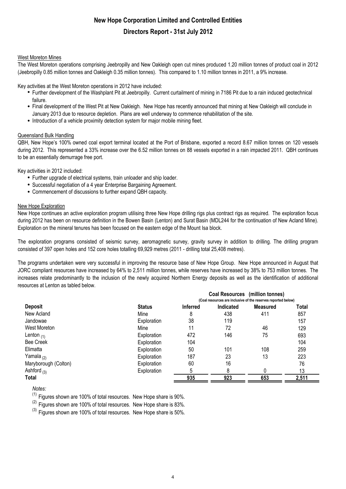#### West Moreton Mines

The West Moreton operations comprising Jeebropilly and New Oakleigh open cut mines produced 1.20 million tonnes of product coal in 2012 (Jeebropilly 0.85 million tonnes and Oakleigh 0.35 million tonnes). This compared to 1.10 million tonnes in 2011, a 9% increase.

Key activities at the West Moreton operations in 2012 have included:

- Further development of the Washplant Pit at Jeebropilly. Current curtailment of mining in 7186 Pit due to a rain induced geotechnical failure.
- Final development of the West Pit at New Oakleigh. New Hope has recently announced that mining at New Oakleigh will conclude in January 2013 due to resource depletion. Plans are well underway to commence rehabilitation of the site.
- Introduction of a vehicle proximity detection system for major mobile mining fleet.

#### **Queensland Bulk Handling**

QBH, New Hope's 100% owned coal export terminal located at the Port of Brisbane, exported a record 8.67 million tonnes on 120 vessels during 2012. This represented a 33% increase over the 6.52 million tonnes on 88 vessels exported in a rain impacted 2011. QBH continues to be an essentially demurrage free port.

Key activities in 2012 included:

- Further upgrade of electrical systems, train unloader and ship loader.
- Successful negotiation of a 4 year Enterprise Bargaining Agreement.
- Commencement of discussions to further expand QBH capacity.

#### New Hope Exploration

New Hope continues an active exploration program utilising three New Hope drilling rigs plus contract rigs as required. The exploration focus during 2012 has been on resource definition in the Bowen Basin (Lenton) and Surat Basin (MDL244 for the continuation of New Acland Mine). Exploration on the mineral tenures has been focused on the eastern edge of the Mount Isa block.

The exploration programs consisted of seismic survey, aeromagnetic survey, gravity survey in addition to drilling. The drilling program consisted of 397 open holes and 152 core holes totalling 69,929 metres (2011 - drilling total 25,408 metres).

The programs undertaken were very successful in improving the resource base of New Hope Group. New Hope announced in August that JORC compliant resources have increased by 64% to 2,511 million tonnes, while reserves have increased by 38% to 753 million tonnes. The increases relate predominantly to the inclusion of the newly acquired Northern Energy deposits as well as the identification of additional resources at Lenton as tabled below.

|                      |               |                                                               |           | Coal Resources (million tonnes) |       |
|----------------------|---------------|---------------------------------------------------------------|-----------|---------------------------------|-------|
|                      |               | (Coal resources are inclusive of the reserves reported below) |           |                                 |       |
| <b>Deposit</b>       | <b>Status</b> | <b>Inferred</b>                                               | Indicated | <b>Measured</b>                 | Total |
| New Acland           | Mine          | 8                                                             | 438       | 411                             | 857   |
| Jandowae             | Exploration   | 38                                                            | 119       |                                 | 157   |
| West Moreton         | Mine          | 11                                                            | 72        | 46                              | 129   |
| Lenton $(1)$         | Exploration   | 472                                                           | 146       | 75                              | 693   |
| <b>Bee Creek</b>     | Exploration   | 104                                                           |           |                                 | 104   |
| Elimatta             | Exploration   | 50                                                            | 101       | 108                             | 259   |
| Yamala $_{(2)}$      | Exploration   | 187                                                           | 23        | 13                              | 223   |
| Maryborough (Colton) | Exploration   | 60                                                            | 16        |                                 | 76    |
| Ashford $_{(3)}$     | Exploration   | 5                                                             |           |                                 | 13    |
| Total                |               | 935                                                           | 923       | 653                             | 2,511 |

*Notes:*

 $(1)$  Figures shown are 100% of total resources. New Hope share is 90%.

(2) Figures shown are 100% of total resources. New Hope share is 83%.

 $^{(3)}$  Figures shown are 100% of total resources. New Hope share is 50%.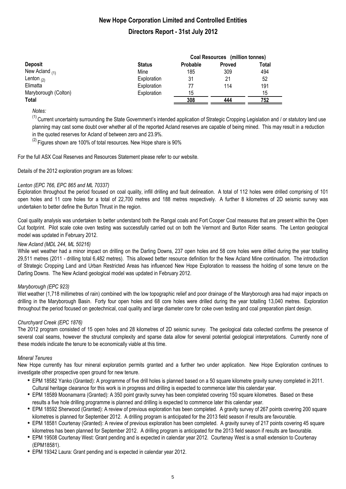|                      | Coal Resources (million tonnes) |                 |        |       |  |
|----------------------|---------------------------------|-----------------|--------|-------|--|
| <b>Deposit</b>       | <b>Status</b>                   | <b>Probable</b> | Proved | Total |  |
| New Acland $_{(1)}$  | Mine                            | 185             | 309    | 494   |  |
| Lenton $_{(2)}$      | Exploration                     | 31              | 21     | 52    |  |
| Elimatta             | Exploration                     | 77              | 114    | 191   |  |
| Maryborough (Colton) | Exploration                     | 15              |        | 15    |  |
| Total                |                                 | 308             | 444    | 752   |  |

*Notes:*

<sup>(1)</sup> Current uncertainty surrounding the State Government's intended application of Strategic Cropping Legislation and / or statutory land use planning may cast some doubt over whether all of the reported Acland reserves are capable of being mined. This may result in a reduction in the quoted reserves for Acland of between zero and 23.9%.

 $(2)$  Figures shown are 100% of total resources. New Hope share is 90%

For the full ASX Coal Reserves and Resources Statement please refer to our website.

Details of the 2012 exploration program are as follows:

#### *Lenton (EPC 766, EPC 865 and ML 70337)*

Exploration throughout the period focused on coal quality, infill drilling and fault delineation. A total of 112 holes were drilled comprising of 101 open holes and 11 core holes for a total of 22,700 metres and 188 metres respectively. A further 8 kilometres of 2D seismic survey was undertaken to better define the Burton Thrust in the region.

Coal quality analysis was undertaken to better understand both the Rangal coals and Fort Cooper Coal measures that are present within the Open Cut footprint. Pilot scale coke oven testing was successfully carried out on both the Vermont and Burton Rider seams. The Lenton geological model was updated in February 2012.

#### *New Acland (MDL 244, ML 50216)*

While wet weather had a minor impact on drilling on the Darling Downs, 237 open holes and 58 core holes were drilled during the year totalling 29,511 metres (2011 - drilling total 6,482 metres). This allowed better resource definition for the New Acland Mine continuation. The introduction of Strategic Cropping Land and Urban Restricted Areas has influenced New Hope Exploration to reassess the holding of some tenure on the Darling Downs. The New Acland geological model was updated in February 2012.

#### *Maryborough (EPC 923)*

Wet weather (1,718 millimetres of rain) combined with the low topographic relief and poor drainage of the Maryborough area had major impacts on drilling in the Maryborough Basin. Forty four open holes and 68 core holes were drilled during the year totalling 13,040 metres. Exploration throughout the period focused on geotechnical, coal quality and large diameter core for coke oven testing and coal preparation plant design.

#### *Churchyard Creek (EPC 1876)*

The 2012 program consisted of 15 open holes and 28 kilometres of 2D seismic survey. The geological data collected confirms the presence of several coal seams, however the structural complexity and sparse data allow for several potential geological interpretations. Currently none of these models indicate the tenure to be economically viable at this time.

#### *Mineral Tenures*

New Hope currently has four mineral exploration permits granted and a further two under application. New Hope Exploration continues to investigate other prospective open ground for new tenure.

- EPM 18582 Yanko (Granted): A programme of five drill holes is planned based on a 50 square kilometre gravity survey completed in 2011. Cultural heritage clearance for this work is in progress and drilling is expected to commence later this calendar year.
- EPM 18589 Moonamarra (Granted): A 350 point gravity survey has been completed covering 150 square kilometres. Based on these results a five hole drilling programme is planned and drilling is expected to commence later this calendar year.
- EPM 18592 Sherwood (Granted): A review of previous exploration has been completed. A gravity survey of 267 points covering 200 square kilometres is planned for September 2012. A drilling program is anticipated for the 2013 field season if results are favourable.
- EPM 18581 Courtenay (Granted): A review of previous exploration has been completed. A gravity survey of 217 points covering 45 square kilometres has been planned for September 2012. A drilling program is anticipated for the 2013 field season if results are favourable.
- EPM 19508 Courtenay West: Grant pending and is expected in calendar year 2012. Courtenay West is a small extension to Courtenay (EPM18581).
- EPM 19342 Laura: Grant pending and is expected in calendar year 2012.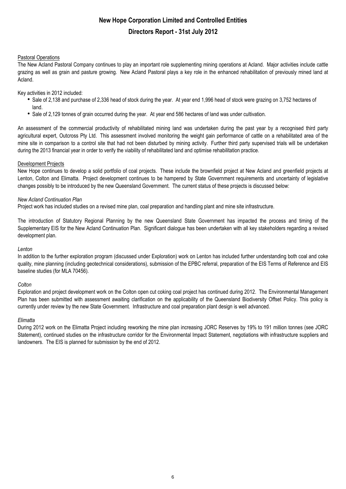#### Pastoral Operations

The New Acland Pastoral Company continues to play an important role supplementing mining operations at Acland. Major activities include cattle grazing as well as grain and pasture growing. New Acland Pastoral plays a key role in the enhanced rehabilitation of previously mined land at Acland.

#### Key activities in 2012 included:

- Sale of 2,138 and purchase of 2,336 head of stock during the year. At year end 1,996 head of stock were grazing on 3,752 hectares of land.
- Sale of 2,129 tonnes of grain occurred during the year. At year end 586 hectares of land was under cultivation.

An assessment of the commercial productivity of rehabilitated mining land was undertaken during the past year by a recognised third party agricultural expert, Outcross Pty Ltd. This assessment involved monitoring the weight gain performance of cattle on a rehabilitated area of the mine site in comparison to a control site that had not been disturbed by mining activity. Further third party supervised trials will be undertaken during the 2013 financial year in order to verify the viability of rehabilitated land and optimise rehabilitation practice.

#### Development Projects

New Hope continues to develop a solid portfolio of coal projects. These include the brownfield project at New Acland and greenfield projects at Lenton, Colton and Elimatta. Project development continues to be hampered by State Government requirements and uncertainty of legislative changes possibly to be introduced by the new Queensland Government. The current status of these projects is discussed below:

#### *New Acland Continuation Plan*

Project work has included studies on a revised mine plan, coal preparation and handling plant and mine site infrastructure.

The introduction of Statutory Regional Planning by the new Queensland State Government has impacted the process and timing of the Supplementary EIS for the New Acland Continuation Plan. Significant dialogue has been undertaken with all key stakeholders regarding a revised development plan.

#### *Lenton*

In addition to the further exploration program (discussed under Exploration) work on Lenton has included further understanding both coal and coke quality, mine planning (including geotechnical considerations), submission of the EPBC referral, preparation of the EIS Terms of Reference and EIS baseline studies (for MLA 70456).

#### *Colton*

Exploration and project development work on the Colton open cut coking coal project has continued during 2012. The Environmental Management Plan has been submitted with assessment awaiting clarification on the applicability of the Queensland Biodiversity Offset Policy. This policy is currently under review by the new State Government. Infrastructure and coal preparation plant design is well advanced.

#### *Elimatta*

During 2012 work on the Elimatta Project including reworking the mine plan increasing JORC Reserves by 19% to 191 million tonnes (see JORC Statement), continued studies on the infrastructure corridor for the Environmental Impact Statement, negotiations with infrastructure suppliers and landowners. The EIS is planned for submission by the end of 2012.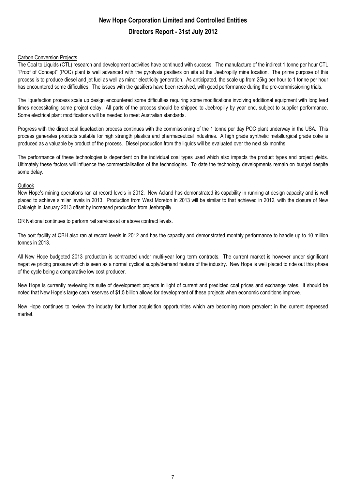#### Carbon Conversion Projects

The Coal to Liquids (CTL) research and development activities have continued with success. The manufacture of the indirect 1 tonne per hour CTL "Proof of Concept" (POC) plant is well advanced with the pyrolysis gasifiers on site at the Jeebropilly mine location. The prime purpose of this process is to produce diesel and jet fuel as well as minor electricity generation. As anticipated, the scale up from 25kg per hour to 1 tonne per hour has encountered some difficulties. The issues with the gasifiers have been resolved, with good performance during the pre-commissioning trials.

The liquefaction process scale up design encountered some difficulties requiring some modifications involving additional equipment with long lead times necessitating some project delay. All parts of the process should be shipped to Jeebropilly by year end, subject to supplier performance. Some electrical plant modifications will be needed to meet Australian standards.

Progress with the direct coal liquefaction process continues with the commissioning of the 1 tonne per day POC plant underway in the USA. This process generates products suitable for high strength plastics and pharmaceutical industries. A high grade synthetic metallurgical grade coke is produced as a valuable by product of the process. Diesel production from the liquids will be evaluated over the next six months.

The performance of these technologies is dependent on the individual coal types used which also impacts the product types and project yields. Ultimately these factors will influence the commercialisation of the technologies. To date the technology developments remain on budget despite some delay.

#### **Outlook**

New Hope's mining operations ran at record levels in 2012. New Acland has demonstrated its capability in running at design capacity and is well placed to achieve similar levels in 2013. Production from West Moreton in 2013 will be similar to that achieved in 2012, with the closure of New Oakleigh in January 2013 offset by increased production from Jeebropilly.

QR National continues to perform rail services at or above contract levels.

The port facility at QBH also ran at record levels in 2012 and has the capacity and demonstrated monthly performance to handle up to 10 million tonnes in 2013.

All New Hope budgeted 2013 production is contracted under multi-year long term contracts. The current market is however under significant negative pricing pressure which is seen as a normal cyclical supply/demand feature of the industry. New Hope is well placed to ride out this phase of the cycle being a comparative low cost producer.

New Hope is currently reviewing its suite of development projects in light of current and predicted coal prices and exchange rates. It should be noted that New Hope's large cash reserves of \$1.5 billion allows for development of these projects when economic conditions improve.

New Hope continues to review the industry for further acquisition opportunities which are becoming more prevalent in the current depressed market.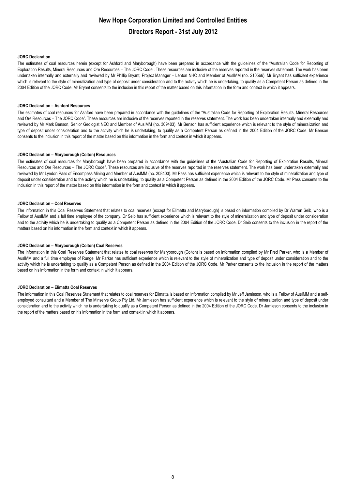#### **JORC Declaration**

The estimates of coal resources herein (except for Ashford and Maryborough) have been prepared in accordance with the guidelines of the "Australian Code for Reporting of Exploration Results, Mineral Resources and Ore Resources – The JORC Code:. These resources are inclusive of the reserves reported in the reserves statement. The work has been undertaken internally and externally and reviewed by Mr Phillip Bryant, Project Manager – Lenton NHC and Member of AusIMM (no. 210566). Mr Bryant has sufficient experience which is relevant to the style of mineralization and type of deposit under consideration and to the activity which he is undertaking, to qualify as a Competent Person as defined in the 2004 Edition of the JORC Code. Mr Bryant consents to the inclusion in this report of the matter based on this information in the form and context in which it appears.

#### **JORC Declaration – Ashford Resources**

The estimates of coal resources for Ashford have been prepared in accordance with the guidelines of the "Australian Code for Reporting of Exploration Results, Mineral Resources and Ore Resources – The JORC Code". These resources are inclusive of the reserves reported in the reserves statement. The work has been undertaken internally and externally and reviewed by Mr Mark Benson, Senior Geologist NEC and Member of AusIMM (no. 309403). Mr Benson has sufficient experience which is relevant to the style of mineralization and type of deposit under consideration and to the activity which he is undertaking, to qualify as a Competent Person as defined in the 2004 Edition of the JORC Code. Mr Benson consents to the inclusion in this report of the matter based on this information in the form and context in which it appears.

#### **JORC Declaration – Maryborough (Colton) Resources**

The estimates of coal resources for Maryborough have been prepared in accordance with the guidelines of the "Australian Code for Reporting of Exploration Results, Mineral Resources and Ore Resources – The JORC Code". These resources are inclusive of the reserves reported in the reserves statement. The work has been undertaken externally and reviewed by Mr Lyndon Pass of Encompass Mining and Member of AusIMM (no. 208403). Mr Pass has sufficient experience which is relevant to the style of mineralization and type of deposit under consideration and to the activity which he is undertaking, to qualify as a Competent Person as defined in the 2004 Edition of the JORC Code. Mr Pass consents to the inclusion in this report of the matter based on this information in the form and context in which it appears.

#### **JORC Declaration – Coal Reserves**

The information in this Coal Reserves Statement that relates to coal reserves (except for Elimatta and Maryborough) is based on information compiled by Dr Warren Seib, who is a Fellow of AusIMM and a full time employee of the company. Dr Seib has sufficient experience which is relevant to the style of mineralization and type of deposit under consideration and to the activity which he is undertaking to qualify as a Competent Person as defined in the 2004 Edition of the JORC Code. Dr Seib consents to the inclusion in the report of the matters based on his information in the form and context in which it appears.

#### **JORC Declaration – Maryborough (Colton) Coal Reserves**

The information in this Coal Reserves Statement that relates to coal reserves for Maryborough (Colton) is based on information compiled by Mr Fred Parker, who is a Member of AusIMM and a full time employee of Runge. Mr Parker has sufficient experience which is relevant to the style of mineralization and type of deposit under consideration and to the activity which he is undertaking to qualify as a Competent Person as defined in the 2004 Edition of the JORC Code. Mr Parker consents to the inclusion in the report of the matters based on his information in the form and context in which it appears.

#### **JORC Declaration – Elimatta Coal Reserves**

The information in this Coal Reserves Statement that relates to coal reserves for Elimatta is based on information compiled by Mr Jeff Jamieson, who is a Fellow of AusIMM and a selfemployed consultant and a Member of The Minserve Group Pty Ltd. Mr Jamieson has sufficient experience which is relevant to the style of mineralization and type of deposit under consideration and to the activity which he is undertaking to qualify as a Competent Person as defined in the 2004 Edition of the JORC Code. Dr Jamieson consents to the inclusion in the report of the matters based on his information in the form and context in which it appears.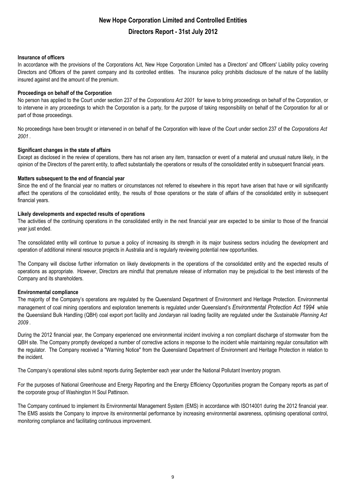#### **Insurance of officers**

In accordance with the provisions of the Corporations Act, New Hope Corporation Limited has a Directors' and Officers' Liability policy covering Directors and Officers of the parent company and its controlled entities. The insurance policy prohibits disclosure of the nature of the liability insured against and the amount of the premium.

#### **Proceedings on behalf of the Corporation**

No person has applied to the Court under section 237 of the *Corporations Act 2001* for leave to bring proceedings on behalf of the Corporation, or to intervene in any proceedings to which the Corporation is a party, for the purpose of taking responsibility on behalf of the Corporation for all or part of those proceedings.

No proceedings have been brought or intervened in on behalf of the Corporation with leave of the Court under section 237 of the *Corporations Act 2001* .

#### **Significant changes in the state of affairs**

Except as disclosed in the review of operations, there has not arisen any item, transaction or event of a material and unusual nature likely, in the opinion of the Directors of the parent entity, to affect substantially the operations or results of the consolidated entity in subsequent financial years.

#### **Matters subsequent to the end of financial year**

Since the end of the financial year no matters or circumstances not referred to elsewhere in this report have arisen that have or will significantly affect the operations of the consolidated entity, the results of those operations or the state of affairs of the consolidated entity in subsequent financial years.

#### **Likely developments and expected results of operations**

The activities of the continuing operations in the consolidated entity in the next financial year are expected to be similar to those of the financial year just ended.

The consolidated entity will continue to pursue a policy of increasing its strength in its major business sectors including the development and operation of additional mineral resource projects in Australia and is regularly reviewing potential new opportunities.

The Company will disclose further information on likely developments in the operations of the consolidated entity and the expected results of operations as appropriate. However, Directors are mindful that premature release of information may be prejudicial to the best interests of the Company and its shareholders.

#### **Environmental compliance**

The majority of the Company's operations are regulated by the Queensland Department of Environment and Heritage Protection. Environmental management of coal mining operations and exploration tenements is regulated under Queensland's *Environmental Protection Act 1994* while the Queensland Bulk Handling (QBH) coal export port facility and Jondaryan rail loading facility are regulated under the *Sustainable Planning Act 2009* .

During the 2012 financial year, the Company experienced one environmental incident involving a non compliant discharge of stormwater from the QBH site. The Company promptly developed a number of corrective actions in response to the incident while maintaining regular consultation with the regulator. The Company received a "Warning Notice" from the Queensland Department of Environment and Heritage Protection in relation to the incident.

The Company's operational sites submit reports during September each year under the National Pollutant Inventory program.

For the purposes of National Greenhouse and Energy Reporting and the Energy Efficiency Opportunities program the Company reports as part of the corporate group of Washington H Soul Pattinson.

The Company continued to implement its Environmental Management System (EMS) in accordance with ISO14001 during the 2012 financial year. The EMS assists the Company to improve its environmental performance by increasing environmental awareness, optimising operational control, monitoring compliance and facilitating continuous improvement.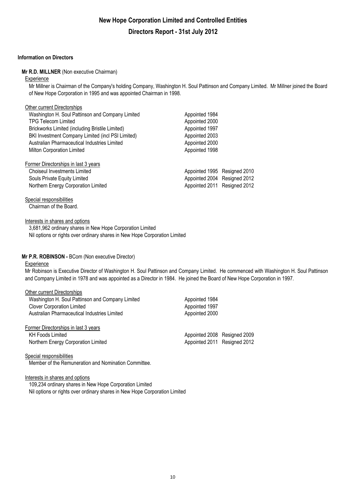#### **Information on Directors**

Other current Directorships

#### **Mr R.D. MILLNER** (Non executive Chairman)

#### **Experience**

Mr Millner is Chairman of the Company's holding Company, Washington H. Soul Pattinson and Company Limited. Mr Millner joined the Board of New Hope Corporation in 1995 and was appointed Chairman in 1998.

| Washington H. Soul Pattinson and Company Limited  | Appointed 1984               |  |
|---------------------------------------------------|------------------------------|--|
| <b>TPG Telecom Limited</b>                        | Appointed 2000               |  |
| Brickworks Limited (including Bristile Limited)   | Appointed 1997               |  |
| BKI Investment Company Limited (incl PSI Limited) | Appointed 2003               |  |
| Australian Pharmaceutical Industries Limited      | Appointed 2000               |  |
| Milton Corporation Limited                        | Appointed 1998               |  |
| Former Directorships in last 3 years              |                              |  |
| Choiseul Investments Limited                      | Appointed 1995 Resigned 2010 |  |
| Souls Private Equity Limited                      | Appointed 2004 Resigned 2012 |  |
| Northern Energy Corporation Limited               | Appointed 2011 Resigned 2012 |  |
|                                                   |                              |  |

#### Special responsibilities

Chairman of the Board.

#### Interests in shares and options

3,681,962 ordinary shares in New Hope Corporation Limited Nil options or rights over ordinary shares in New Hope Corporation Limited

#### **Mr P.R. ROBINSON -** BCom (Non executive Director)

#### **Experience**

Mr Robinson is Executive Director of Washington H. Soul Pattinson and Company Limited. He commenced with Washington H. Soul Pattinson and Company Limited in 1978 and was appointed as a Director in 1984. He joined the Board of New Hope Corporation in 1997.

| Other current Directorships                      |                              |  |
|--------------------------------------------------|------------------------------|--|
| Washington H. Soul Pattinson and Company Limited | Appointed 1984               |  |
| <b>Clover Corporation Limited</b>                | Appointed 1997               |  |
| Australian Pharmaceutical Industries Limited     | Appointed 2000               |  |
| Former Directorships in last 3 years             |                              |  |
| <b>KH Foods Limited</b>                          | Appointed 2008 Resigned 2009 |  |
| Northern Energy Corporation Limited              | Appointed 2011 Resigned 2012 |  |
|                                                  |                              |  |

#### Special responsibilities

Member of the Remuneration and Nomination Committee.

#### Interests in shares and options

109,234 ordinary shares in New Hope Corporation Limited Nil options or rights over ordinary shares in New Hope Corporation Limited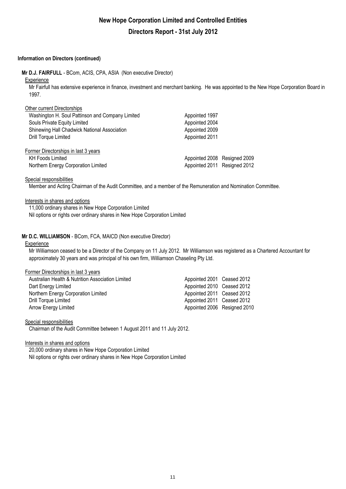#### **Information on Directors (continued)**

**Mr D.J. FAIRFULL** - BCom, ACIS, CPA, ASIA (Non executive Director)

#### **Experience**

Mr Fairfull has extensive experience in finance, investment and merchant banking. He was appointed to the New Hope Corporation Board in 1997.

| Other current Directorships                      |                              |  |
|--------------------------------------------------|------------------------------|--|
| Washington H. Soul Pattinson and Company Limited | Appointed 1997               |  |
| Souls Private Equity Limited                     | Appointed 2004               |  |
| Shinewing Hall Chadwick National Association     | Appointed 2009               |  |
| <b>Drill Torque Limited</b>                      | Appointed 2011               |  |
| Former Directorships in last 3 years             |                              |  |
| <b>KH Foods Limited</b>                          | Appointed 2008 Resigned 2009 |  |
| Northern Energy Corporation Limited              | Appointed 2011 Resigned 2012 |  |
|                                                  |                              |  |

#### Special responsibilities

Member and Acting Chairman of the Audit Committee, and a member of the Remuneration and Nomination Committee.

#### Interests in shares and options

11,000 ordinary shares in New Hope Corporation Limited Nil options or rights over ordinary shares in New Hope Corporation Limited

#### **Mr D.C. WILLIAMSON** - BCom, FCA, MAICD (Non executive Director)

#### **Experience**

Mr Williamson ceased to be a Director of the Company on 11 July 2012. Mr Williamson was registered as a Chartered Accountant for approximately 30 years and was principal of his own firm, Williamson Chaseling Pty Ltd.

#### Former Directorships in last 3 years

| Australian Health & Nutrition Association Limited | Appointed 2001 Ceased 2012   |  |
|---------------------------------------------------|------------------------------|--|
| Dart Energy Limited                               | Appointed 2010 Ceased 2012   |  |
| Northern Energy Corporation Limited               | Appointed 2011 Ceased 2012   |  |
| Drill Torque Limited                              | Appointed 2011 Ceased 2012   |  |
| Arrow Energy Limited                              | Appointed 2006 Resigned 2010 |  |

#### Special responsibilities

Chairman of the Audit Committee between 1 August 2011 and 11 July 2012.

#### Interests in shares and options

Nil options or rights over ordinary shares in New Hope Corporation Limited 20,000 ordinary shares in New Hope Corporation Limited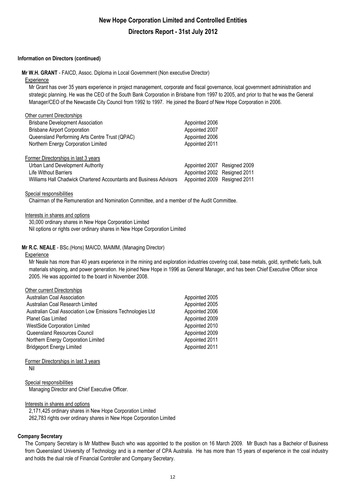#### **Information on Directors (continued)**

**Mr W.H. GRANT** - FAICD, Assoc. Diploma in Local Government (Non executive Director)

#### **Experience**

Mr Grant has over 35 years experience in project management, corporate and fiscal governance, local government administration and strategic planning. He was the CEO of the South Bank Corporation in Brisbane from 1997 to 2005, and prior to that he was the General Manager/CEO of the Newcastle City Council from 1992 to 1997. He joined the Board of New Hope Corporation in 2006.

| Other current Directorships                                        |                              |  |
|--------------------------------------------------------------------|------------------------------|--|
| <b>Brisbane Development Association</b>                            | Appointed 2006               |  |
| <b>Brisbane Airport Corporation</b>                                | Appointed 2007               |  |
| Queensland Performing Arts Centre Trust (QPAC)                     | Appointed 2006               |  |
| Northern Energy Corporation Limited                                | Appointed 2011               |  |
| Former Directorships in last 3 years                               |                              |  |
| Urban Land Development Authority                                   | Appointed 2007 Resigned 2009 |  |
| <b>Life Without Barriers</b>                                       | Appointed 2002 Resigned 2011 |  |
| Williams Hall Chadwick Chartered Accountants and Business Advisors | Appointed 2009 Resigned 2011 |  |

#### Special responsibilities

Chairman of the Remuneration and Nomination Committee, and a member of the Audit Committee.

#### Interests in shares and options

30,000 ordinary shares in New Hope Corporation Limited Nil options or rights over ordinary shares in New Hope Corporation Limited

#### **Mr R.C. NEALE** - BSc.(Hons) MAICD, MAIMM, (Managing Director)

#### **Experience**

Mr Neale has more than 40 years experience in the mining and exploration industries covering coal, base metals, gold, synthetic fuels, bulk materials shipping, and power generation. He joined New Hope in 1996 as General Manager, and has been Chief Executive Officer since 2005. He was appointed to the board in November 2008.

| Other current Directorships                                |                |
|------------------------------------------------------------|----------------|
| <b>Australian Coal Association</b>                         | Appointed 2005 |
| Australian Coal Research Limited                           | Appointed 2005 |
| Australian Coal Association Low Emissions Technologies Ltd | Appointed 2006 |
| <b>Planet Gas Limited</b>                                  | Appointed 2009 |
| <b>WestSide Corporation Limited</b>                        | Appointed 2010 |
| Queensland Resources Council                               | Appointed 2009 |
| Northern Energy Corporation Limited                        | Appointed 2011 |
| <b>Bridgeport Energy Limited</b>                           | Appointed 2011 |
|                                                            |                |

#### Former Directorships in last 3 years Nil

#### Special responsibilities

Managing Director and Chief Executive Officer.

#### Interests in shares and options

2,171,425 ordinary shares in New Hope Corporation Limited 262,783 rights over ordinary shares in New Hope Corporation Limited

#### **Company Secretary**

The Company Secretary is Mr Matthew Busch who was appointed to the position on 16 March 2009. Mr Busch has a Bachelor of Business from Queensland University of Technology and is a member of CPA Australia. He has more than 15 years of experience in the coal industry and holds the dual role of Financial Controller and Company Secretary.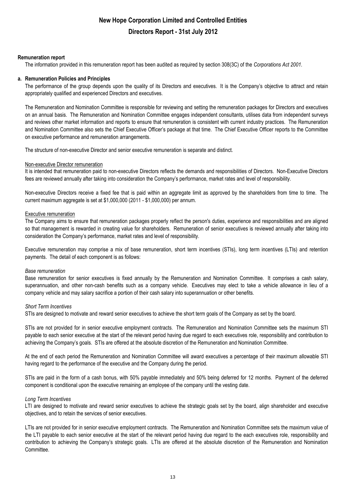#### **Remuneration report**

The information provided in this remuneration report has been audited as required by section 308(3C) of the *Corporations Act 2001.*

#### **a. Remuneration Policies and Principles**

The performance of the group depends upon the quality of its Directors and executives. It is the Company's objective to attract and retain appropriately qualified and experienced Directors and executives.

The Remuneration and Nomination Committee is responsible for reviewing and setting the remuneration packages for Directors and executives on an annual basis. The Remuneration and Nomination Committee engages independent consultants, utilises data from independent surveys and reviews other market information and reports to ensure that remuneration is consistent with current industry practices. The Remuneration and Nomination Committee also sets the Chief Executive Officer's package at that time. The Chief Executive Officer reports to the Committee on executive performance and remuneration arrangements.

The structure of non-executive Director and senior executive remuneration is separate and distinct.

#### Non-executive Director remuneration

It is intended that remuneration paid to non-executive Directors reflects the demands and responsibilities of Directors. Non-Executive Directors fees are reviewed annually after taking into consideration the Company's performance, market rates and level of responsibility.

Non-executive Directors receive a fixed fee that is paid within an aggregate limit as approved by the shareholders from time to time. The current maximum aggregate is set at \$1,000,000 (2011 - \$1,000,000) per annum.

#### Executive remuneration

The Company aims to ensure that remuneration packages properly reflect the person's duties, experience and responsibilities and are aligned so that management is rewarded in creating value for shareholders. Remuneration of senior executives is reviewed annually after taking into consideration the Company's performance, market rates and level of responsibility.

Executive remuneration may comprise a mix of base remuneration, short term incentives (STIs), long term incentives (LTIs) and retention payments. The detail of each component is as follows:

#### *Base remuneration*

Base remuneration for senior executives is fixed annually by the Remuneration and Nomination Committee. It comprises a cash salary, superannuation, and other non-cash benefits such as a company vehicle. Executives may elect to take a vehicle allowance in lieu of a company vehicle and may salary sacrifice a portion of their cash salary into superannuation or other benefits.

#### *Short Term Incentives*

STIs are designed to motivate and reward senior executives to achieve the short term goals of the Company as set by the board.

STIs are not provided for in senior executive employment contracts. The Remuneration and Nomination Committee sets the maximum STI payable to each senior executive at the start of the relevant period having due regard to each executives role, responsibility and contribution to achieving the Company's goals. STIs are offered at the absolute discretion of the Remuneration and Nomination Committee.

At the end of each period the Remuneration and Nomination Committee will award executives a percentage of their maximum allowable STI having regard to the performance of the executive and the Company during the period.

STIs are paid in the form of a cash bonus, with 50% payable immediately and 50% being deferred for 12 months. Payment of the deferred component is conditional upon the executive remaining an employee of the company until the vesting date.

#### *Long Term Incentives*

LTI are designed to motivate and reward senior executives to achieve the strategic goals set by the board, align shareholder and executive objectives, and to retain the services of senior executives.

LTIs are not provided for in senior executive employment contracts. The Remuneration and Nomination Committee sets the maximum value of the LTI payable to each senior executive at the start of the relevant period having due regard to the each executives role, responsibility and contribution to achieving the Company's strategic goals. LTIs are offered at the absolute discretion of the Remuneration and Nomination Committee.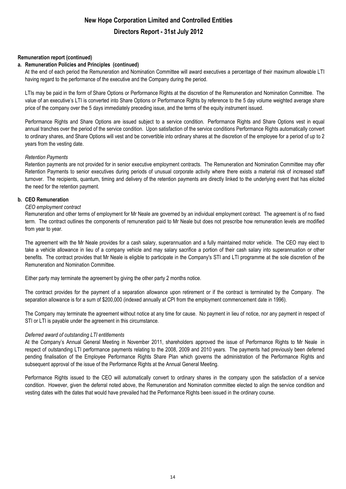#### **Remuneration report (continued)**

#### **a. Remuneration Policies and Principles (continued)**

At the end of each period the Remuneration and Nomination Committee will award executives a percentage of their maximum allowable LTI having regard to the performance of the executive and the Company during the period.

LTIs may be paid in the form of Share Options or Performance Rights at the discretion of the Remuneration and Nomination Committee. The value of an executive's LTI is converted into Share Options or Performance Rights by reference to the 5 day volume weighted average share price of the company over the 5 days immediately preceding issue, and the terms of the equity instrument issued.

Performance Rights and Share Options are issued subject to a service condition. Performance Rights and Share Options vest in equal annual tranches over the period of the service condition. Upon satisfaction of the service conditions Performance Rights automatically convert to ordinary shares, and Share Options will vest and be convertible into ordinary shares at the discretion of the employee for a period of up to 2 years from the vesting date.

#### *Retention Payments*

Retention payments are not provided for in senior executive employment contracts. The Remuneration and Nomination Committee may offer Retention Payments to senior executives during periods of unusual corporate activity where there exists a material risk of increased staff turnover. The recipients, quantum, timing and delivery of the retention payments are directly linked to the underlying event that has elicited the need for the retention payment.

#### **b. CEO Remuneration**

#### *CEO employment contract*

Remuneration and other terms of employment for Mr Neale are governed by an individual employment contract. The agreement is of no fixed term. The contract outlines the components of remuneration paid to Mr Neale but does not prescribe how remuneration levels are modified from year to year.

The agreement with the Mr Neale provides for a cash salary, superannuation and a fully maintained motor vehicle. The CEO may elect to take a vehicle allowance in lieu of a company vehicle and may salary sacrifice a portion of their cash salary into superannuation or other benefits. The contract provides that Mr Neale is eligible to participate in the Company's STI and LTI programme at the sole discretion of the Remuneration and Nomination Committee.

Either party may terminate the agreement by giving the other party 2 months notice.

The contract provides for the payment of a separation allowance upon retirement or if the contract is terminated by the Company. The separation allowance is for a sum of \$200,000 (indexed annually at CPI from the employment commencement date in 1996).

The Company may terminate the agreement without notice at any time for cause. No payment in lieu of notice, nor any payment in respect of STI or LTI is payable under the agreement in this circumstance.

#### *Deferred award of outstanding LTI entitlements*

At the Company's Annual General Meeting in November 2011, shareholders approved the issue of Performance Rights to Mr Neale in respect of outstanding LTI performance payments relating to the 2008, 2009 and 2010 years. The payments had previously been deferred pending finalisation of the Employee Performance Rights Share Plan which governs the administration of the Performance Rights and subsequent approval of the issue of the Performance Rights at the Annual General Meeting.

Performance Rights issued to the CEO will automatically convert to ordinary shares in the company upon the satisfaction of a service condition. However, given the deferral noted above, the Remuneration and Nomination committee elected to align the service condition and vesting dates with the dates that would have prevailed had the Performance Rights been issued in the ordinary course.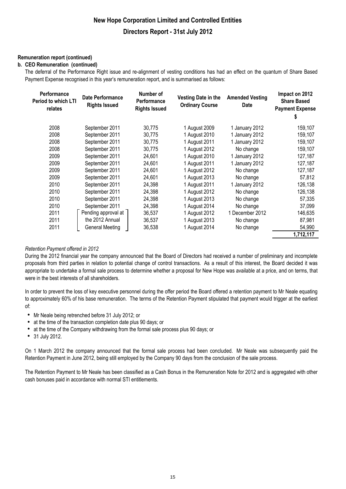#### **Remuneration report (continued)**

#### **b. CEO Remuneration (continued)**

The deferral of the Performance Right issue and re-alignment of vesting conditions has had an effect on the quantum of Share Based Payment Expense recognised in this year's remuneration report, and is summarised as follows:

| <b>Performance</b><br>Period to which LTI<br>relates | <b>Date Performance</b><br><b>Rights Issued</b> | Number of<br>Performance<br><b>Rights Issued</b> | Vesting Date in the<br><b>Ordinary Course</b> | <b>Amended Vesting</b><br><b>Date</b> | Impact on 2012<br><b>Share Based</b><br><b>Payment Expense</b> |
|------------------------------------------------------|-------------------------------------------------|--------------------------------------------------|-----------------------------------------------|---------------------------------------|----------------------------------------------------------------|
|                                                      |                                                 |                                                  |                                               |                                       | s                                                              |
| 2008                                                 | September 2011                                  | 30,775                                           | 1 August 2009                                 | 1 January 2012                        | 159,107                                                        |
| 2008                                                 | September 2011                                  | 30,775                                           | 1 August 2010                                 | 1 January 2012                        | 159,107                                                        |
| 2008                                                 | September 2011                                  | 30,775                                           | 1 August 2011                                 | 1 January 2012                        | 159,107                                                        |
| 2008                                                 | September 2011                                  | 30,775                                           | 1 August 2012                                 | No change                             | 159,107                                                        |
| 2009                                                 | September 2011                                  | 24,601                                           | 1 August 2010                                 | 1 January 2012                        | 127,187                                                        |
| 2009                                                 | September 2011                                  | 24,601                                           | 1 August 2011                                 | 1 January 2012                        | 127,187                                                        |
| 2009                                                 | September 2011                                  | 24,601                                           | 1 August 2012                                 | No change                             | 127,187                                                        |
| 2009                                                 | September 2011                                  | 24,601                                           | 1 August 2013                                 | No change                             | 57,812                                                         |
| 2010                                                 | September 2011                                  | 24,398                                           | 1 August 2011                                 | 1 January 2012                        | 126,138                                                        |
| 2010                                                 | September 2011                                  | 24,398                                           | 1 August 2012                                 | No change                             | 126,138                                                        |
| 2010                                                 | September 2011                                  | 24,398                                           | 1 August 2013                                 | No change                             | 57,335                                                         |
| 2010                                                 | September 2011                                  | 24,398                                           | 1 August 2014                                 | No change                             | 37,099                                                         |
| 2011                                                 | Pending approval at                             | 36,537                                           | 1 August 2012                                 | 1 December 2012                       | 146,635                                                        |
| 2011                                                 | the 2012 Annual                                 | 36,537                                           | 1 August 2013                                 | No change                             | 87,981                                                         |
| 2011                                                 | <b>General Meeting</b>                          | 36,538                                           | 1 August 2014                                 | No change                             | 54,990                                                         |
|                                                      |                                                 |                                                  |                                               |                                       | 1,712,117                                                      |

#### *Retention Payment offered in 2012*

During the 2012 financial year the company announced that the Board of Directors had received a number of preliminary and incomplete proposals from third parties in relation to potential change of control transactions. As a result of this interest, the Board decided it was appropriate to undertake a formal sale process to determine whether a proposal for New Hope was available at a price, and on terms, that were in the best interests of all shareholders.

In order to prevent the loss of key executive personnel during the offer period the Board offered a retention payment to Mr Neale equating to approximately 60% of his base remuneration. The terms of the Retention Payment stipulated that payment would trigger at the earliest of:

- Mr Neale being retrenched before 31 July 2012; or
- at the time of the transaction completion date plus 90 days; or
- at the time of the Company withdrawing from the formal sale process plus 90 days; or
- 31 July 2012.

On 1 March 2012 the company announced that the formal sale process had been concluded. Mr Neale was subsequently paid the Retention Payment in June 2012, being still employed by the Company 90 days from the conclusion of the sale process.

The Retention Payment to Mr Neale has been classified as a Cash Bonus in the Remuneration Note for 2012 and is aggregated with other cash bonuses paid in accordance with normal STI entitlements.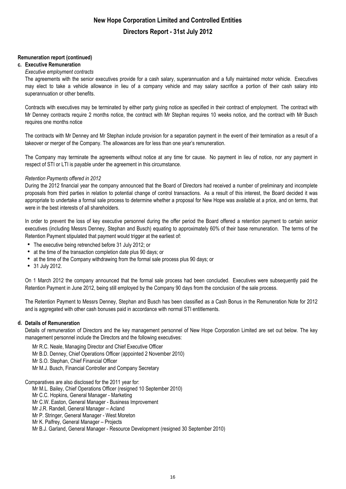#### **Remuneration report (continued)**

#### **c. Executive Remuneration**

#### *Executive employment contracts*

The agreements with the senior executives provide for a cash salary, superannuation and a fully maintained motor vehicle. Executives may elect to take a vehicle allowance in lieu of a company vehicle and may salary sacrifice a portion of their cash salary into superannuation or other benefits.

Contracts with executives may be terminated by either party giving notice as specified in their contract of employment. The contract with Mr Denney contracts require 2 months notice, the contract with Mr Stephan requires 10 weeks notice, and the contract with Mr Busch requires one months notice

The contracts with Mr Denney and Mr Stephan include provision for a separation payment in the event of their termination as a result of a takeover or merger of the Company. The allowances are for less than one year's remuneration.

The Company may terminate the agreements without notice at any time for cause. No payment in lieu of notice, nor any payment in respect of STI or LTI is payable under the agreement in this circumstance.

#### *Retention Payments offered in 2012*

During the 2012 financial year the company announced that the Board of Directors had received a number of preliminary and incomplete proposals from third parties in relation to potential change of control transactions. As a result of this interest, the Board decided it was appropriate to undertake a formal sale process to determine whether a proposal for New Hope was available at a price, and on terms, that were in the best interests of all shareholders.

In order to prevent the loss of key executive personnel during the offer period the Board offered a retention payment to certain senior executives (including Messrs Denney, Stephan and Busch) equating to approximately 60% of their base remuneration. The terms of the Retention Payment stipulated that payment would trigger at the earliest of:

- The executive being retrenched before 31 July 2012; or
- at the time of the transaction completion date plus 90 days; or
- at the time of the Company withdrawing from the formal sale process plus 90 days; or
- 31 July 2012.

On 1 March 2012 the company announced that the formal sale process had been concluded. Executives were subsequently paid the Retention Payment in June 2012, being still employed by the Company 90 days from the conclusion of the sale process.

The Retention Payment to Messrs Denney, Stephan and Busch has been classified as a Cash Bonus in the Remuneration Note for 2012 and is aggregated with other cash bonuses paid in accordance with normal STI entitlements.

#### **d. Details of Remuneration**

Details of remuneration of Directors and the key management personnel of New Hope Corporation Limited are set out below. The key management personnel include the Directors and the following executives:

Mr R.C. Neale, Managing Director and Chief Executive Officer

Mr B.D. Denney, Chief Operations Officer (appointed 2 November 2010)

Mr S.O. Stephan, Chief Financial Officer

Mr M.J. Busch, Financial Controller and Company Secretary

Comparatives are also disclosed for the 2011 year for:

Mr M.L. Bailey, Chief Operations Officer (resigned 10 September 2010)

Mr C.C. Hopkins, General Manager - Marketing

Mr C.W. Easton, General Manager - Business Improvement

Mr J.R. Randell, General Manager – Acland

Mr P. Stringer, General Manager - West Moreton

Mr K. Palfrey, General Manager – Projects

Mr B.J. Garland, General Manager - Resource Development (resigned 30 September 2010)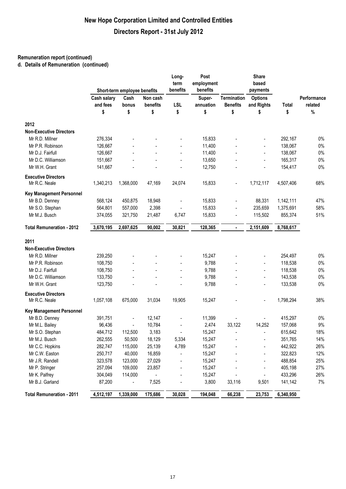### **Remuneration report (continued)**

**d. Details of Remuneration (continued)**

|                                  |                    | Short-term employee benefits |          | Long-<br>term<br>benefits | Post<br>employment<br>benefits |                    | Share<br>based<br>payments |           |             |
|----------------------------------|--------------------|------------------------------|----------|---------------------------|--------------------------------|--------------------|----------------------------|-----------|-------------|
|                                  | <b>Cash salary</b> | Cash                         | Non cash |                           | Super-                         | <b>Termination</b> | <b>Options</b>             |           | Performance |
|                                  | and fees           | bonus                        | benefits | <b>LSL</b>                | annuation                      | <b>Benefits</b>    | and Rights                 | Total     | related     |
|                                  | \$                 | \$                           | \$       | \$                        | \$                             | \$                 | \$                         | \$        | $\%$        |
| 2012                             |                    |                              |          |                           |                                |                    |                            |           |             |
| <b>Non-Executive Directors</b>   |                    |                              |          |                           |                                |                    |                            |           |             |
| Mr R.D. Millner                  | 276,334            |                              |          |                           | 15,833                         |                    | $\overline{\phantom{a}}$   | 292,167   | $0\%$       |
| Mr P.R. Robinson                 | 126,667            |                              |          |                           | 11,400                         |                    | ÷,                         | 138,067   | $0\%$       |
| Mr D.J. Fairfull                 | 126,667            |                              |          | $\overline{a}$            | 11,400                         |                    | $\overline{a}$             | 138,067   | $0\%$       |
| Mr D.C. Williamson               | 151,667            |                              |          | $\blacksquare$            | 13,650                         |                    | $\overline{a}$             | 165,317   | $0\%$       |
| Mr W.H. Grant                    | 141,667            |                              |          | $\overline{a}$            | 12,750                         |                    | $\overline{\phantom{a}}$   | 154,417   | $0\%$       |
| <b>Executive Directors</b>       |                    |                              |          |                           |                                |                    |                            |           |             |
| Mr R.C. Neale                    | 1,340,213          | 1,368,000                    | 47,169   | 24,074                    | 15,833                         |                    | 1,712,117                  | 4,507,406 | 68%         |
| <b>Key Management Personnel</b>  |                    |                              |          |                           |                                |                    |                            |           |             |
| Mr B.D. Denney                   | 568,124            | 450,875                      | 18,948   |                           | 15,833                         |                    | 88,331                     | 1,142,111 | 47%         |
| Mr S.O. Stephan                  | 564,801            | 557,000                      | 2,398    |                           | 15,833                         |                    | 235,659                    | 1,375,691 | 58%         |
| Mr M.J. Busch                    | 374,055            | 321,750                      | 21,487   | 6,747                     | 15,833                         |                    | 115,502                    | 855,374   | 51%         |
| <b>Total Remuneration - 2012</b> | 3,670,195          | 2,697,625                    | 90,002   | 30,821                    | 128,365                        | $\blacksquare$     | 2,151,609                  | 8,768,617 |             |
| 2011                             |                    |                              |          |                           |                                |                    |                            |           |             |
| <b>Non-Executive Directors</b>   |                    |                              |          |                           |                                |                    |                            |           |             |
| Mr R.D. Millner                  | 239,250            |                              |          |                           | 15,247                         |                    |                            | 254,497   | $0\%$       |
| Mr P.R. Robinson                 | 108,750            |                              |          | $\overline{a}$            | 9,788                          |                    | $\overline{a}$             | 118,538   | $0\%$       |
| Mr D.J. Fairfull                 | 108,750            |                              |          | $\overline{a}$            | 9,788                          |                    | ÷,                         | 118,538   | $0\%$       |
| Mr D.C. Williamson               | 133,750            |                              |          | $\blacksquare$            | 9,788                          |                    | $\overline{a}$             | 143,538   | $0\%$       |
| Mr W.H. Grant                    | 123,750            |                              |          |                           | 9,788                          |                    |                            | 133,538   | $0\%$       |
| <b>Executive Directors</b>       |                    |                              |          |                           |                                |                    |                            |           |             |
| Mr R.C. Neale                    | 1,057,108          | 675,000                      | 31,034   | 19,905                    | 15,247                         |                    | $\overline{\phantom{a}}$   | 1,798,294 | 38%         |
| <b>Key Management Personnel</b>  |                    |                              |          |                           |                                |                    |                            |           |             |
| Mr B.D. Denney                   | 391,751            | $\overline{\phantom{a}}$     | 12,147   |                           | 11,399                         |                    |                            | 415,297   | 0%          |
| Mr M.L. Bailey                   | 96,436             | $\overline{a}$               | 10,784   |                           | 2,474                          | 33,122             | 14,252                     | 157,068   | 9%          |
| Mr S.O. Stephan                  | 484,712            | 112,500                      | 3,183    |                           | 15,247                         |                    | $\blacksquare$             | 615,642   | 18%         |
| Mr M.J. Busch                    | 262,555            | 50,500                       | 18,129   | 5,334                     | 15,247                         |                    | ÷                          | 351,765   | 14%         |
| Mr C.C. Hopkins                  | 282,747            | 115,000                      | 25,139   | 4,789                     | 15,247                         |                    |                            | 442,922   | 26%         |
| Mr C.W. Easton                   | 250,717            | 40,000                       | 16,859   |                           | 15,247                         |                    |                            | 322,823   | 12%         |
| Mr J.R. Randell                  | 323,578            | 123,000                      | 27,029   |                           | 15,247                         |                    |                            | 488,854   | 25%         |
| Mr P. Stringer                   | 257,094            | 109,000                      | 23,857   |                           | 15,247                         |                    |                            | 405,198   | 27%         |
| Mr K. Palfrey                    | 304,049            | 114,000                      |          |                           | 15,247                         |                    |                            | 433,296   | 26%         |
| Mr B.J. Garland                  | 87,200             |                              | 7,525    |                           | 3,800                          | 33,116             | 9,501                      | 141,142   | 7%          |
| <b>Total Remuneration - 2011</b> | 4,512,197          | 1,339,000                    | 175,686  | 30,028                    | 194,048                        | 66,238             | 23,753                     | 6,340,950 |             |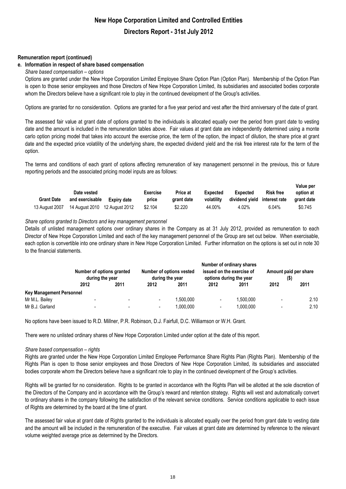#### **Remuneration report (continued)**

#### **e. Information in respect of share based compensation**

*Share based compensation – options*

Options are granted under the New Hope Corporation Limited Employee Share Option Plan (Option Plan). Membership of the Option Plan is open to those senior employees and those Directors of New Hope Corporation Limited, its subsidiaries and associated bodies corporate whom the Directors believe have a significant role to play in the continued development of the Group's activities.

Options are granted for no consideration. Options are granted for a five year period and vest after the third anniversary of the date of grant.

The assessed fair value at grant date of options granted to the individuals is allocated equally over the period from grant date to vesting date and the amount is included in the remuneration tables above. Fair values at grant date are independently determined using a monte carlo option pricing model that takes into account the exercise price, the term of the option, the impact of dilution, the share price at grant date and the expected price volatility of the underlying share, the expected dividend yield and the risk free interest rate for the term of the option.

The terms and conditions of each grant of options affecting remuneration of key management personnel in the previous, this or future reporting periods and the associated pricing model inputs are as follows:

|                   | Date vested     |             | <b>Exercise</b> | Price at   | Expected   | Expected                     | <b>Risk free</b> | value bel<br>option at |
|-------------------|-----------------|-------------|-----------------|------------|------------|------------------------------|------------------|------------------------|
| <b>Grant Date</b> | and exercisable | Expiry date | price           | arant date | volatility | dividend yield interest rate |                  | arant date             |
| 13 August 2007    |                 |             | \$2.104         | \$2.220    | 44.00%     | 4.02%                        | $6.04\%$         | \$0.745                |

 **Value per** 

#### *Share options granted to Directors and key management personnel*

Details of unlisted management options over ordinary shares in the Company as at 31 July 2012, provided as remuneration to each Director of New Hope Corporation Limited and each of the key management personnel of the Group are set out below. When exercisable, each option is convertible into one ordinary share in New Hope Corporation Limited. Further information on the options is set out in note 30 to the financial statements.

|                                 | Number of options granted<br>during the year |                          |      | Number of options vested<br>during the year |                          | Number of ordinary shares<br>issued on the exercise of<br>options during the year |                          | Amount paid per share<br>$($ \$) |  |
|---------------------------------|----------------------------------------------|--------------------------|------|---------------------------------------------|--------------------------|-----------------------------------------------------------------------------------|--------------------------|----------------------------------|--|
|                                 | 2012                                         | 2011                     | 2012 | 2011                                        | 2012                     | 2011                                                                              | 2012                     | 2011                             |  |
| <b>Key Management Personnel</b> |                                              |                          |      |                                             |                          |                                                                                   |                          |                                  |  |
| Mr M.L. Bailey                  |                                              | $\overline{\phantom{0}}$ | ٠    | .500.000                                    | $\overline{\phantom{a}}$ | 1,500,000                                                                         | $\overline{\phantom{0}}$ | 2.10                             |  |
| Mr B.J. Garland                 | -                                            | $\overline{\phantom{a}}$ |      | 1.000.000                                   |                          | 1,000,000                                                                         | $\blacksquare$           | 2.10                             |  |

No options have been issued to R.D. Millner, P.R. Robinson, D.J. Fairfull, D.C. Williamson or W.H. Grant.

There were no unlisted ordinary shares of New Hope Corporation Limited under option at the date of this report.

#### *Share based compensation – rights*

Rights are granted under the New Hope Corporation Limited Employee Performance Share Rights Plan (Rights Plan). Membership of the Rights Plan is open to those senior employees and those Directors of New Hope Corporation Limited, its subsidiaries and associated bodies corporate whom the Directors believe have a significant role to play in the continued development of the Group's activities.

Rights will be granted for no consideration. Rights to be granted in accordance with the Rights Plan will be allotted at the sole discretion of the Directors of the Company and in accordance with the Group's reward and retention strategy. Rights will vest and automatically convert to ordinary shares in the company following the satisfaction of the relevant service conditions. Service conditions applicable to each issue of Rights are determined by the board at the time of grant.

The assessed fair value at grant date of Rights granted to the individuals is allocated equally over the period from grant date to vesting date and the amount will be included in the remuneration of the executive. Fair values at grant date are determined by reference to the relevant volume weighted average price as determined by the Directors.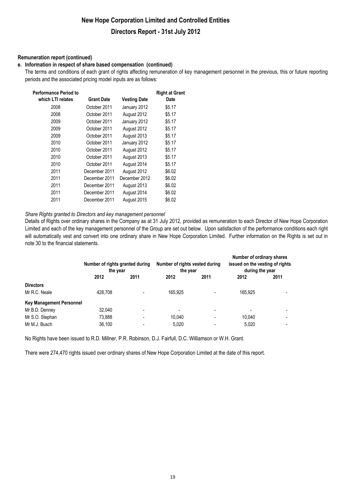# **New Hope Corporation Limited and Controlled Entities**

### **Directors Report - 31st July 2012**

#### **Remuneration report (continued)**

#### **e. Information in respect of share based compensation (continued)**

The terms and conditions of each grant of rights affecting remuneration of key management personnel in the previous, this or future reporting periods and the associated pricing model inputs are as follows:

| <b>Performance Period to</b><br>which LTI relates | <b>Grant Date</b> | <b>Vesting Date</b> | <b>Right at Grant</b><br>Date |
|---------------------------------------------------|-------------------|---------------------|-------------------------------|
|                                                   |                   |                     |                               |
| 2008                                              | October 2011      | January 2012        | \$5.17                        |
| 2008                                              | October 2011      | August 2012         | \$5.17                        |
| 2009                                              | October 2011      | January 2012        | \$5.17                        |
| 2009                                              | October 2011      | August 2012         | \$5.17                        |
| 2009                                              | October 2011      | August 2013         | \$5.17                        |
| 2010                                              | October 2011      | January 2012        | \$5.17                        |
| 2010                                              | October 2011      | August 2012         | \$5.17                        |
| 2010                                              | October 2011      | August 2013         | \$5.17                        |
| 2010                                              | October 2011      | August 2014         | \$5.17                        |
| 2011                                              | December 2011     | August 2012         | \$6.02                        |
| 2011                                              | December 2011     | December 2012       | \$6.02                        |
| 2011                                              | December 2011     | August 2013         | \$6.02                        |
| 2011                                              | December 2011     | August 2014         | \$6.02                        |
| 2011                                              | December 2011     | August 2015         | \$6.02                        |

#### *Share Rights granted to Directors and key management personnel*

Details of Rights over ordinary shares in the Company as at 31 July 2012, provided as remuneration to each Director of New Hope Corporation Limited and each of the key management personnel of the Group are set out below. Upon satisfaction of the performance conditions each right will automatically vest and convert into one ordinary share in New Hope Corporation Limited. Further information on the Rights is set out in note 30 to the financial statements.

|                                 | Number of rights granted during<br>the year |                          | Number of rights vested during<br>the year |      | Number of ordinary shares<br>issued on the vesting of rights<br>during the year |      |
|---------------------------------|---------------------------------------------|--------------------------|--------------------------------------------|------|---------------------------------------------------------------------------------|------|
|                                 | 2012                                        | 2011                     | 2012                                       | 2011 | 2012                                                                            | 2011 |
| <b>Directors</b>                |                                             |                          |                                            |      |                                                                                 |      |
| Mr R.C. Neale                   | 428,708                                     |                          | 165.925                                    |      | 165.925                                                                         |      |
| <b>Key Management Personnel</b> |                                             |                          |                                            |      |                                                                                 |      |
| Mr B.D. Denney                  | 32.040                                      |                          |                                            |      |                                                                                 |      |
| Mr S.O. Stephan                 | 73,888                                      | $\overline{\phantom{0}}$ | 10.040                                     |      | 10.040                                                                          |      |
| Mr M.J. Busch                   | 36.100                                      |                          | 5.020                                      |      | 5.020                                                                           |      |

No Rights have been issued to R.D. Millner, P.R. Robinson, D.J. Fairfull, D.C. Williamson or W.H. Grant.

There were 274,470 rights issued over ordinary shares of New Hope Corporation Limited at the date of this report.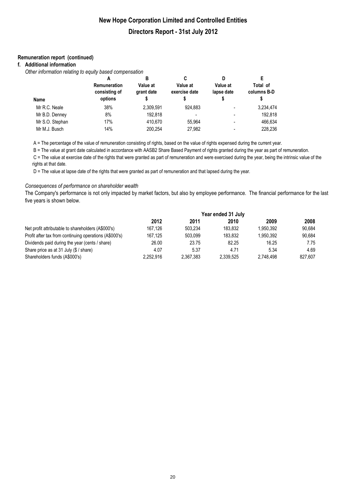#### **Remuneration report (continued)**

#### **f. Additional information**

*Other information relating to equity based compensation*

|                 | А                                               | в                      | C                         | D                      | E                       |
|-----------------|-------------------------------------------------|------------------------|---------------------------|------------------------|-------------------------|
| <b>Name</b>     | <b>Remuneration</b><br>consisting of<br>options | Value at<br>grant date | Value at<br>exercise date | Value at<br>lapse date | Total of<br>columns B-D |
| Mr R.C. Neale   | 38%                                             | 2,309,591              | 924.883                   | ۰                      | 3,234,474               |
| Mr B.D. Denney  | 8%                                              | 192.818                |                           |                        | 192.818                 |
| Mr S.O. Stephan | 17%                                             | 410.670                | 55.964                    | ۰                      | 466,634                 |
| Mr M.J. Busch   | 14%                                             | 200.254                | 27.982                    |                        | 228.236                 |

A = The percentage of the value of remuneration consisting of rights, based on the value of rights expensed during the current year.

B = The value at grant date calculated in accordance with AASB2 Share Based Payment of rights granted during the year as part of remuneration.

 C = The value at exercise date of the rights that were granted as part of remuneration and were exercised during the year, being the intrinsic value of the rights at that date.

D = The value at lapse date of the rights that were granted as part of remuneration and that lapsed during the year.

#### *Consequences of performance on shareholder wealth*

The Company's performance is not only impacted by market factors, but also by employee performance. The financial performance for the last five years is shown below.

|                                                        | Year ended 31 July |           |           |           |         |
|--------------------------------------------------------|--------------------|-----------|-----------|-----------|---------|
|                                                        | 2012               | 2011      | 2010      | 2009      | 2008    |
| Net profit attributable to shareholders (A\$000's)     | 167.126            | 503.234   | 183.832   | 1.950.392 | 90.684  |
| Profit after tax from continuing operations (A\$000's) | 167.125            | 503.099   | 183.832   | 1.950.392 | 90,684  |
| Dividends paid during the year (cents / share)         | 26.00              | 23.75     | 82.25     | 16.25     | 7.75    |
| Share price as at 31 July (\$ / share)                 | 4.07               | 5.37      | 4.71      | 5.34      | 4.69    |
| Shareholders funds (A\$000's)                          | 2.252.916          | 2.367.383 | 2.339.525 | 2.748.498 | 827.607 |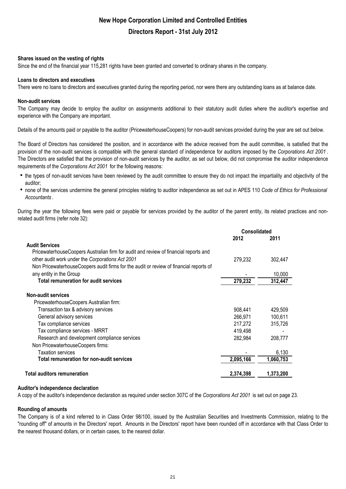#### **Shares issued on the vesting of rights**

Since the end of the financial year 115,281 rights have been granted and converted to ordinary shares in the company.

#### **Loans to directors and executives**

There were no loans to directors and executives granted during the reporting period, nor were there any outstanding loans as at balance date.

#### **Non-audit services**

The Company may decide to employ the auditor on assignments additional to their statutory audit duties where the auditor's expertise and experience with the Company are important.

Details of the amounts paid or payable to the auditor (PricewaterhouseCoopers) for non-audit services provided during the year are set out below.

The Board of Directors has considered the position, and in accordance with the advice received from the audit committee, is satisfied that the provision of the non-audit services is compatible with the general standard of independence for auditors imposed by the *Corporations Act 2001* . The Directors are satisfied that the provision of non-audit services by the auditor, as set out below, did not compromise the auditor independence requirements of the *Corporations Act 2001* for the following reasons:

- the types of non-audit services have been reviewed by the audit committee to ensure they do not impact the impartiality and objectivity of the auditor;
- h none of the services undermine the general principles relating to auditor independence as set out in APES 110 *Code of Ethics for Professional Accountants* .

During the year the following fees were paid or payable for services provided by the auditor of the parent entity, its related practices and nonrelated audit firms (refer note 32):

|                                                                                        | <b>Consolidated</b> |           |
|----------------------------------------------------------------------------------------|---------------------|-----------|
|                                                                                        | 2012                | 2011      |
| <b>Audit Services</b>                                                                  |                     |           |
| PricewaterhouseCoopers Australian firm for audit and review of financial reports and   |                     |           |
| other audit work under the Corporations Act 2001                                       | 279,232             | 302,447   |
| Non PricewaterhouseCoopers audit firms for the audit or review of financial reports of |                     |           |
| any entity in the Group                                                                |                     | 10.000    |
| <b>Total remuneration for audit services</b>                                           | 279,232             | 312,447   |
| <b>Non-audit services</b>                                                              |                     |           |
| PricewaterhouseCoopers Australian firm:                                                |                     |           |
| Transaction tax & advisory services                                                    | 908,441             | 429,509   |
| General advisory services                                                              | 266,971             | 100,611   |
| Tax compliance services                                                                | 217,272             | 315,726   |
| Tax compliance services - MRRT                                                         | 419,498             |           |
| Research and development compliance services                                           | 282,984             | 208,777   |
| Non PricewaterhouseCoopers firms:                                                      |                     |           |
| <b>Taxation services</b>                                                               |                     | 6,130     |
| Total remuneration for non-audit services                                              | 2,095,166           | 1,060,753 |
| Total auditors remuneration                                                            | 2,374,398           | 1,373,200 |

#### **Auditor's independence declaration**

A copy of the auditor's independence declaration as required under section 307C of the *Corporations Act 2001* is set out on page 23.

#### **Rounding of amounts**

The Company is of a kind referred to in Class Order 98/100, issued by the Australian Securities and Investments Commission, relating to the "rounding off" of amounts in the Directors' report. Amounts in the Directors' report have been rounded off in accordance with that Class Order to the nearest thousand dollars, or in certain cases, to the nearest dollar.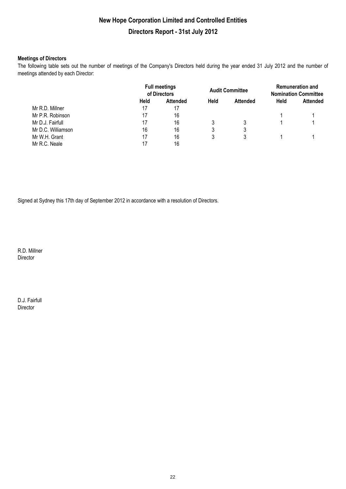#### **Meetings of Directors**

The following table sets out the number of meetings of the Company's Directors held during the year ended 31 July 2012 and the number of meetings attended by each Director:

|                    | <b>Full meetings</b><br>of Directors |                 | <b>Audit Committee</b> |                 | <b>Remuneration and</b><br><b>Nomination Committee</b> |                 |
|--------------------|--------------------------------------|-----------------|------------------------|-----------------|--------------------------------------------------------|-----------------|
|                    | Held                                 | <b>Attended</b> | <b>Held</b>            | <b>Attended</b> | <b>Held</b>                                            | <b>Attended</b> |
| Mr R.D. Millner    | 17                                   | 17              |                        |                 |                                                        |                 |
| Mr P.R. Robinson   | 17                                   | 16              |                        |                 |                                                        |                 |
| Mr D.J. Fairfull   | 17                                   | 16              | 3                      |                 |                                                        |                 |
| Mr D.C. Williamson | 16                                   | 16              | 3                      | 3               |                                                        |                 |
| Mr W.H. Grant      | 17                                   | 16              | 3                      | 3               |                                                        |                 |
| Mr R.C. Neale      | 17                                   | 16              |                        |                 |                                                        |                 |

Signed at Sydney this 17th day of September 2012 in accordance with a resolution of Directors.

R.D. Millner Director

D.J. Fairfull Director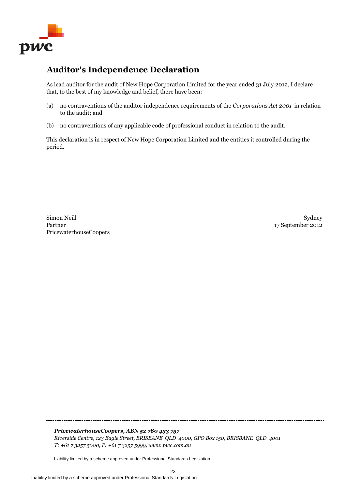

### **Auditor's Independence Declaration**

As lead auditor for the audit of New Hope Corporation Limited for the year ended 31 July 2012, I declare that, to the best of my knowledge and belief, there have been:

- (a) no contraventions of the auditor independence requirements of the *Corporations Act 2001* in relation to the audit; and
- (b) no contraventions of any applicable code of professional conduct in relation to the audit.

This declaration is in respect of New Hope Corporation Limited and the entities it controlled during the period.

PricewaterhouseCoopers Simon Neill Partner

j

Sydney 17 September 2012

*PricewaterhouseCoopers, ABN 52 780 433 757 Riverside Centre, 123 Eagle Street, BRISBANE QLD 4000, GPO Box 150, BRISBANE QLD 4001 T: +61 7 3257 5000, F: +61 7 3257 5999, www.pwc.com.au*

Liability limited by a scheme approved under Professional Standards Legislation.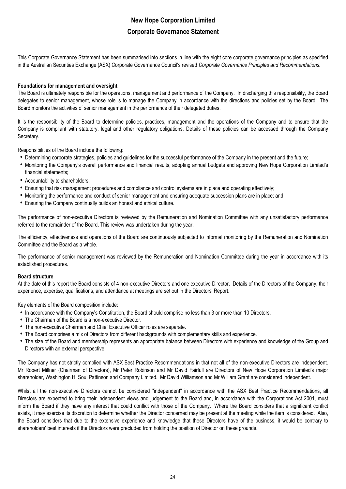This Corporate Governance Statement has been summarised into sections in line with the eight core corporate governance principles as specified in the Australian Securities Exchange (ASX) Corporate Governance Council's revised *Corporate Governance Principles and Recommendations.*

#### **Foundations for management and oversight**

The Board is ultimately responsible for the operations, management and performance of the Company. In discharging this responsibility, the Board delegates to senior management, whose role is to manage the Company in accordance with the directions and policies set by the Board. The Board monitors the activities of senior management in the performance of their delegated duties.

It is the responsibility of the Board to determine policies, practices, management and the operations of the Company and to ensure that the Company is compliant with statutory, legal and other regulatory obligations. Details of these policies can be accessed through the Company Secretary.

Responsibilities of the Board include the following:

- Determining corporate strategies, policies and guidelines for the successful performance of the Company in the present and the future;
- Monitoring the Company's overall performance and financial results, adopting annual budgets and approving New Hope Corporation Limited's financial statements;
- Accountability to shareholders;
- Ensuring that risk management procedures and compliance and control systems are in place and operating effectively;
- Monitoring the performance and conduct of senior management and ensuring adequate succession plans are in place; and
- Ensuring the Company continually builds an honest and ethical culture.

The performance of non-executive Directors is reviewed by the Remuneration and Nomination Committee with any unsatisfactory performance referred to the remainder of the Board. This review was undertaken during the year.

The efficiency, effectiveness and operations of the Board are continuously subjected to informal monitoring by the Remuneration and Nomination Committee and the Board as a whole.

The performance of senior management was reviewed by the Remuneration and Nomination Committee during the year in accordance with its established procedures.

#### **Board structure**

At the date of this report the Board consists of 4 non-executive Directors and one executive Director. Details of the Directors of the Company, their experience, expertise, qualifications, and attendance at meetings are set out in the Directors' Report.

Key elements of the Board composition include:

- In accordance with the Company's Constitution, the Board should comprise no less than 3 or more than 10 Directors.
- The Chairman of the Board is a non-executive Director.
- The non-executive Chairman and Chief Executive Officer roles are separate.
- The Board comprises a mix of Directors from different backgrounds with complementary skills and experience.
- The size of the Board and membership represents an appropriate balance between Directors with experience and knowledge of the Group and Directors with an external perspective.

The Company has not strictly complied with ASX Best Practice Recommendations in that not all of the non-executive Directors are independent. Mr Robert Millner (Chairman of Directors), Mr Peter Robinson and Mr David Fairfull are Directors of New Hope Corporation Limited's major shareholder, Washington H. Soul Pattinson and Company Limited. Mr David Williamson and Mr William Grant are considered independent.

Whilst all the non-executive Directors cannot be considered "independent" in accordance with the ASX Best Practice Recommendations, all Directors are expected to bring their independent views and judgement to the Board and, in accordance with the Corporations Act 2001, must inform the Board if they have any interest that could conflict with those of the Company. Where the Board considers that a significant conflict exists, it may exercise its discretion to determine whether the Director concerned may be present at the meeting while the item is considered. Also, the Board considers that due to the extensive experience and knowledge that these Directors have of the business, it would be contrary to shareholders' best interests if the Directors were precluded from holding the position of Director on these grounds.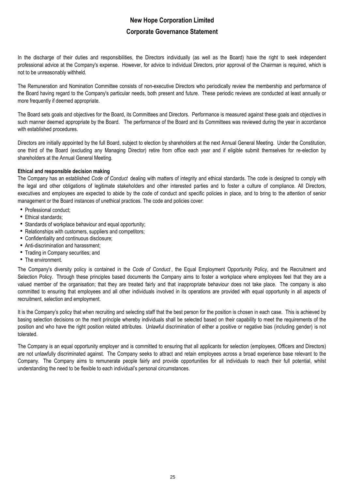In the discharge of their duties and responsibilities, the Directors individually (as well as the Board) have the right to seek independent professional advice at the Company's expense. However, for advice to individual Directors, prior approval of the Chairman is required, which is not to be unreasonably withheld.

The Remuneration and Nomination Committee consists of non-executive Directors who periodically review the membership and performance of the Board having regard to the Company's particular needs, both present and future. These periodic reviews are conducted at least annually or more frequently if deemed appropriate.

The Board sets goals and objectives for the Board, its Committees and Directors. Performance is measured against these goals and objectives in such manner deemed appropriate by the Board. The performance of the Board and its Committees was reviewed during the year in accordance with established procedures.

Directors are initially appointed by the full Board, subject to election by shareholders at the next Annual General Meeting. Under the Constitution, one third of the Board (excluding any Managing Director) retire from office each year and if eligible submit themselves for re-election by shareholders at the Annual General Meeting.

#### **Ethical and responsible decision making**

The Company has an established *Code of Conduct* dealing with matters of integrity and ethical standards. The code is designed to comply with the legal and other obligations of legitimate stakeholders and other interested parties and to foster a culture of compliance. All Directors, executives and employees are expected to abide by the code of conduct and specific policies in place, and to bring to the attention of senior management or the Board instances of unethical practices. The code and policies cover:

- Professional conduct;
- Ethical standards;
- Standards of workplace behaviour and equal opportunity;
- Relationships with customers, suppliers and competitors;
- Confidentiality and continuous disclosure;
- Anti-discrimination and harassment;
- Trading in Company securities; and
- The environment.

The Company's diversity policy is contained in the *Code of Conduct* , the Equal Employment Opportunity Policy, and the Recruitment and Selection Policy. Through these principles based documents the Company aims to foster a workplace where employees feel that they are a valued member of the organisation; that they are treated fairly and that inappropriate behaviour does not take place. The company is also committed to ensuring that employees and all other individuals involved in its operations are provided with equal opportunity in all aspects of recruitment, selection and employment.

It is the Company's policy that when recruiting and selecting staff that the best person for the position is chosen in each case. This is achieved by basing selection decisions on the merit principle whereby individuals shall be selected based on their capability to meet the requirements of the position and who have the right position related attributes. Unlawful discrimination of either a positive or negative bias (including gender) is not tolerated.

The Company is an equal opportunity employer and is committed to ensuring that all applicants for selection (employees, Officers and Directors) are not unlawfully discriminated against. The Company seeks to attract and retain employees across a broad experience base relevant to the Company. The Company aims to remunerate people fairly and provide opportunities for all individuals to reach their full potential, whilst understanding the need to be flexible to each individual's personal circumstances.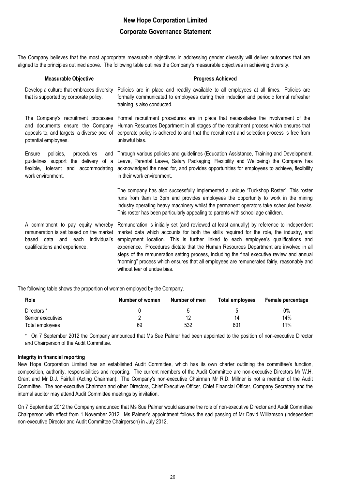The Company believes that the most appropriate measurable objectives in addressing gender diversity will deliver outcomes that are aligned to the principles outlined above. The following table outlines the Company's measurable objectives in achieving diversity.

| <b>Measurable Objective</b>                                                                                                                   | <b>Progress Achieved</b>                                                                                                                                                                                                                                                                                                                                                                                      |
|-----------------------------------------------------------------------------------------------------------------------------------------------|---------------------------------------------------------------------------------------------------------------------------------------------------------------------------------------------------------------------------------------------------------------------------------------------------------------------------------------------------------------------------------------------------------------|
| Develop a culture that embraces diversity<br>that is supported by corporate policy.                                                           | Policies are in place and readily available to all employees at all times. Policies are<br>formally communicated to employees during their induction and periodic formal refresher<br>training is also conducted.                                                                                                                                                                                             |
| potential employees.                                                                                                                          | The Company's recruitment processes Formal recruitment procedures are in place that necessitates the involvement of the<br>and documents ensure the Company Human Resources Department in all stages of the recruitment process which ensures that<br>appeals to, and targets, a diverse pool of corporate policy is adhered to and that the recruitment and selection process is free from<br>unlawful bias. |
| procedures<br>Ensure<br>policies.<br>and<br>guidelines support the delivery of a<br>flexible, tolerant and accommodating<br>work environment. | Through various policies and guidelines (Education Assistance, Training and Development,<br>Leave, Parental Leave, Salary Packaging, Flexibility and Wellbeing) the Company has<br>acknowledged the need for, and provides opportunities for employees to achieve, flexibility<br>in their work environment.                                                                                                  |
|                                                                                                                                               | The company has also successfully implemented a unique "Tuckshop Roster". This roster<br>runs from 9am to 3pm and provides employees the opportunity to work in the mining<br>industry operating heavy machinery whilst the permanent operators take scheduled breaks.<br>This roster has been particularly appealing to parents with school age children.                                                    |
|                                                                                                                                               | A commitment to pay equity whereby Remuneration is initially set (and reviewed at least annually) by reference to independent<br>remuneration is set based on the market market data which accounts for both the skills required for the role, the industry, and<br>hasad data and aach individual's amployment location. This is further linked to each employee's qualifications and                        |

based data and each individual's employment location. This is further linked to each employee's qualifications and experience. Procedures dictate that the Human Resources Department are involved in all steps of the remuneration setting process, including the final executive review and annual "norming" process which ensures that all employees are remunerated fairly, reasonably and without fear of undue bias.

The following table shows the proportion of women employed by the Company.

| <b>Role</b>       | Number of women | Number of men | Total employees | Female percentage |
|-------------------|-----------------|---------------|-----------------|-------------------|
| Directors *       |                 |               | h               | 0%                |
| Senior executives |                 |               | 14              | 14%               |
| Total employees   | 69              | 532           | 601             | 11%               |

\* On 7 September 2012 the Company announced that Ms Sue Palmer had been appointed to the position of non-executive Director and Chairperson of the Audit Committee.

#### **Integrity in financial reporting**

qualifications and experience.

New Hope Corporation Limited has an established Audit Committee, which has its own charter outlining the committee's function, composition, authority, responsibilities and reporting. The current members of the Audit Committee are non-executive Directors Mr W.H. Grant and Mr D.J. Fairfull (Acting Chairman). The Company's non-executive Chairman Mr R.D. Millner is not a member of the Audit Committee. The non-executive Chairman and other Directors, Chief Executive Officer, Chief Financial Officer, Company Secretary and the internal auditor may attend Audit Committee meetings by invitation.

On 7 September 2012 the Company announced that Ms Sue Palmer would assume the role of non-executive Director and Audit Committee Chairperson with effect from 1 November 2012. Ms Palmer's appointment follows the sad passing of Mr David Williamson (independent non-executive Director and Audit Committee Chairperson) in July 2012.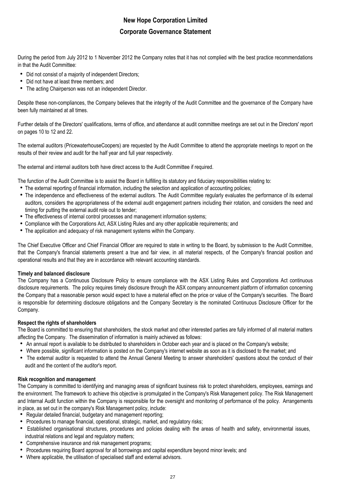During the period from July 2012 to 1 November 2012 the Company notes that it has not complied with the best practice recommendations in that the Audit Committee:

- Did not consist of a majority of independent Directors;
- Did not have at least three members; and
- The acting Chairperson was not an independent Director.

Despite these non-compliances, the Company believes that the integrity of the Audit Committee and the governance of the Company have been fully maintained at all times.

Further details of the Directors' qualifications, terms of office, and attendance at audit committee meetings are set out in the Directors' report on pages 10 to 12 and 22.

The external auditors (PricewaterhouseCoopers) are requested by the Audit Committee to attend the appropriate meetings to report on the results of their review and audit for the half year and full year respectively.

The external and internal auditors both have direct access to the Audit Committee if required.

The function of the Audit Committee is to assist the Board in fulfilling its statutory and fiduciary responsibilities relating to:

- The external reporting of financial information, including the selection and application of accounting policies;
- The independence and effectiveness of the external auditors. The Audit Committee regularly evaluates the performance of its external auditors, considers the appropriateness of the external audit engagement partners including their rotation, and considers the need and timing for putting the external audit role out to tender;
- The effectiveness of internal control processes and management information systems;
- Compliance with the Corporations Act, ASX Listing Rules and any other applicable requirements; and
- The application and adequacy of risk management systems within the Company.

The Chief Executive Officer and Chief Financial Officer are required to state in writing to the Board, by submission to the Audit Committee, that the Company's financial statements present a true and fair view, in all material respects, of the Company's financial position and operational results and that they are in accordance with relevant accounting standards.

#### **Timely and balanced disclosure**

The Company has a Continuous Disclosure Policy to ensure compliance with the ASX Listing Rules and Corporations Act continuous disclosure requirements. The policy requires timely disclosure through the ASX company announcement platform of information concerning the Company that a reasonable person would expect to have a material effect on the price or value of the Company's securities. The Board is responsible for determining disclosure obligations and the Company Secretary is the nominated Continuous Disclosure Officer for the Company.

#### **Respect the rights of shareholders**

The Board is committed to ensuring that shareholders, the stock market and other interested parties are fully informed of all material matters affecting the Company. The dissemination of information is mainly achieved as follows:

- An annual report is available to be distributed to shareholders in October each year and is placed on the Company's website;
- Where possible, significant information is posted on the Company's internet website as soon as it is disclosed to the market; and
- The external auditor is requested to attend the Annual General Meeting to answer shareholders' questions about the conduct of their audit and the content of the auditor's report.

#### **Risk recognition and management**

The Company is committed to identifying and managing areas of significant business risk to protect shareholders, employees, earnings and the environment. The framework to achieve this objective is promulgated in the Company's Risk Management policy. The Risk Management and Internal Audit function within the Company is responsible for the oversight and monitoring of performance of the policy. Arrangements in place, as set out in the company's Risk Management policy, include:

- Regular detailed financial, budgetary and management reporting;
- Procedures to manage financial, operational, strategic, market, and regulatory risks;
- Established organisational structures, procedures and policies dealing with the areas of health and safety, environmental issues, industrial relations and legal and regulatory matters;
- Comprehensive insurance and risk management programs;
- Procedures requiring Board approval for all borrowings and capital expenditure beyond minor levels; and
- Where applicable, the utilisation of specialised staff and external advisors.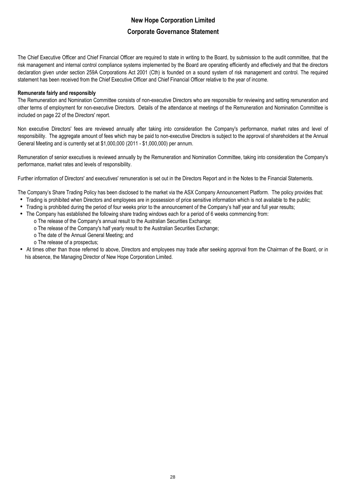The Chief Executive Officer and Chief Financial Officer are required to state in writing to the Board, by submission to the audit committee, that the risk management and internal control compliance systems implemented by the Board are operating efficiently and effectively and that the directors declaration given under section 259A Corporations Act 2001 (Cth) is founded on a sound system of risk management and control. The required statement has been received from the Chief Executive Officer and Chief Financial Officer relative to the year of income.

#### **Remunerate fairly and responsibly**

The Remuneration and Nomination Committee consists of non-executive Directors who are responsible for reviewing and setting remuneration and other terms of employment for non-executive Directors. Details of the attendance at meetings of the Remuneration and Nomination Committee is included on page 22 of the Directors' report.

Non executive Directors' fees are reviewed annually after taking into consideration the Company's performance, market rates and level of responsibility. The aggregate amount of fees which may be paid to non-executive Directors is subject to the approval of shareholders at the Annual General Meeting and is currently set at \$1,000,000 (2011 - \$1,000,000) per annum.

Remuneration of senior executives is reviewed annually by the Remuneration and Nomination Committee, taking into consideration the Company's performance, market rates and levels of responsibility.

Further information of Directors' and executives' remuneration is set out in the Directors Report and in the Notes to the Financial Statements.

The Company's Share Trading Policy has been disclosed to the market via the ASX Company Announcement Platform. The policy provides that:

- Trading is prohibited when Directors and employees are in possession of price sensitive information which is not available to the public;
- Trading is prohibited during the period of four weeks prior to the announcement of the Company's half year and full year results;
- The Company has established the following share trading windows each for a period of 6 weeks commencing from:
	- o The release of the Company's annual result to the Australian Securities Exchange;
		- o The release of the Company's half yearly result to the Australian Securities Exchange;
		- o The date of the Annual General Meeting; and
		- o The release of a prospectus;
- At times other than those referred to above, Directors and employees may trade after seeking approval from the Chairman of the Board, or in his absence, the Managing Director of New Hope Corporation Limited.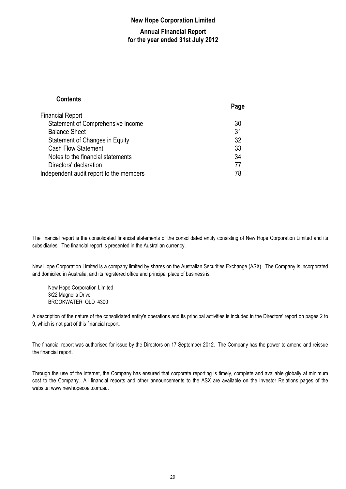### **New Hope Corporation Limited**

### **Annual Financial Report for the year ended 31st July 2012**

### **Contents**

|                                         | Page |
|-----------------------------------------|------|
| <b>Financial Report</b>                 |      |
| Statement of Comprehensive Income       | 30   |
| <b>Balance Sheet</b>                    | 31   |
| Statement of Changes in Equity          | 32   |
| <b>Cash Flow Statement</b>              | 33   |
| Notes to the financial statements       | 34   |
| Directors' declaration                  | 77   |
| Independent audit report to the members | 78   |

The financial report is the consolidated financial statements of the consolidated entity consisting of New Hope Corporation Limited and its subsidiaries. The financial report is presented in the Australian currency.

New Hope Corporation Limited is a company limited by shares on the Australian Securities Exchange (ASX). The Company is incorporated and domiciled in Australia, and its registered office and principal place of business is:

New Hope Corporation Limited 3/22 Magnolia Drive BROOKWATER QLD 4300

A description of the nature of the consolidated entity's operations and its principal activities is included in the Directors' report on pages 2 to 9, which is not part of this financial report.

The financial report was authorised for issue by the Directors on 17 September 2012. The Company has the power to amend and reissue the financial report.

Through the use of the internet, the Company has ensured that corporate reporting is timely, complete and available globally at minimum cost to the Company. All financial reports and other announcements to the ASX are available on the Investor Relations pages of the website: www.newhopecoal.com.au.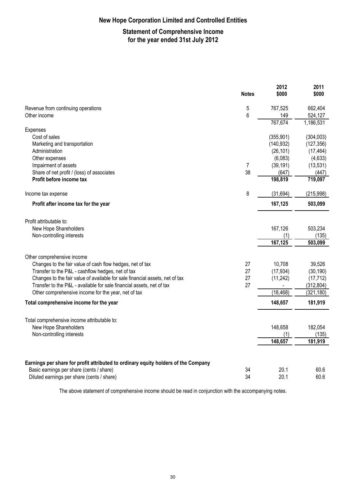### **New Hope Corporation Limited and Controlled Entities**

### **Statement of Comprehensive Income for the year ended 31st July 2012**

|                                                                                                                                              | <b>Notes</b> | 2012<br>\$000             | 2011<br>\$000               |
|----------------------------------------------------------------------------------------------------------------------------------------------|--------------|---------------------------|-----------------------------|
| Revenue from continuing operations                                                                                                           | 5            | 767,525                   | 662,404                     |
| Other income                                                                                                                                 | 6            | 149                       | 524,127                     |
|                                                                                                                                              |              | 767,674                   | 1,186,531                   |
| Expenses                                                                                                                                     |              |                           |                             |
| Cost of sales                                                                                                                                |              | (355, 901)                | (304,003)                   |
| Marketing and transportation                                                                                                                 |              | (140, 932)                | (127, 356)                  |
| Administration                                                                                                                               |              | (26, 101)                 | (17, 464)                   |
| Other expenses                                                                                                                               |              | (6,083)                   | (4, 633)                    |
| Impairment of assets                                                                                                                         | 7            | (39, 191)                 | (13, 531)                   |
| Share of net profit / (loss) of associates                                                                                                   | 38           | (647)                     | (447)                       |
| Profit before income tax                                                                                                                     |              | 198,819                   | 719,097                     |
| Income tax expense                                                                                                                           | 8            | (31, 694)                 | (215, 998)                  |
| Profit after income tax for the year                                                                                                         |              | 167,125                   | 503,099                     |
| Profit attributable to:<br>New Hope Shareholders<br>Non-controlling interests                                                                |              | 167,126<br>(1)<br>167,125 | 503,234<br>(135)<br>503,099 |
| Other comprehensive income<br>Changes to the fair value of cash flow hedges, net of tax<br>Transfer to the P&L - cashflow hedges, net of tax | 27<br>27     | 10,708<br>(17, 934)       | 39,526<br>(30, 190)         |
| Changes to the fair value of available for sale financial assets, net of tax                                                                 | 27           | (11, 242)                 | (17, 712)                   |
| Transfer to the P&L - available for sale financial assets, net of tax                                                                        | 27           |                           | (312, 804)                  |
| Other comprehensive income for the year, net of tax                                                                                          |              | (18, 468)                 | (321, 180)                  |
| Total comprehensive income for the year                                                                                                      |              | 148,657                   | 181,919                     |
| Total comprehensive income attributable to:                                                                                                  |              |                           |                             |
| New Hope Shareholders                                                                                                                        |              | 148,658                   | 182,054                     |
| Non-controlling interests                                                                                                                    |              | (1)                       | (135)                       |
|                                                                                                                                              |              | 148,657                   | 181,919                     |
| Earnings per share for profit attributed to ordinary equity holders of the Company                                                           |              |                           |                             |
| Basic earnings per share (cents / share)                                                                                                     | 34<br>34     | 20.1<br>20.1              | 60.6                        |
| Diluted earnings per share (cents / share)                                                                                                   |              |                           | 60.6                        |

The above statement of comprehensive income should be read in conjunction with the accompanying notes.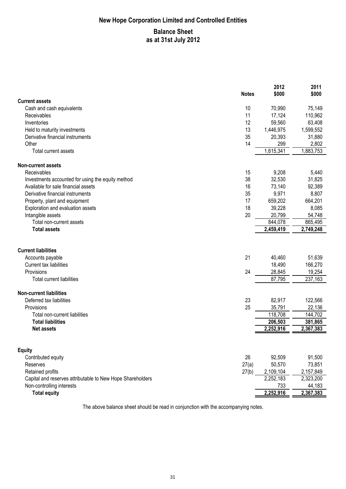# **New Hope Corporation Limited and Controlled Entities Balance Sheet as at 31st July 2012**

|                                                            |              | 2012      | 2011      |
|------------------------------------------------------------|--------------|-----------|-----------|
| <b>Current assets</b>                                      | <b>Notes</b> | \$000     | \$000     |
| Cash and cash equivalents                                  | 10           | 70,990    | 75,149    |
| Receivables                                                | 11           | 17,124    | 110,962   |
| Inventories                                                | 12           | 59,560    | 63,408    |
| Held to maturity investments                               | 13           | 1,446,975 | 1,599,552 |
| Derivative financial instruments                           | 35           | 20,393    | 31,880    |
| Other                                                      | 14           | 299       | 2,802     |
| Total current assets                                       |              | 1,615,341 | 1,883,753 |
| <b>Non-current assets</b>                                  |              |           |           |
| Receivables                                                | 15           | 9,208     | 5,440     |
| Investments accounted for using the equity method          | 38           | 32,530    | 31,825    |
| Available for sale financial assets                        | 16           | 73,140    | 92,389    |
| Derivative financial instruments                           | 35           | 9,971     | 8,807     |
| Property, plant and equipment                              | 17           | 659,202   | 664,201   |
| Exploration and evaluation assets                          | 18           | 39,228    | 8,085     |
| Intangible assets                                          | 20           | 20,799    | 54,748    |
| Total non-current assets                                   |              | 844,078   | 865,495   |
| <b>Total assets</b>                                        |              | 2,459,419 | 2,749,248 |
| <b>Current liabilities</b><br>Accounts payable             | 21           | 40,460    | 51,639    |
| <b>Current tax liabilities</b>                             |              | 18,490    | 166,270   |
| Provisions                                                 | 24           | 28,845    | 19,254    |
| <b>Total current liabilities</b>                           |              | 87,795    | 237,163   |
| <b>Non-current liabilities</b>                             |              |           |           |
| Deferred tax liabilities                                   | 23           | 82,917    | 122,566   |
| Provisions                                                 | 25           | 35,791    | 22,136    |
| Total non-current liabilities                              |              | 118,708   | 144,702   |
| <b>Total liabilities</b>                                   |              | 206,503   | 381,865   |
| <b>Net assets</b>                                          |              | 2,252,916 | 2,367,383 |
|                                                            |              |           |           |
| <b>Equity</b>                                              |              |           |           |
| Contributed equity                                         | 26           | 92,509    | 91,500    |
| Reserves                                                   | 27(a)        | 50,570    | 73,851    |
| Retained profits                                           | 27(b)        | 2,109,104 | 2,157,849 |
| Capital and reserves attributable to New Hope Shareholders |              | 2,252,183 | 2,323,200 |
| Non-controlling interests                                  |              | 733       | 44,183    |
| <b>Total equity</b>                                        |              | 2,252,916 | 2,367,383 |

The above balance sheet should be read in conjunction with the accompanying notes.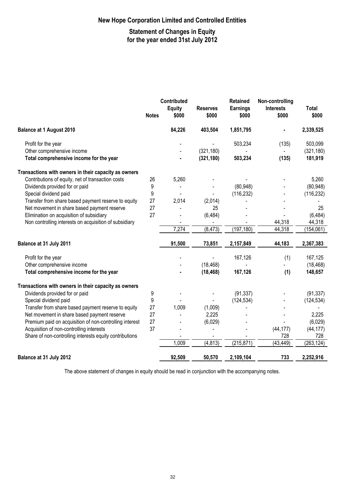### **New Hope Corporation Limited and Controlled Entities**

### **Statement of Changes in Equity for the year ended 31st July 2012**

|                                                         | Contributed  |               | <b>Retained</b> | Non-controlling |                  |            |
|---------------------------------------------------------|--------------|---------------|-----------------|-----------------|------------------|------------|
|                                                         |              | <b>Equity</b> | <b>Reserves</b> | <b>Earnings</b> | <b>Interests</b> | Total      |
|                                                         | <b>Notes</b> | \$000         | \$000           | \$000           | \$000            | \$000      |
| <b>Balance at 1 August 2010</b>                         |              | 84,226        | 403,504         | 1,851,795       |                  | 2,339,525  |
| Profit for the year                                     |              |               |                 | 503,234         | (135)            | 503,099    |
| Other comprehensive income                              |              |               | (321, 180)      |                 |                  | (321, 180) |
| Total comprehensive income for the year                 |              |               | (321, 180)      | 503,234         | (135)            | 181,919    |
| Transactions with owners in their capacity as owners    |              |               |                 |                 |                  |            |
| Contributions of equity, net of transaction costs       | 26           | 5,260         |                 |                 |                  | 5,260      |
| Dividends provided for or paid                          | 9            |               |                 | (80, 948)       |                  | (80, 948)  |
| Special dividend paid                                   | 9            |               |                 | (116, 232)      |                  | (116, 232) |
| Transfer from share based payment reserve to equity     | 27           | 2,014         | (2,014)         |                 |                  |            |
| Net movement in share based payment reserve             | 27           |               | 25              |                 |                  | 25         |
| Elimination on acquisition of subsidiary                | 27           |               | (6, 484)        |                 |                  | (6, 484)   |
| Non controlling interests on acquisition of subsidiary  |              |               |                 |                 | 44,318           | 44,318     |
|                                                         |              | 7,274         | (8, 473)        | (197, 180)      | 44,318           | (154, 061) |
| Balance at 31 July 2011                                 |              | 91,500        | 73,851          | 2,157,849       | 44,183           | 2,367,383  |
| Profit for the year                                     |              |               |                 | 167,126         | (1)              | 167,125    |
| Other comprehensive income                              |              |               | (18, 468)       |                 |                  | (18, 468)  |
| Total comprehensive income for the year                 |              |               | (18, 468)       | 167,126         | (1)              | 148,657    |
| Transactions with owners in their capacity as owners    |              |               |                 |                 |                  |            |
| Dividends provided for or paid                          | 9            |               |                 | (91, 337)       |                  | (91, 337)  |
| Special dividend paid                                   | 9            |               |                 | (124, 534)      |                  | (124, 534) |
| Transfer from share based payment reserve to equity     | 27           | 1,009         | (1,009)         |                 |                  |            |
| Net movement in share based payment reserve             | 27           |               | 2,225           |                 |                  | 2,225      |
| Premium paid on acquisition of non-controlling interest | 27           |               | (6,029)         |                 |                  | (6,029)    |
| Acquisition of non-controlling interests                | 37           |               |                 |                 | (44, 177)        | (44, 177)  |
| Share of non-controlling interests equity contributions |              |               |                 |                 | 728              | 728        |
|                                                         |              | 1,009         | (4, 813)        | (215, 871)      | (43, 449)        | (263, 124) |
| Balance at 31 July 2012                                 |              | 92,509        | 50,570          | 2,109,104       | 733              | 2,252,916  |

The above statement of changes in equity should be read in conjunction with the accompanying notes.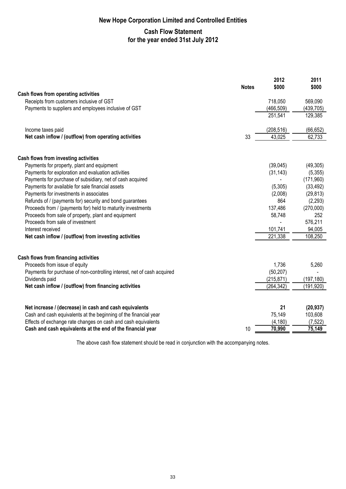## **Cash Flow Statement for the year ended 31st July 2012**

|                                                                                                                            |              | 2012       | 2011                 |
|----------------------------------------------------------------------------------------------------------------------------|--------------|------------|----------------------|
|                                                                                                                            | <b>Notes</b> | \$000      | \$000                |
| Cash flows from operating activities                                                                                       |              |            |                      |
| Receipts from customers inclusive of GST                                                                                   |              | 718,050    | 569,090              |
| Payments to suppliers and employees inclusive of GST                                                                       |              | (466, 509) | (439, 705)           |
|                                                                                                                            |              | 251,541    | 129,385              |
| Income taxes paid                                                                                                          |              | (208, 516) | (66, 652)            |
| Net cash inflow / (outflow) from operating activities                                                                      | 33           | 43,025     | 62,733               |
| Cash flows from investing activities                                                                                       |              |            |                      |
| Payments for property, plant and equipment                                                                                 |              | (39,045)   | (49,305)             |
| Payments for exploration and evaluation activities                                                                         |              | (31, 143)  | (5, 355)             |
| Payments for purchase of subsidiary, net of cash acquired                                                                  |              |            | (171,960)            |
| Payments for available for sale financial assets                                                                           |              | (5,305)    | (33, 492)            |
| Payments for investments in associates                                                                                     |              | (2,008)    | (29, 813)            |
| Refunds of / (payments for) security and bond guarantees                                                                   |              | 864        | (2, 293)             |
| Proceeds from / (payments for) held to maturity investments                                                                |              | 137,486    | (270,000)            |
| Proceeds from sale of property, plant and equipment                                                                        |              | 58,748     | 252                  |
| Proceeds from sale of investment                                                                                           |              |            | 576,211              |
| Interest received                                                                                                          |              | 101,741    | 94,005               |
| Net cash inflow / (outflow) from investing activities                                                                      |              | 221,338    | 108,250              |
| Cash flows from financing activities                                                                                       |              |            |                      |
| Proceeds from issue of equity                                                                                              |              | 1,736      | 5,260                |
| Payments for purchase of non-controlling interest, net of cash acquired                                                    |              | (50, 207)  |                      |
| Dividends paid                                                                                                             |              | (215, 871) | (197, 180)           |
| Net cash inflow / (outflow) from financing activities                                                                      |              | (264, 342) | (191, 920)           |
|                                                                                                                            |              | 21         |                      |
| Net increase / (decrease) in cash and cash equivalents<br>Cash and cash equivalents at the beginning of the financial year |              | 75,149     | (20, 937)<br>103,608 |
| Effects of exchange rate changes on cash and cash equivalents                                                              |              | (4, 180)   | (7, 522)             |
| Cash and cash equivalents at the end of the financial year                                                                 | 10           | 70,990     | 75,149               |
|                                                                                                                            |              |            |                      |

The above cash flow statement should be read in conjunction with the accompanying notes.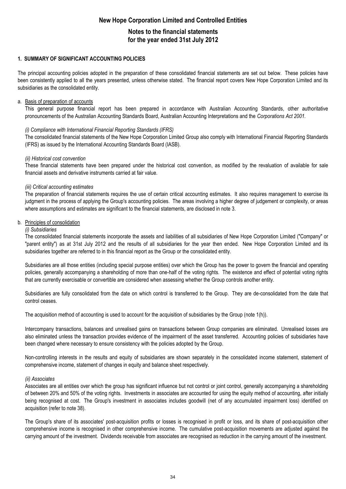## **Notes to the financial statements for the year ended 31st July 2012**

#### **1. SUMMARY OF SIGNIFICANT ACCOUNTING POLICIES**

The principal accounting policies adopted in the preparation of these consolidated financial statements are set out below. These policies have been consistently applied to all the years presented, unless otherwise stated. The financial report covers New Hope Corporation Limited and its subsidiaries as the consolidated entity.

#### a. Basis of preparation of accounts

This general purpose financial report has been prepared in accordance with Australian Accounting Standards, other authoritative pronouncements of the Australian Accounting Standards Board, Australian Accounting Interpretations and the *Corporations Act 2001.*

#### *(i) Compliance with International Financial Reporting Standards (IFRS)*

The consolidated financial statements of the New Hope Corporation Limited Group also comply with International Financial Reporting Standards (IFRS) as issued by the International Accounting Standards Board (IASB).

#### *(ii) Historical cost convention*

These financial statements have been prepared under the historical cost convention, as modified by the revaluation of available for sale financial assets and derivative instruments carried at fair value.

#### *(iii) Critical accounting estimates*

The preparation of financial statements requires the use of certain critical accounting estimates. It also requires management to exercise its judgment in the process of applying the Group's accounting policies. The areas involving a higher degree of judgement or complexity, or areas where assumptions and estimates are significant to the financial statements, are disclosed in note 3.

#### b. Principles of consolidation

#### *(i) Subsidiaries*

The consolidated financial statements incorporate the assets and liabilities of all subsidiaries of New Hope Corporation Limited ("Company" or "parent entity") as at 31st July 2012 and the results of all subsidiaries for the year then ended. New Hope Corporation Limited and its subsidiaries together are referred to in this financial report as the Group or the consolidated entity.

Subsidiaries are all those entities (including special purpose entities) over which the Group has the power to govern the financial and operating policies, generally accompanying a shareholding of more than one-half of the voting rights. The existence and effect of potential voting rights that are currently exercisable or convertible are considered when assessing whether the Group controls another entity.

Subsidiaries are fully consolidated from the date on which control is transferred to the Group. They are de-consolidated from the date that control ceases.

The acquisition method of accounting is used to account for the acquisition of subsidiaries by the Group (note 1(h)).

Intercompany transactions, balances and unrealised gains on transactions between Group companies are eliminated. Unrealised losses are also eliminated unless the transaction provides evidence of the impairment of the asset transferred. Accounting policies of subsidiaries have been changed where necessary to ensure consistency with the policies adopted by the Group.

Non-controlling interests in the results and equity of subsidiaries are shown separately in the consolidated income statement, statement of comprehensive income, statement of changes in equity and balance sheet respectively.

#### *(ii) Associates*

Associates are all entities over which the group has significant influence but not control or joint control, generally accompanying a shareholding of between 20% and 50% of the voting rights. Investments in associates are accounted for using the equity method of accounting, after initially being recognised at cost. The Group's investment in associates includes goodwill (net of any accumulated impairment loss) identified on acquisition (refer to note 38).

The Group's share of its associates' post-acquisition profits or losses is recognised in profit or loss, and its share of post-acquisition other comprehensive income is recognised in other comprehensive income. The cumulative post-acquisition movements are adjusted against the carrying amount of the investment. Dividends receivable from associates are recognised as reduction in the carrying amount of the investment.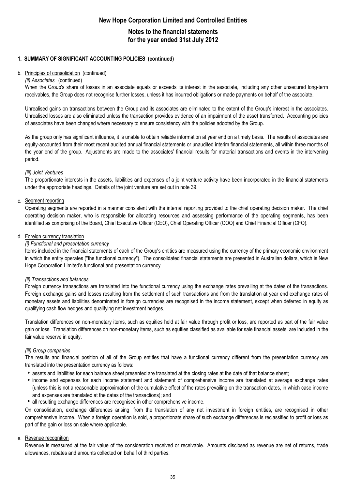## **Notes to the financial statements for the year ended 31st July 2012**

#### **1. SUMMARY OF SIGNIFICANT ACCOUNTING POLICIES (continued)**

#### b. Principles of consolidation (continued)

#### *(ii) Associates* (continued)

When the Group's share of losses in an associate equals or exceeds its interest in the associate, including any other unsecured long-term receivables, the Group does not recognise further losses, unless it has incurred obligations or made payments on behalf of the associate.

Unrealised gains on transactions between the Group and its associates are eliminated to the extent of the Group's interest in the associates. Unrealised losses are also eliminated unless the transaction provides evidence of an impairment of the asset transferred. Accounting policies of associates have been changed where necessary to ensure consistency with the policies adopted by the Group.

As the group only has significant influence, it is unable to obtain reliable information at year end on a timely basis. The results of associates are equity-accounted from their most recent audited annual financial statements or unaudited interim financial statements, all within three months of the year end of the group. Adjustments are made to the associates' financial results for material transactions and events in the intervening period.

#### *(iii) Joint Ventures*

The proportionate interests in the assets, liabilities and expenses of a joint venture activity have been incorporated in the financial statements under the appropriate headings. Details of the joint venture are set out in note 39.

#### c. Segment reporting

Operating segments are reported in a manner consistent with the internal reporting provided to the chief operating decision maker. The chief operating decision maker, who is responsible for allocating resources and assessing performance of the operating segments, has been identified as comprising of the Board, Chief Executive Officer (CEO), Chief Operating Officer (COO) and Chief Financial Officer (CFO).

#### d. Foreign currency translation

#### *(i) Functional and presentation currency*

Items included in the financial statements of each of the Group's entities are measured using the currency of the primary economic environment in which the entity operates ("the functional currency"). The consolidated financial statements are presented in Australian dollars, which is New Hope Corporation Limited's functional and presentation currency.

#### *(ii) Transactions and balances*

Foreign currency transactions are translated into the functional currency using the exchange rates prevailing at the dates of the transactions. Foreign exchange gains and losses resulting from the settlement of such transactions and from the translation at year end exchange rates of monetary assets and liabilities denominated in foreign currencies are recognised in the income statement, except when deferred in equity as qualifying cash flow hedges and qualifying net investment hedges.

Translation differences on non-monetary items, such as equities held at fair value through profit or loss, are reported as part of the fair value gain or loss. Translation differences on non-monetary items, such as equities classified as available for sale financial assets, are included in the fair value reserve in equity.

#### *(iii) Group companies*

The results and financial position of all of the Group entities that have a functional currency different from the presentation currency are translated into the presentation currency as follows:

- assets and liabilities for each balance sheet presented are translated at the closing rates at the date of that balance sheet;
- income and expenses for each income statement and statement of comprehensive income are translated at average exchange rates (unless this is not a reasonable approximation of the cumulative effect of the rates prevailing on the transaction dates, in which case income and expenses are translated at the dates of the transactions); and
- all resulting exchange differences are recognised in other comprehensive income.

On consolidation, exchange differences arising from the translation of any net investment in foreign entities, are recognised in other comprehensive income. When a foreign operation is sold, a proportionate share of such exchange differences is reclassified to profit or loss as part of the gain or loss on sale where applicable.

#### e. Revenue recognition

Revenue is measured at the fair value of the consideration received or receivable. Amounts disclosed as revenue are net of returns, trade allowances, rebates and amounts collected on behalf of third parties.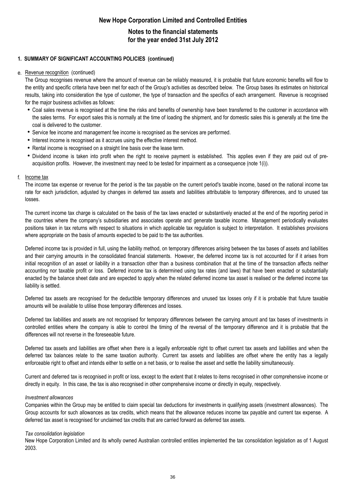## **Notes to the financial statements for the year ended 31st July 2012**

#### **1. SUMMARY OF SIGNIFICANT ACCOUNTING POLICIES (continued)**

#### e. Revenue recognition (continued)

The Group recognises revenue where the amount of revenue can be reliably measured, it is probable that future economic benefits will flow to the entity and specific criteria have been met for each of the Group's activities as described below. The Group bases its estimates on historical results, taking into consideration the type of customer, the type of transaction and the specifics of each arrangement. Revenue is recognised for the major business activities as follows:

- Coal sales revenue is recognised at the time the risks and benefits of ownership have been transferred to the customer in accordance with the sales terms. For export sales this is normally at the time of loading the shipment, and for domestic sales this is generally at the time the coal is delivered to the customer.
- Service fee income and management fee income is recognised as the services are performed.
- Interest income is recognised as it accrues using the effective interest method.
- Rental income is recognised on a straight line basis over the lease term.
- Dividend income is taken into profit when the right to receive payment is established. This applies even if they are paid out of preacquisition profits. However, the investment may need to be tested for impairment as a consequence (note 1(i)).

#### f. Income tax

The income tax expense or revenue for the period is the tax payable on the current period's taxable income, based on the national income tax rate for each jurisdiction, adjusted by changes in deferred tax assets and liabilities attributable to temporary differences, and to unused tax losses.

The current income tax charge is calculated on the basis of the tax laws enacted or substantively enacted at the end of the reporting period in the countries where the company's subsidiaries and associates operate and generate taxable income. Management periodically evaluates positions taken in tax returns with respect to situations in which applicable tax regulation is subject to interpretation. It establishes provisions where appropriate on the basis of amounts expected to be paid to the tax authorities.

Deferred income tax is provided in full, using the liability method, on temporary differences arising between the tax bases of assets and liabilities and their carrying amounts in the consolidated financial statements. However, the deferred income tax is not accounted for if it arises from initial recognition of an asset or liability in a transaction other than a business combination that at the time of the transaction affects neither accounting nor taxable profit or loss. Deferred income tax is determined using tax rates (and laws) that have been enacted or substantially enacted by the balance sheet date and are expected to apply when the related deferred income tax asset is realised or the deferred income tax liability is settled.

Deferred tax assets are recognised for the deductible temporary differences and unused tax losses only if it is probable that future taxable amounts will be available to utilise those temporary differences and losses.

Deferred tax liabilities and assets are not recognised for temporary differences between the carrying amount and tax bases of investments in controlled entities where the company is able to control the timing of the reversal of the temporary difference and it is probable that the differences will not reverse in the foreseeable future.

Deferred tax assets and liabilities are offset when there is a legally enforceable right to offset current tax assets and liabilities and when the deferred tax balances relate to the same taxation authority. Current tax assets and liabilities are offset where the entity has a legally enforceable right to offset and intends either to settle on a net basis, or to realise the asset and settle the liability simultaneously.

Current and deferred tax is recognised in profit or loss, except to the extent that it relates to items recognised in other comprehensive income or directly in equity. In this case, the tax is also recognised in other comprehensive income or directly in equity, respectively.

#### *Investment allowances*

Companies within the Group may be entitled to claim special tax deductions for investments in qualifying assets (investment allowances). The Group accounts for such allowances as tax credits, which means that the allowance reduces income tax payable and current tax expense. A deferred tax asset is recognised for unclaimed tax credits that are carried forward as deferred tax assets.

#### *Tax consolidation legislation*

New Hope Corporation Limited and its wholly owned Australian controlled entities implemented the tax consolidation legislation as of 1 August 2003.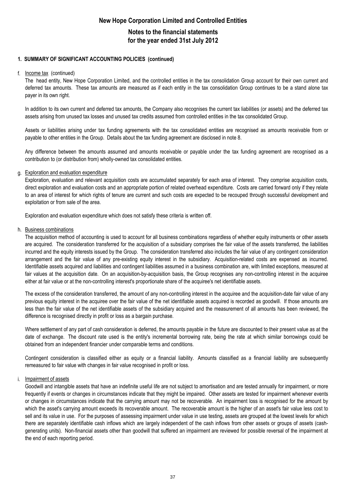### **Notes to the financial statements for the year ended 31st July 2012**

#### **1. SUMMARY OF SIGNIFICANT ACCOUNTING POLICIES (continued)**

#### f. Income tax (continued)

The head entity, New Hope Corporation Limited, and the controlled entities in the tax consolidation Group account for their own current and deferred tax amounts. These tax amounts are measured as if each entity in the tax consolidation Group continues to be a stand alone tax payer in its own right.

In addition to its own current and deferred tax amounts, the Company also recognises the current tax liabilities (or assets) and the deferred tax assets arising from unused tax losses and unused tax credits assumed from controlled entities in the tax consolidated Group.

Assets or liabilities arising under tax funding agreements with the tax consolidated entities are recognised as amounts receivable from or payable to other entities in the Group. Details about the tax funding agreement are disclosed in note 8.

Any difference between the amounts assumed and amounts receivable or payable under the tax funding agreement are recognised as a contribution to (or distribution from) wholly-owned tax consolidated entities.

#### g. Exploration and evaluation expenditure

Exploration, evaluation and relevant acquisition costs are accumulated separately for each area of interest. They comprise acquisition costs, direct exploration and evaluation costs and an appropriate portion of related overhead expenditure. Costs are carried forward only if they relate to an area of interest for which rights of tenure are current and such costs are expected to be recouped through successful development and exploitation or from sale of the area.

Exploration and evaluation expenditure which does not satisfy these criteria is written off.

#### h. Business combinations

The acquisition method of accounting is used to account for all business combinations regardless of whether equity instruments or other assets are acquired. The consideration transferred for the acquisition of a subsidiary comprises the fair value of the assets transferred, the liabilities incurred and the equity interests issued by the Group. The consideration transferred also includes the fair value of any contingent consideration arrangement and the fair value of any pre-existing equity interest in the subsidiary. Acquisition-related costs are expensed as incurred. Identifiable assets acquired and liabilities and contingent liabilities assumed in a business combination are, with limited exceptions, measured at fair values at the acquisition date. On an acquisition-by-acquisition basis, the Group recognises any non-controlling interest in the acquiree either at fair value or at the non-controlling interest's proportionate share of the acquiree's net identifiable assets.

The excess of the consideration transferred, the amount of any non-controlling interest in the acquiree and the acquisition-date fair value of any previous equity interest in the acquiree over the fair value of the net identifiable assets acquired is recorded as goodwill. If those amounts are less than the fair value of the net identifiable assets of the subsidiary acquired and the measurement of all amounts has been reviewed, the difference is recognised directly in profit or loss as a bargain purchase.

Where settlement of any part of cash consideration is deferred, the amounts payable in the future are discounted to their present value as at the date of exchange. The discount rate used is the entity's incremental borrowing rate, being the rate at which similar borrowings could be obtained from an independent financier under comparable terms and conditions.

Contingent consideration is classified either as equity or a financial liability. Amounts classified as a financial liability are subsequently remeasured to fair value with changes in fair value recognised in profit or loss.

#### i. Impairment of assets

Goodwill and intangible assets that have an indefinite useful life are not subject to amortisation and are tested annually for impairment, or more frequently if events or changes in circumstances indicate that they might be impaired. Other assets are tested for impairment whenever events or changes in circumstances indicate that the carrying amount may not be recoverable. An impairment loss is recognised for the amount by which the asset's carrying amount exceeds its recoverable amount. The recoverable amount is the higher of an asset's fair value less cost to sell and its value in use. For the purposes of assessing impairment under value in use testing, assets are grouped at the lowest levels for which there are separately identifiable cash inflows which are largely independent of the cash inflows from other assets or groups of assets (cashgenerating units). Non-financial assets other than goodwill that suffered an impairment are reviewed for possible reversal of the impairment at the end of each reporting period.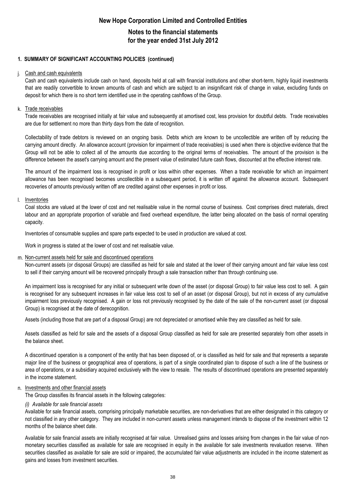## **Notes to the financial statements for the year ended 31st July 2012**

### **1. SUMMARY OF SIGNIFICANT ACCOUNTING POLICIES (continued)**

#### j. Cash and cash equivalents

Cash and cash equivalents include cash on hand, deposits held at call with financial institutions and other short-term, highly liquid investments that are readily convertible to known amounts of cash and which are subject to an insignificant risk of change in value, excluding funds on deposit for which there is no short term identified use in the operating cashflows of the Group.

#### k. Trade receivables

Trade receivables are recognised initially at fair value and subsequently at amortised cost, less provision for doubtful debts. Trade receivables are due for settlement no more than thirty days from the date of recognition.

Collectability of trade debtors is reviewed on an ongoing basis. Debts which are known to be uncollectible are written off by reducing the carrying amount directly. An allowance account (provision for impairment of trade receivables) is used when there is objective evidence that the Group will not be able to collect all of the amounts due according to the original terms of receivables. The amount of the provision is the difference between the asset's carrying amount and the present value of estimated future cash flows, discounted at the effective interest rate.

The amount of the impairment loss is recognised in profit or loss within other expenses. When a trade receivable for which an impairment allowance has been recognised becomes uncollectible in a subsequent period, it is written off against the allowance account. Subsequent recoveries of amounts previously written off are credited against other expenses in profit or loss.

#### l. Inventories

Coal stocks are valued at the lower of cost and net realisable value in the normal course of business. Cost comprises direct materials, direct labour and an appropriate proportion of variable and fixed overhead expenditure, the latter being allocated on the basis of normal operating capacity.

Inventories of consumable supplies and spare parts expected to be used in production are valued at cost.

Work in progress is stated at the lower of cost and net realisable value.

#### m. Non-current assets held for sale and discontinued operations

Non-current assets (or disposal Groups) are classified as held for sale and stated at the lower of their carrying amount and fair value less cost to sell if their carrying amount will be recovered principally through a sale transaction rather than through continuing use.

An impairment loss is recognised for any initial or subsequent write down of the asset (or disposal Group) to fair value less cost to sell. A gain is recognised for any subsequent increases in fair value less cost to sell of an asset (or disposal Group), but not in excess of any cumulative impairment loss previously recognised. A gain or loss not previously recognised by the date of the sale of the non-current asset (or disposal Group) is recognised at the date of derecognition.

Assets (including those that are part of a disposal Group) are not depreciated or amortised while they are classified as held for sale.

Assets classified as held for sale and the assets of a disposal Group classified as held for sale are presented separately from other assets in the balance sheet.

A discontinued operation is a component of the entity that has been disposed of, or is classified as held for sale and that represents a separate major line of the business or geographical area of operations, is part of a single coordinated plan to dispose of such a line of the business or area of operations, or a subsidiary acquired exclusively with the view to resale. The results of discontinued operations are presented separately in the income statement.

#### n. Investments and other financial assets

The Group classifies its financial assets in the following categories:

#### *(i) Available for sale financial assets*

Available for sale financial assets, comprising principally marketable securities, are non-derivatives that are either designated in this category or not classified in any other category. They are included in non-current assets unless management intends to dispose of the investment within 12 months of the balance sheet date.

Available for sale financial assets are initially recognised at fair value. Unrealised gains and losses arising from changes in the fair value of nonmonetary securities classified as available for sale are recognised in equity in the available for sale investments revaluation reserve. When securities classified as available for sale are sold or impaired, the accumulated fair value adjustments are included in the income statement as gains and losses from investment securities.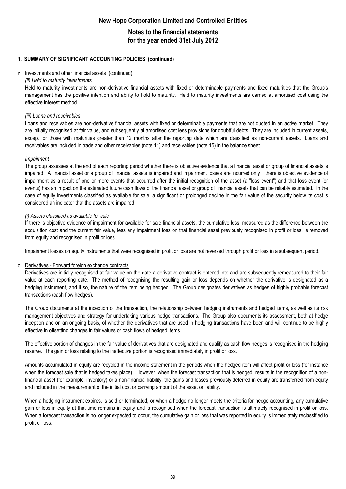### **Notes to the financial statements for the year ended 31st July 2012**

#### **1. SUMMARY OF SIGNIFICANT ACCOUNTING POLICIES (continued)**

#### n. Investments and other financial assets (continued)

#### *(ii) Held to maturity investments*

Held to maturity investments are non-derivative financial assets with fixed or determinable payments and fixed maturities that the Group's management has the positive intention and ability to hold to maturity. Held to maturity investments are carried at amortised cost using the effective interest method.

#### *(iii) Loans and receivables*

Loans and receivables are non-derivative financial assets with fixed or determinable payments that are not quoted in an active market. They are initially recognised at fair value, and subsequently at amortised cost less provisions for doubtful debts. They are included in current assets, except for those with maturities greater than 12 months after the reporting date which are classified as non-current assets. Loans and receivables are included in trade and other receivables (note 11) and receivables (note 15) in the balance sheet.

#### *Impairment*

The group assesses at the end of each reporting period whether there is objective evidence that a financial asset or group of financial assets is impaired. A financial asset or a group of financial assets is impaired and impairment losses are incurred only if there is objective evidence of impairment as a result of one or more events that occurred after the initial recognition of the asset (a "loss event") and that loss event (or events) has an impact on the estimated future cash flows of the financial asset or group of financial assets that can be reliably estimated. In the case of equity investments classified as available for sale, a significant or prolonged decline in the fair value of the security below its cost is considered an indicator that the assets are impaired.

#### *(i) Assets classified as available for sale*

If there is objective evidence of impairment for available for sale financial assets, the cumulative loss, measured as the difference between the acquisition cost and the current fair value, less any impairment loss on that financial asset previously recognised in profit or loss, is removed from equity and recognised in profit or loss.

Impairment losses on equity instruments that were recognised in profit or loss are not reversed through profit or loss in a subsequent period.

#### o. Derivatives - Forward foreign exchange contracts

Derivatives are initially recognised at fair value on the date a derivative contract is entered into and are subsequently remeasured to their fair value at each reporting date. The method of recognising the resulting gain or loss depends on whether the derivative is designated as a hedging instrument, and if so, the nature of the item being hedged. The Group designates derivatives as hedges of highly probable forecast transactions (cash flow hedges).

The Group documents at the inception of the transaction, the relationship between hedging instruments and hedged items, as well as its risk management objectives and strategy for undertaking various hedge transactions. The Group also documents its assessment, both at hedge inception and on an ongoing basis, of whether the derivatives that are used in hedging transactions have been and will continue to be highly effective in offsetting changes in fair values or cash flows of hedged items.

The effective portion of changes in the fair value of derivatives that are designated and qualify as cash flow hedges is recognised in the hedging reserve. The gain or loss relating to the ineffective portion is recognised immediately in profit or loss.

Amounts accumulated in equity are recycled in the income statement in the periods when the hedged item will affect profit or loss (for instance when the forecast sale that is hedged takes place). However, when the forecast transaction that is hedged, results in the recognition of a nonfinancial asset (for example, inventory) or a non-financial liability, the gains and losses previously deferred in equity are transferred from equity and included in the measurement of the initial cost or carrying amount of the asset or liability.

When a hedging instrument expires, is sold or terminated, or when a hedge no longer meets the criteria for hedge accounting, any cumulative gain or loss in equity at that time remains in equity and is recognised when the forecast transaction is ultimately recognised in profit or loss. When a forecast transaction is no longer expected to occur, the cumulative gain or loss that was reported in equity is immediately reclassified to profit or loss.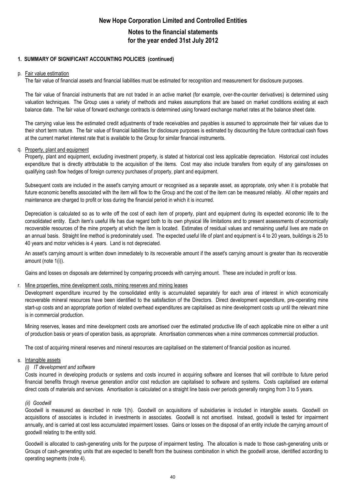## **Notes to the financial statements for the year ended 31st July 2012**

#### **1. SUMMARY OF SIGNIFICANT ACCOUNTING POLICIES (continued)**

#### p. Fair value estimation

The fair value of financial assets and financial liabilities must be estimated for recognition and measurement for disclosure purposes.

The fair value of financial instruments that are not traded in an active market (for example, over-the-counter derivatives) is determined using valuation techniques. The Group uses a variety of methods and makes assumptions that are based on market conditions existing at each balance date. The fair value of forward exchange contracts is determined using forward exchange market rates at the balance sheet date.

The carrying value less the estimated credit adjustments of trade receivables and payables is assumed to approximate their fair values due to their short term nature. The fair value of financial liabilities for disclosure purposes is estimated by discounting the future contractual cash flows at the current market interest rate that is available to the Group for similar financial instruments.

#### q. Property, plant and equipment

Property, plant and equipment, excluding investment property, is stated at historical cost less applicable depreciation. Historical cost includes expenditure that is directly attributable to the acquisition of the items. Cost may also include transfers from equity of any gains/losses on qualifying cash flow hedges of foreign currency purchases of property, plant and equipment.

Subsequent costs are included in the asset's carrying amount or recognised as a separate asset, as appropriate, only when it is probable that future economic benefits associated with the item will flow to the Group and the cost of the item can be measured reliably. All other repairs and maintenance are charged to profit or loss during the financial period in which it is incurred.

Depreciation is calculated so as to write off the cost of each item of property, plant and equipment during its expected economic life to the consolidated entity. Each item's useful life has due regard both to its own physical life limitations and to present assessments of economically recoverable resources of the mine property at which the item is located. Estimates of residual values and remaining useful lives are made on an annual basis. Straight line method is predominately used. The expected useful life of plant and equipment is 4 to 20 years, buildings is 25 to 40 years and motor vehicles is 4 years. Land is not depreciated.

An asset's carrying amount is written down immediately to its recoverable amount if the asset's carrying amount is greater than its recoverable amount (note 1(i)).

Gains and losses on disposals are determined by comparing proceeds with carrying amount. These are included in profit or loss.

#### r. Mine properties, mine development costs, mining reserves and mining leases

Development expenditure incurred by the consolidated entity is accumulated separately for each area of interest in which economically recoverable mineral resources have been identified to the satisfaction of the Directors. Direct development expenditure, pre-operating mine start-up costs and an appropriate portion of related overhead expenditures are capitalised as mine development costs up until the relevant mine is in commercial production.

Mining reserves, leases and mine development costs are amortised over the estimated productive life of each applicable mine on either a unit of production basis or years of operation basis, as appropriate. Amortisation commences when a mine commences commercial production.

The cost of acquiring mineral reserves and mineral resources are capitalised on the statement of financial position as incurred.

#### s. Intangible assets

#### *(i) IT development and software*

Costs incurred in developing products or systems and costs incurred in acquiring software and licenses that will contribute to future period financial benefits through revenue generation and/or cost reduction are capitalised to software and systems. Costs capitalised are external direct costs of materials and services. Amortisation is calculated on a straight line basis over periods generally ranging from 3 to 5 years.

#### *(ii) Goodwill*

Goodwill is measured as described in note 1(h). Goodwill on acquisitions of subsidiaries is included in intangible assets. Goodwill on acquisitions of associates is included in investments in associates. Goodwill is not amortised. Instead, goodwill is tested for impairment annually, and is carried at cost less accumulated impairment losses. Gains or losses on the disposal of an entity include the carrying amount of goodwill relating to the entity sold.

Goodwill is allocated to cash-generating units for the purpose of impairment testing. The allocation is made to those cash-generating units or Groups of cash-generating units that are expected to benefit from the business combination in which the goodwill arose, identified according to operating segments (note 4).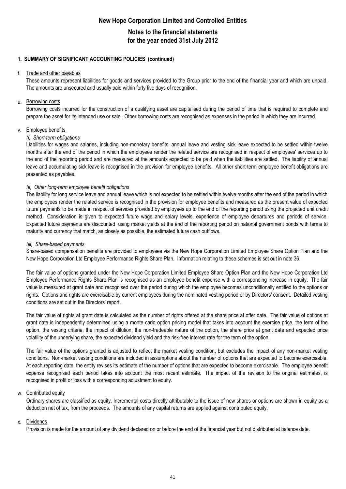### **Notes to the financial statements for the year ended 31st July 2012**

#### **1. SUMMARY OF SIGNIFICANT ACCOUNTING POLICIES (continued)**

#### t. Trade and other payables

These amounts represent liabilities for goods and services provided to the Group prior to the end of the financial year and which are unpaid. The amounts are unsecured and usually paid within forty five days of recognition.

#### u. <u>Borrowing costs</u>

Borrowing costs incurred for the construction of a qualifying asset are capitalised during the period of time that is required to complete and prepare the asset for its intended use or sale. Other borrowing costs are recognised as expenses in the period in which they are incurred.

#### v. Employee benefits

#### *(i) Short-term obligations*

Liabilities for wages and salaries, including non-monetary benefits, annual leave and vesting sick leave expected to be settled within twelve months after the end of the period in which the employees render the related service are recognised in respect of employees' services up to the end of the reporting period and are measured at the amounts expected to be paid when the liabilities are settled. The liability of annual leave and accumulating sick leave is recognised in the provision for employee benefits. All other short-term employee benefit obligations are presented as payables.

#### *(ii) Other long-term employee benefit obligations*

The liability for long service leave and annual leave which is not expected to be settled within twelve months after the end of the period in which the employees render the related service is recognised in the provision for employee benefits and measured as the present value of expected future payments to be made in respect of services provided by employees up to the end of the reporting period using the projected unit credit method. Consideration is given to expected future wage and salary levels, experience of employee departures and periods of service. Expected future payments are discounted using market yields at the end of the reporting period on national government bonds with terms to maturity and currency that match, as closely as possible, the estimated future cash outflows.

#### *(iii) Share-based payments*

Share-based compensation benefits are provided to employees via the New Hope Corporation Limited Employee Share Option Plan and the New Hope Corporation Ltd Employee Performance Rights Share Plan. Information relating to these schemes is set out in note 36.

The fair value of options granted under the New Hope Corporation Limited Employee Share Option Plan and the New Hope Corporation Ltd Employee Performance Rights Share Plan is recognised as an employee benefit expense with a corresponding increase in equity. The fair value is measured at grant date and recognised over the period during which the employee becomes unconditionally entitled to the options or rights. Options and rights are exercisable by current employees during the nominated vesting period or by Directors' consent. Detailed vesting conditions are set out in the Directors' report.

The fair value of rights at grant date is calculated as the number of rights offered at the share price at offer date. The fair value of options at grant date is independently determined using a monte carlo option pricing model that takes into account the exercise price, the term of the option, the vesting criteria, the impact of dilution, the non-tradeable nature of the option, the share price at grant date and expected price volatility of the underlying share, the expected dividend yield and the risk-free interest rate for the term of the option.

The fair value of the options granted is adjusted to reflect the market vesting condition, but excludes the impact of any non-market vesting conditions. Non-market vesting conditions are included in assumptions about the number of options that are expected to become exercisable. At each reporting date, the entity revises its estimate of the number of options that are expected to become exercisable. The employee benefit expense recognised each period takes into account the most recent estimate. The impact of the revision to the original estimates, is recognised in profit or loss with a corresponding adjustment to equity.

#### w. Contributed equity

Ordinary shares are classified as equity. Incremental costs directly attributable to the issue of new shares or options are shown in equity as a deduction net of tax, from the proceeds. The amounts of any capital returns are applied against contributed equity.

#### x. Dividends

Provision is made for the amount of any dividend declared on or before the end of the financial year but not distributed at balance date.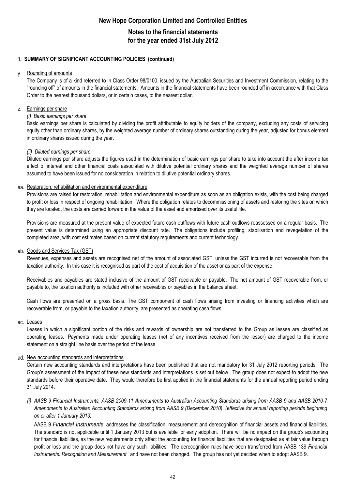## **Notes to the financial statements for the year ended 31st July 2012**

#### **1. SUMMARY OF SIGNIFICANT ACCOUNTING POLICIES (continued)**

#### y. Rounding of amounts

The Company is of a kind referred to in Class Order 98/0100, issued by the Australian Securities and Investment Commission, relating to the "rounding off" of amounts in the financial statements. Amounts in the financial statements have been rounded off in accordance with that Class Order to the nearest thousand dollars, or in certain cases, to the nearest dollar.

#### z. Earnings per share

#### *(i) Basic earnings per share*

Basic earnings per share is calculated by dividing the profit attributable to equity holders of the company, excluding any costs of servicing equity other than ordinary shares, by the weighted average number of ordinary shares outstanding during the year, adjusted for bonus element in ordinary shares issued during the year.

#### *(ii) Diluted earnings per share*

Diluted earnings per share adjusts the figures used in the determination of basic earnings per share to take into account the after income tax effect of interest and other financial costs associated with dilutive potential ordinary shares and the weighted average number of shares assumed to have been issued for no consideration in relation to dilutive potential ordinary shares.

#### aa. Restoration, rehabilitation and environmental expenditure

Provisions are raised for restoration, rehabilitation and environmental expenditure as soon as an obligation exists, with the cost being charged to profit or loss in respect of ongoing rehabilitation. Where the obligation relates to decommissioning of assets and restoring the sites on which they are located, the costs are carried forward in the value of the asset and amortised over its useful life.

Provisions are measured at the present value of expected future cash outflows with future cash outflows reassessed on a regular basis. The present value is determined using an appropriate discount rate. The obligations include profiling, stabilisation and revegetation of the completed area, with cost estimates based on current statutory requirements and current technology.

#### ab. Goods and Services Tax (GST)

Revenues, expenses and assets are recognised net of the amount of associated GST, unless the GST incurred is not recoverable from the taxation authority. In this case it is recognised as part of the cost of acquisition of the asset or as part of the expense.

Receivables and payables are stated inclusive of the amount of GST receivable or payable. The net amount of GST recoverable from, or payable to, the taxation authority is included with other receivables or payables in the balance sheet.

Cash flows are presented on a gross basis. The GST component of cash flows arising from investing or financing activities which are recoverable from, or payable to the taxation authority, are presented as operating cash flows.

#### ac. <u>Leases</u>

Leases in which a significant portion of the risks and rewards of ownership are not transferred to the Group as lessee are classified as operating leases. Payments made under operating leases (net of any incentives received from the lessor) are charged to the income statement on a straight line basis over the period of the lease.

#### ad. New accounting standards and interpretations

Certain new accounting standards and interpretations have been published that are not mandatory for 31 July 2012 reporting periods. The Group's assessment of the impact of these new standards and interpretations is set out below. The group does not expect to adopt the new standards before their operative date. They would therefore be first applied in the financial statements for the annual reporting period ending 31 July 2014.

(i) AASB 9 Financial Instruments, AASB 2009-11 Amendments to Australian Accounting Standards arising from AASB 9 and AASB 2010-7 Amendments to Australian Accounting Standards arising from AASB 9 (December 2010) (effective for annual reporting periods beginning *on or after 1 January 2013)*

AASB 9 *Financial Instruments* addresses the classification, measurement and derecognition of financial assets and financial liabilities. The standard is not applicable until 1 January 2013 but is available for early adoption. There will be no impact on the group's accounting for financial liabilities, as the new requirements only affect the accounting for financial liabilities that are designated as at fair value through profit or loss and the group does not have any such liabilities. The derecognition rules have been transferred from AASB 139 *Financial Instruments: Recognition and Measurement* and have not been changed. The group has not yet decided when to adopt AASB 9.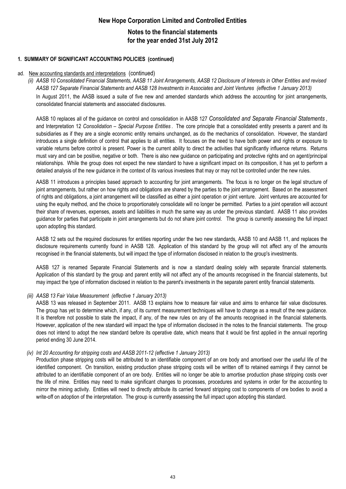## **New Hope Corporation Limited and Controlled Entities Notes to the financial statements for the year ended 31st July 2012**

#### **1. SUMMARY OF SIGNIFICANT ACCOUNTING POLICIES (continued)**

#### ad. New accounting standards and interpretations (continued)

(ii) AASB 10 Consolidated Financial Statements, AASB 11 Joint Arrangements, AASB 12 Disclosure of Interests in Other Entities and revised *AASB 127 Separate Financial Statements and AASB 128 Investments in Associates and Joint Ventures (effective 1 January 2013)*

In August 2011, the AASB issued a suite of five new and amended standards which address the accounting for joint arrangements, consolidated financial statements and associated disclosures.

AASB 10 replaces all of the guidance on control and consolidation in AASB 127 *Consolidated and Separate Financial Statements* , and Interpretation 12 *Consolidation – Special Purpose Entities* . The core principle that a consolidated entity presents a parent and its subsidiaries as if they are a single economic entity remains unchanged, as do the mechanics of consolidation. However, the standard introduces a single definition of control that applies to all entities. It focuses on the need to have both power and rights or exposure to variable returns before control is present. Power is the current ability to direct the activities that significantly influence returns. Returns must vary and can be positive, negative or both. There is also new guidance on participating and protective rights and on agent/principal relationships. While the group does not expect the new standard to have a significant impact on its composition, it has yet to perform a detailed analysis of the new guidance in the context of its various investees that may or may not be controlled under the new rules.

AASB 11 introduces a principles based approach to accounting for joint arrangements. The focus is no longer on the legal structure of joint arrangements, but rather on how rights and obligations are shared by the parties to the joint arrangement. Based on the assessment of rights and obligations, a joint arrangement will be classified as either a joint operation or joint venture. Joint ventures are accounted for using the equity method, and the choice to proportionately consolidate will no longer be permitted. Parties to a joint operation will account their share of revenues, expenses, assets and liabilities in much the same way as under the previous standard. AASB 11 also provides guidance for parties that participate in joint arrangements but do not share joint control. The group is currently assessing the full impact upon adopting this standard.

AASB 12 sets out the required disclosures for entities reporting under the two new standards, AASB 10 and AASB 11, and replaces the disclosure requirements currently found in AASB 128. Application of this standard by the group will not affect any of the amounts recognised in the financial statements, but will impact the type of information disclosed in relation to the group's investments.

AASB 127 is renamed Separate Financial Statements and is now a standard dealing solely with separate financial statements. Application of this standard by the group and parent entity will not affect any of the amounts recognised in the financial statements, but may impact the type of information disclosed in relation to the parent's investments in the separate parent entity financial statements.

#### *(iii) AASB 13 Fair Value Measurement (effective 1 January 2013)*

AASB 13 was released in September 2011. AASB 13 explains how to measure fair value and aims to enhance fair value disclosures. The group has yet to determine which, if any, of its current measurement techniques will have to change as a result of the new guidance. It is therefore not possible to state the impact, if any, of the new rules on any of the amounts recognised in the financial statements. However, application of the new standard will impact the type of information disclosed in the notes to the financial statements. The group does not intend to adopt the new standard before its operative date, which means that it would be first applied in the annual reporting period ending 30 June 2014.

#### *(iv) Int 20 Accounting for stripping costs and AASB 2011-12 (effective 1 January 2013)*

Production phase stripping costs will be attributed to an identifiable component of an ore body and amortised over the useful life of the identified component. On transition, existing production phase stripping costs will be written off to retained earnings if they cannot be attributed to an identifiable component of an ore body. Entities will no longer be able to amortise production phase stripping costs over the life of mine. Entities may need to make significant changes to processes, procedures and systems in order for the accounting to mirror the mining activity. Entities will need to directly attribute its carried forward stripping cost to components of ore bodies to avoid a write-off on adoption of the interpretation. The group is currently assessing the full impact upon adopting this standard.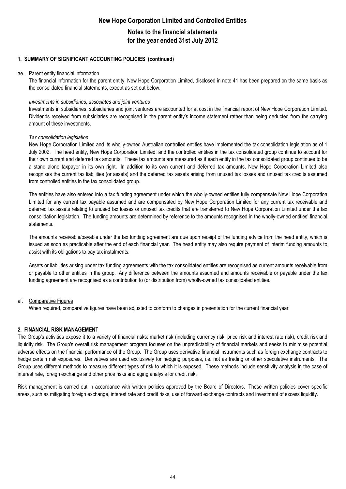### **Notes to the financial statements for the year ended 31st July 2012**

#### **1. SUMMARY OF SIGNIFICANT ACCOUNTING POLICIES (continued)**

#### ae. Parent entity financial information

The financial information for the parent entity, New Hope Corporation Limited, disclosed in note 41 has been prepared on the same basis as the consolidated financial statements, except as set out below.

#### *Investments in subsidiaries, associates and joint ventures*

Investments in subsidiaries, subsidiaries and joint ventures are accounted for at cost in the financial report of New Hope Corporation Limited. Dividends received from subsidiaries are recognised in the parent entity's income statement rather than being deducted from the carrying amount of these investments.

#### *Tax consolidation legislation*

New Hope Corporation Limited and its wholly-owned Australian controlled entities have implemented the tax consolidation legislation as of 1 July 2002. The head entity, New Hope Corporation Limited, and the controlled entities in the tax consolidated group continue to account for their own current and deferred tax amounts. These tax amounts are measured as if each entity in the tax consolidated group continues to be a stand alone taxpayer in its own right. In addition to its own current and deferred tax amounts, New Hope Corporation Limited also recognises the current tax liabilities (or assets) and the deferred tax assets arising from unused tax losses and unused tax credits assumed from controlled entities in the tax consolidated group.

The entities have also entered into a tax funding agreement under which the wholly-owned entities fully compensate New Hope Corporation Limited for any current tax payable assumed and are compensated by New Hope Corporation Limited for any current tax receivable and deferred tax assets relating to unused tax losses or unused tax credits that are transferred to New Hope Corporation Limited under the tax consolidation legislation. The funding amounts are determined by reference to the amounts recognised in the wholly-owned entities' financial statements.

The amounts receivable/payable under the tax funding agreement are due upon receipt of the funding advice from the head entity, which is issued as soon as practicable after the end of each financial year. The head entity may also require payment of interim funding amounts to assist with its obligations to pay tax instalments.

Assets or liabilities arising under tax funding agreements with the tax consolidated entities are recognised as current amounts receivable from or payable to other entities in the group. Any difference between the amounts assumed and amounts receivable or payable under the tax funding agreement are recognised as a contribution to (or distribution from) wholly-owned tax consolidated entities.

#### af. Comparative Figures

When required, comparative figures have been adjusted to conform to changes in presentation for the current financial year.

#### **2. FINANCIAL RISK MANAGEMENT**

The Group's activities expose it to a variety of financial risks: market risk (including currency risk, price risk and interest rate risk), credit risk and liquidity risk. The Group's overall risk management program focuses on the unpredictability of financial markets and seeks to minimise potential adverse effects on the financial performance of the Group. The Group uses derivative financial instruments such as foreign exchange contracts to hedge certain risk exposures. Derivatives are used exclusively for hedging purposes, i.e. not as trading or other speculative instruments. The Group uses different methods to measure different types of risk to which it is exposed. These methods include sensitivity analysis in the case of interest rate, foreign exchange and other price risks and aging analysis for credit risk.

Risk management is carried out in accordance with written policies approved by the Board of Directors. These written policies cover specific areas, such as mitigating foreign exchange, interest rate and credit risks, use of forward exchange contracts and investment of excess liquidity.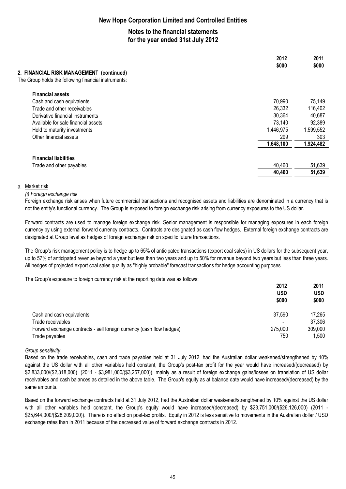## **Notes to the financial statements for the year ended 31st July 2012**

| 2. FINANCIAL RISK MANAGEMENT (continued)             | 2012<br>\$000 | 2011<br>\$000 |
|------------------------------------------------------|---------------|---------------|
| The Group holds the following financial instruments: |               |               |
| <b>Financial assets</b>                              |               |               |
| Cash and cash equivalents                            | 70,990        | 75,149        |
| Trade and other receivables                          | 26,332        | 116,402       |
| Derivative financial instruments                     | 30,364        | 40,687        |
| Available for sale financial assets                  | 73,140        | 92,389        |
| Held to maturity investments                         | 1,446,975     | 1,599,552     |
| Other financial assets                               | 299           | 303           |
|                                                      | 1,648,100     | 1,924,482     |
| <b>Financial liabilities</b>                         |               |               |
| Trade and other payables                             | 40,460        | 51,639        |
|                                                      | 40,460        | 51,639        |

#### a. <u>Market risk</u>

*(i) Foreign exchange risk*

Foreign exchange risk arises when future commercial transactions and recognised assets and liabilities are denominated in a currency that is not the entity's functional currency. The Group is exposed to foreign exchange risk arising from currency exposures to the US dollar.

Forward contracts are used to manage foreign exchange risk. Senior management is responsible for managing exposures in each foreign currency by using external forward currency contracts. Contracts are designated as cash flow hedges. External foreign exchange contracts are designated at Group level as hedges of foreign exchange risk on specific future transactions.

The Group's risk management policy is to hedge up to 65% of anticipated transactions (export coal sales) in US dollars for the subsequent year, up to 57% of anticipated revenue beyond a year but less than two years and up to 50% for revenue beyond two years but less than three years. All hedges of projected export coal sales qualify as "highly probable" forecast transactions for hedge accounting purposes.

The Group's exposure to foreign currency risk at the reporting date was as follows:

|                                                                       | 2012                     | 2011       |
|-----------------------------------------------------------------------|--------------------------|------------|
|                                                                       | <b>USD</b>               | <b>USD</b> |
|                                                                       | \$000                    | \$000      |
| Cash and cash equivalents                                             | 37,590                   | 17,265     |
| Trade receivables                                                     | $\overline{\phantom{a}}$ | 37,306     |
| Forward exchange contracts - sell foreign currency (cash flow hedges) | 275,000                  | 309,000    |
| Trade payables                                                        | 750                      | 1,500      |

#### *Group sensitivity*

Based on the trade receivables, cash and trade payables held at 31 July 2012, had the Australian dollar weakened/strengthened by 10% against the US dollar with all other variables held constant, the Group's post-tax profit for the year would have increased/(decreased) by \$2,833,000/(\$2,318,000) (2011 - \$3,981,000/(\$3,257,000)), mainly as a result of foreign exchange gains/losses on translation of US dollar receivables and cash balances as detailed in the above table. The Group's equity as at balance date would have increased/(decreased) by the same amounts.

Based on the forward exchange contracts held at 31 July 2012, had the Australian dollar weakened/strengthened by 10% against the US dollar with all other variables held constant, the Group's equity would have increased/(decreased) by \$23,751,000/(\$26,126,000) (2011 - \$25,644,000/(\$28,209,000)). There is no effect on post-tax profits. Equity in 2012 is less sensitive to movements in the Australian dollar / USD exchange rates than in 2011 because of the decreased value of forward exchange contracts in 2012.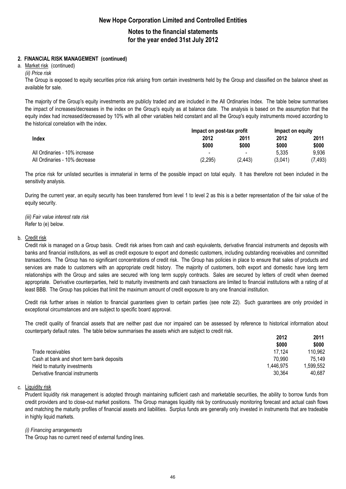## **Notes to the financial statements for the year ended 31st July 2012**

### **2. FINANCIAL RISK MANAGEMENT (continued)**

#### a. <u>Market risk</u> (continued)

*(ii) Price risk*

The Group is exposed to equity securities price risk arising from certain investments held by the Group and classified on the balance sheet as available for sale.

The majority of the Group's equity investments are publicly traded and are included in the All Ordinaries Index. The table below summarises the impact of increases/decreases in the index on the Group's equity as at balance date. The analysis is based on the assumption that the equity index had increased/decreased by 10% with all other variables held constant and all the Group's equity instruments moved according to the historical correlation with the index.

|                               | Impact on post-tax profit |                          | Impact on equity |         |
|-------------------------------|---------------------------|--------------------------|------------------|---------|
| Index                         | 2012                      | 2011                     | 2012             | 2011    |
|                               | \$000                     | \$000                    | \$000            | \$000   |
| All Ordinaries - 10% increase | -                         | $\overline{\phantom{a}}$ | 5.335            | 9.936   |
| All Ordinaries - 10% decrease | (2, 295)                  | (2.443)                  | (3,041)          | (7,493) |

The price risk for unlisted securities is immaterial in terms of the possible impact on total equity. It has therefore not been included in the sensitivity analysis.

During the current year, an equity security has been transferred from level 1 to level 2 as this is a better representation of the fair value of the equity security.

Refer to (e) below. *(iii) Fair value interest rate risk*

#### b. <u>Credit risk</u>

Credit risk is managed on a Group basis. Credit risk arises from cash and cash equivalents, derivative financial instruments and deposits with banks and financial institutions, as well as credit exposure to export and domestic customers, including outstanding receivables and committed transactions. The Group has no significant concentrations of credit risk. The Group has policies in place to ensure that sales of products and services are made to customers with an appropriate credit history. The majority of customers, both export and domestic have long term relationships with the Group and sales are secured with long term supply contracts. Sales are secured by letters of credit when deemed appropriate. Derivative counterparties, held to maturity investments and cash transactions are limited to financial institutions with a rating of at least BBB. The Group has policies that limit the maximum amount of credit exposure to any one financial institution.

Credit risk further arises in relation to financial guarantees given to certain parties (see note 22). Such guarantees are only provided in exceptional circumstances and are subject to specific board approval.

The credit quality of financial assets that are neither past due nor impaired can be assessed by reference to historical information about counterparty default rates. The table below summarises the assets which are subject to credit risk.

|                                           | 2012      | 2011     |
|-------------------------------------------|-----------|----------|
|                                           | \$000     | \$000    |
| Trade receivables                         | 17.124    | 110,962  |
| Cash at bank and short term bank deposits | 70.990    | 75,149   |
| Held to maturity investments              | 1.446.975 | .599.552 |
| Derivative financial instruments          | 30.364    | 40.687   |

#### c. <u>Liquidity risk</u>

Prudent liquidity risk management is adopted through maintaining sufficient cash and marketable securities, the ability to borrow funds from credit providers and to close-out market positions. The Group manages liquidity risk by continuously monitoring forecast and actual cash flows and matching the maturity profiles of financial assets and liabilities. Surplus funds are generally only invested in instruments that are tradeable in highly liquid markets.

#### *(i) Financing arrangements*

The Group has no current need of external funding lines.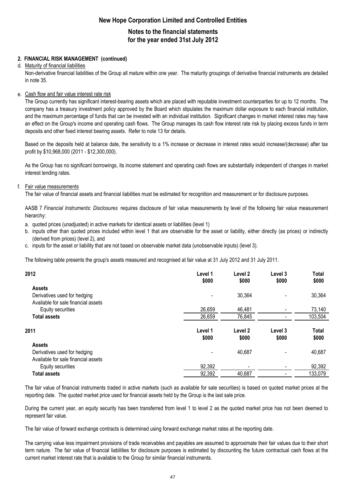## **Notes to the financial statements for the year ended 31st July 2012**

#### **2. FINANCIAL RISK MANAGEMENT (continued)**

#### d. Maturity of financial liabilities

Non-derivative financial liabilities of the Group all mature within one year. The maturity groupings of derivative financial instruments are detailed in note 35.

#### e. Cash flow and fair value interest rate risk

The Group currently has significant interest-bearing assets which are placed with reputable investment counterparties for up to 12 months. The company has a treasury investment policy approved by the Board which stipulates the maximum dollar exposure to each financial institution, and the maximum percentage of funds that can be invested with an individual institution. Significant changes in market interest rates may have an effect on the Group's income and operating cash flows. The Group manages its cash flow interest rate risk by placing excess funds in term deposits and other fixed interest bearing assets. Refer to note 13 for details.

Based on the deposits held at balance date, the sensitivity to a 1% increase or decrease in interest rates would increase/(decrease) after tax profit by \$10,968,000 (2011 - \$12,300,000).

As the Group has no significant borrowings, its income statement and operating cash flows are substantially independent of changes in market interest lending rates.

#### f. Fair value measurements

The fair value of financial assets and financial liabilities must be estimated for recognition and measurement or for disclosure purposes.

AASB 7 *Financial Instruments: Disclosures* requires disclosure of fair value measurements by level of the following fair value measurement hierarchy:

- a. quoted prices (unadjusted) in active markets for identical assets or liabilities (level 1)
- b. inputs other than quoted prices included within level 1 that are observable for the asset or liability, either directly (as prices) or indirectly (derived from prices) (level 2), and
- c. inputs for the asset or liability that are not based on observable market data (unobservable inputs) (level 3).

The following table presents the group's assets measured and recognised at fair value at 31 July 2012 and 31 July 2011.

| 2012                                | Level 1<br>\$000 | Level 2<br>\$000 | Level 3<br>\$000 | Total<br>\$000 |
|-------------------------------------|------------------|------------------|------------------|----------------|
| <b>Assets</b>                       |                  |                  |                  |                |
| Derivatives used for hedging        |                  | 30,364           | $\blacksquare$   | 30,364         |
| Available for sale financial assets |                  |                  |                  |                |
| Equity securities                   | 26,659           | 46,481           |                  | 73,140         |
| <b>Total assets</b>                 | 26,659           | 76,845           |                  | 103,504        |
| 2011                                | Level 1<br>\$000 | Level 2<br>\$000 | Level 3<br>\$000 | Total<br>\$000 |
| <b>Assets</b>                       |                  |                  |                  |                |
| Derivatives used for hedging        |                  | 40,687           |                  | 40,687         |
| Available for sale financial assets |                  |                  |                  |                |
| Equity securities                   | 92,392           |                  |                  | 92,392         |
| <b>Total assets</b>                 | 92,392           | 40,687           | -                | 133,079        |
|                                     |                  |                  |                  |                |

The fair value of financial instruments traded in active markets (such as available for sale securities) is based on quoted market prices at the reporting date. The quoted market price used for financial assets held by the Group is the last sale price.

During the current year, an equity security has been transferred from level 1 to level 2 as the quoted market price has not been deemed to represent fair value.

The fair value of forward exchange contracts is determined using forward exchange market rates at the reporting date.

The carrying value less impairment provisions of trade receivables and payables are assumed to approximate their fair values due to their short term nature. The fair value of financial liabilities for disclosure purposes is estimated by discounting the future contractual cash flows at the current market interest rate that is available to the Group for similar financial instruments.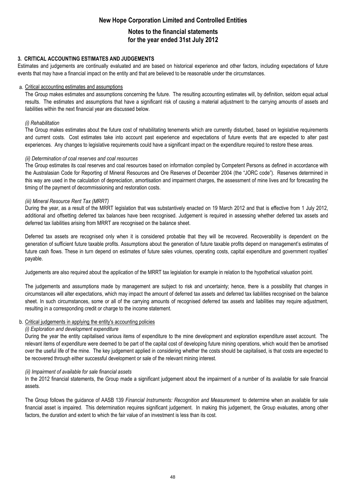## **Notes to the financial statements for the year ended 31st July 2012**

#### **3. CRITICAL ACCOUNTING ESTIMATES AND JUDGEMENTS**

Estimates and judgements are continually evaluated and are based on historical experience and other factors, including expectations of future events that may have a financial impact on the entity and that are believed to be reasonable under the circumstances.

#### a. Critical accounting estimates and assumptions

The Group makes estimates and assumptions concerning the future. The resulting accounting estimates will, by definition, seldom equal actual results. The estimates and assumptions that have a significant risk of causing a material adjustment to the carrying amounts of assets and liabilities within the next financial year are discussed below.

#### *(i) Rehabilitation*

The Group makes estimates about the future cost of rehabilitating tenements which are currently disturbed, based on legislative requirements and current costs. Cost estimates take into account past experience and expectations of future events that are expected to alter past experiences. Any changes to legislative requirements could have a significant impact on the expenditure required to restore these areas.

#### *(ii) Determination of coal reserves and coal resources*

The Group estimates its coal reserves and coal resources based on information compiled by Competent Persons as defined in accordance with the Australasian Code for Reporting of Mineral Resources and Ore Reserves of December 2004 (the "JORC code"). Reserves determined in this way are used in the calculation of depreciation, amortisation and impairment charges, the assessment of mine lives and for forecasting the timing of the payment of decommissioning and restoration costs.

#### *(iii) Mineral Resource Rent Tax (MRRT)*

During the year, as a result of the MRRT legislation that was substantively enacted on 19 March 2012 and that is effective from 1 July 2012, additional and offsetting deferred tax balances have been recognised. Judgement is required in assessing whether deferred tax assets and deferred tax liabilities arising from MRRT are recognised on the balance sheet.

Deferred tax assets are recognised only when it is considered probable that they will be recovered. Recoverability is dependent on the generation of sufficient future taxable profits. Assumptions about the generation of future taxable profits depend on management's estimates of future cash flows. These in turn depend on estimates of future sales volumes, operating costs, capital expenditure and government royalties' payable.

Judgements are also required about the application of the MRRT tax legislation for example in relation to the hypothetical valuation point.

The judgements and assumptions made by management are subject to risk and uncertainty; hence, there is a possibility that changes in circumstances will alter expectations, which may impact the amount of deferred tax assets and deferred tax liabilities recognised on the balance sheet. In such circumstances, some or all of the carrying amounts of recognised deferred tax assets and liabilities may require adjustment, resulting in a corresponding credit or charge to the income statement.

#### b. Critical judgements in applying the entity's accounting policies

#### *(i) Exploration and development expenditure*

During the year the entity capitalised various items of expenditure to the mine development and exploration expenditure asset account. The relevant items of expenditure were deemed to be part of the capital cost of developing future mining operations, which would then be amortised over the useful life of the mine. The key judgement applied in considering whether the costs should be capitalised, is that costs are expected to be recovered through either successful development or sale of the relevant mining interest.

#### *(ii) Impairment of available for sale financial assets*

In the 2012 financial statements, the Group made a significant judgement about the impairment of a number of its available for sale financial assets.

The Group follows the guidance of AASB 139 *Financial Instruments: Recognition and Measurement* to determine when an available for sale financial asset is impaired. This determination requires significant judgement. In making this judgement, the Group evaluates, among other factors, the duration and extent to which the fair value of an investment is less than its cost.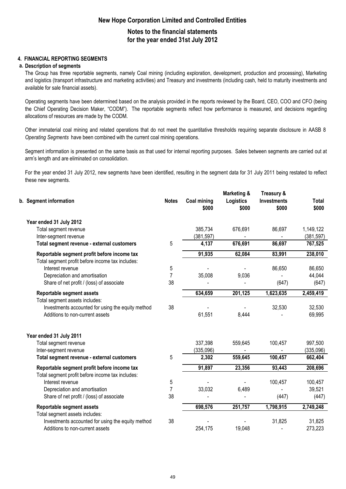## **Notes to the financial statements for the year ended 31st July 2012**

#### **4. FINANCIAL REPORTING SEGMENTS**

#### **a. Description of segments**

The Group has three reportable segments, namely Coal mining (including exploration, development, production and processing), Marketing and logistics (transport infrastructure and marketing activities) and Treasury and investments (including cash, held to maturity investments and available for sale financial assets).

Operating segments have been determined based on the analysis provided in the reports reviewed by the Board, CEO, COO and CFO (being the Chief Operating Decision Maker, "CODM"). The reportable segments reflect how performance is measured, and decisions regarding allocations of resources are made by the CODM.

Other immaterial coal mining and related operations that do not meet the quantitative thresholds requiring separate disclosure in AASB 8 *Operating Segments* have been combined with the current coal mining operations.

Segment information is presented on the same basis as that used for internal reporting purposes. Sales between segments are carried out at arm's length and are eliminated on consolidation.

For the year ended 31 July 2012, new segments have been identified, resulting in the segment data for 31 July 2011 being restated to reflect these new segments.

| b. Segment information                                                               | <b>Notes</b>   | <b>Coal mining</b><br>\$000 | <b>Marketing &amp;</b><br>Logistics<br>\$000 | Treasury &<br><b>Investments</b><br>\$000 | <b>Total</b><br>\$000   |
|--------------------------------------------------------------------------------------|----------------|-----------------------------|----------------------------------------------|-------------------------------------------|-------------------------|
| Year ended 31 July 2012                                                              |                |                             |                                              |                                           |                         |
| Total segment revenue<br>Inter-segment revenue                                       |                | 385,734<br>(381, 597)       | 676,691                                      | 86,697                                    | 1,149,122<br>(381, 597) |
| Total segment revenue - external customers                                           | 5              | 4,137                       | 676,691                                      | 86,697                                    | 767,525                 |
| Reportable segment profit before income tax                                          |                | 91,935                      | 62,084                                       | 83,991                                    | 238,010                 |
| Total segment profit before income tax includes:<br>Interest revenue                 | 5              |                             |                                              | 86,650                                    | 86,650                  |
| Depreciation and amortisation                                                        | $\overline{7}$ | 35,008                      | 9,036                                        |                                           | 44,044                  |
| Share of net profit / (loss) of associate                                            | 38             |                             |                                              | (647)                                     | (647)                   |
| Reportable segment assets                                                            |                | 634,659                     | 201,125                                      | 1,623,635                                 | 2,459,419               |
| Total segment assets includes:                                                       | 38             |                             |                                              | 32,530                                    | 32,530                  |
| Investments accounted for using the equity method<br>Additions to non-current assets |                | 61,551                      | 8,444                                        |                                           | 69,995                  |
| Year ended 31 July 2011                                                              |                |                             |                                              |                                           |                         |
| Total segment revenue                                                                |                | 337,398                     | 559,645                                      | 100,457                                   | 997,500                 |
| Inter-segment revenue                                                                |                | (335,096)                   |                                              |                                           | (335,096)               |
| Total segment revenue - external customers                                           | 5              | 2,302                       | 559,645                                      | 100,457                                   | 662,404                 |
| Reportable segment profit before income tax                                          |                | 91,897                      | 23,356                                       | 93,443                                    | 208,696                 |
| Total segment profit before income tax includes:<br>Interest revenue                 | 5              |                             |                                              | 100,457                                   | 100,457                 |
| Depreciation and amortisation                                                        | $\overline{7}$ | 33,032                      | 6,489                                        |                                           | 39,521                  |
| Share of net profit / (loss) of associate                                            | 38             |                             |                                              | (447)                                     | (447)                   |
| Reportable segment assets                                                            |                | 698,576                     | 251,757                                      | 1,798,915                                 | 2,749,248               |
| Total segment assets includes:<br>Investments accounted for using the equity method  | 38             |                             |                                              | 31,825                                    | 31,825                  |
| Additions to non-current assets                                                      |                | 254,175                     | 19,048                                       |                                           | 273,223                 |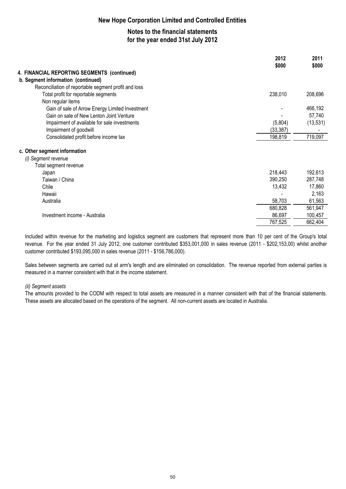## **Notes to the financial statements for the year ended 31st July 2012**

|                                                      | 2012<br>\$000 | 2011<br>\$000 |
|------------------------------------------------------|---------------|---------------|
| 4. FINANCIAL REPORTING SEGMENTS (continued)          |               |               |
| b. Segment information (continued)                   |               |               |
| Reconciliation of reportable segment profit and loss |               |               |
| Total profit for reportable segments                 | 238,010       | 208,696       |
| Non regular items                                    |               |               |
| Gain of sale of Arrow Energy Limited Investment      |               | 466,192       |
| Gain on sale of New Lenton Joint Venture             |               | 57,740        |
| Impairment of available for sale investments         | (5,804)       | (13, 531)     |
| Impairment of goodwill                               | (33, 387)     |               |
| Consolidated profit before income tax                | 198,819       | 719,097       |
| c. Other segment information                         |               |               |
| (i) Segment revenue                                  |               |               |
| Total segment revenue                                |               |               |
| Japan                                                | 218,443       | 192,613       |
| Taiwan / China                                       | 390,250       | 287,748       |
| Chile                                                | 13,432        | 17,860        |
| Hawaii                                               |               | 2,163         |
| Australia                                            | 58,703        | 61,563        |
|                                                      | 680,828       | 561,947       |
| Investment income - Australia                        | 86,697        | 100,457       |
|                                                      | 767,525       | 662,404       |

Included within revenue for the marketing and logistics segment are customers that represent more than 10 per cent of the Group's total revenue. For the year ended 31 July 2012, one customer contributed \$353,001,000 in sales revenue (2011 - \$202,153,00) whilst another customer contributed \$193,095,000 in sales revenue (2011 - \$156,786,000).

Sales between segments are carried out at arm's length and are eliminated on consolidation. The revenue reported from external parties is measured in a manner consistent with that in the income statement.

#### *(ii) Segment assets*

The amounts provided to the CODM with respect to total assets are measured in a manner consistent with that of the financial statements. These assets are allocated based on the operations of the segment. All non-current assets are located in Australia.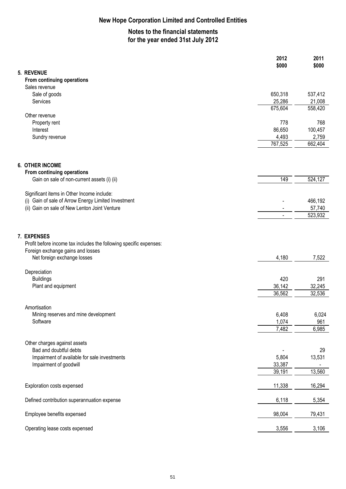## **Notes to the financial statements for the year ended 31st July 2012**

| 5. REVENUE<br>From continuing operations<br>Sales revenue<br>650,318<br>Sale of goods<br>537,412<br>25,286<br>21,008<br>Services<br>675,604<br>558,420<br>Other revenue<br>778<br>768<br>Property rent<br>86,650<br>100,457<br>Interest<br>4,493<br>2,759<br>Sundry revenue<br>767,525<br>662,404<br><b>6. OTHER INCOME</b><br>From continuing operations<br>149<br>524,127<br>Gain on sale of non-current assets (i) (ii) | 2011<br>\$000 |
|----------------------------------------------------------------------------------------------------------------------------------------------------------------------------------------------------------------------------------------------------------------------------------------------------------------------------------------------------------------------------------------------------------------------------|---------------|
|                                                                                                                                                                                                                                                                                                                                                                                                                            |               |
|                                                                                                                                                                                                                                                                                                                                                                                                                            |               |
|                                                                                                                                                                                                                                                                                                                                                                                                                            |               |
|                                                                                                                                                                                                                                                                                                                                                                                                                            |               |
|                                                                                                                                                                                                                                                                                                                                                                                                                            |               |
|                                                                                                                                                                                                                                                                                                                                                                                                                            |               |
|                                                                                                                                                                                                                                                                                                                                                                                                                            |               |
|                                                                                                                                                                                                                                                                                                                                                                                                                            |               |
|                                                                                                                                                                                                                                                                                                                                                                                                                            |               |
|                                                                                                                                                                                                                                                                                                                                                                                                                            |               |
|                                                                                                                                                                                                                                                                                                                                                                                                                            |               |
|                                                                                                                                                                                                                                                                                                                                                                                                                            |               |
|                                                                                                                                                                                                                                                                                                                                                                                                                            |               |
| Significant items in Other Income include:                                                                                                                                                                                                                                                                                                                                                                                 |               |
| (i) Gain of sale of Arrow Energy Limited Investment<br>466,192                                                                                                                                                                                                                                                                                                                                                             |               |
| (ii) Gain on sale of New Lenton Joint Venture<br>57,740                                                                                                                                                                                                                                                                                                                                                                    |               |
| 523,932                                                                                                                                                                                                                                                                                                                                                                                                                    |               |
| 7. EXPENSES                                                                                                                                                                                                                                                                                                                                                                                                                |               |
| Profit before income tax includes the following specific expenses:                                                                                                                                                                                                                                                                                                                                                         |               |
| Foreign exchange gains and losses                                                                                                                                                                                                                                                                                                                                                                                          |               |
| Net foreign exchange losses<br>4,180<br>7,522                                                                                                                                                                                                                                                                                                                                                                              |               |
| Depreciation                                                                                                                                                                                                                                                                                                                                                                                                               |               |
| <b>Buildings</b><br>420<br>291                                                                                                                                                                                                                                                                                                                                                                                             |               |
| Plant and equipment<br>32,245<br>36,142                                                                                                                                                                                                                                                                                                                                                                                    |               |
| 36,562<br>32,536                                                                                                                                                                                                                                                                                                                                                                                                           |               |
| Amortisation                                                                                                                                                                                                                                                                                                                                                                                                               |               |
| 6,408<br>6,024<br>Mining reserves and mine development                                                                                                                                                                                                                                                                                                                                                                     |               |
| Software<br>1,074<br>961                                                                                                                                                                                                                                                                                                                                                                                                   |               |
| 7,482<br>6,985                                                                                                                                                                                                                                                                                                                                                                                                             |               |
|                                                                                                                                                                                                                                                                                                                                                                                                                            |               |
| Other charges against assets<br>Bad and doubtful debts<br>29                                                                                                                                                                                                                                                                                                                                                               |               |
| Impairment of available for sale investments<br>5,804<br>13,531                                                                                                                                                                                                                                                                                                                                                            |               |
| Impairment of goodwill<br>33,387                                                                                                                                                                                                                                                                                                                                                                                           |               |
| 39,191<br>13,560                                                                                                                                                                                                                                                                                                                                                                                                           |               |
|                                                                                                                                                                                                                                                                                                                                                                                                                            |               |
| 11,338<br>Exploration costs expensed<br>16,294                                                                                                                                                                                                                                                                                                                                                                             |               |
| 6,118<br>Defined contribution superannuation expense<br>5,354                                                                                                                                                                                                                                                                                                                                                              |               |
| Employee benefits expensed<br>98,004<br>79,431                                                                                                                                                                                                                                                                                                                                                                             |               |
| Operating lease costs expensed<br>3,556<br>3,106                                                                                                                                                                                                                                                                                                                                                                           |               |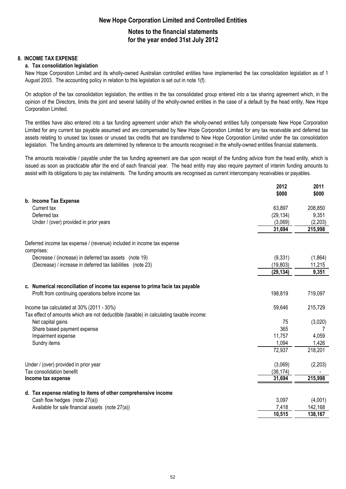## **Notes to the financial statements for the year ended 31st July 2012**

#### **8. INCOME TAX EXPENSE**

#### **a. Tax consolidation legislation**

New Hope Corporation Limited and its wholly-owned Australian controlled entities have implemented the tax consolidation legislation as of 1 August 2003. The accounting policy in relation to this legislation is set out in note 1(f).

On adoption of the tax consolidation legislation, the entities in the tax consolidated group entered into a tax sharing agreement which, in the opinion of the Directors, limits the joint and several liability of the wholly-owned entities in the case of a default by the head entity, New Hope Corporation Limited.

The entities have also entered into a tax funding agreement under which the wholly-owned entities fully compensate New Hope Corporation Limited for any current tax payable assumed and are compensated by New Hope Corporation Limited for any tax receivable and deferred tax assets relating to unused tax losses or unused tax credits that are transferred to New Hope Corporation Limited under the tax consolidation legislation. The funding amounts are determined by reference to the amounts recognised in the wholly-owned entities financial statements.

The amounts receivable / payable under the tax funding agreement are due upon receipt of the funding advice from the head entity, which is issued as soon as practicable after the end of each financial year. The head entity may also require payment of interim funding amounts to assist with its obligations to pay tax instalments. The funding amounts are recognised as current intercompany receivables or payables.

|                                                                                         | 2012      | 2011     |
|-----------------------------------------------------------------------------------------|-----------|----------|
| b. Income Tax Expense                                                                   | \$000     | \$000    |
| Current tax                                                                             | 63,897    | 208,850  |
| Deferred tax                                                                            | (29, 134) | 9,351    |
|                                                                                         | (3,069)   | (2, 203) |
| Under / (over) provided in prior years                                                  | 31,694    | 215,998  |
|                                                                                         |           |          |
| Deferred income tax expense / (revenue) included in income tax expense<br>comprises:    |           |          |
| Decrease / (increase) in deferred tax assets (note 19)                                  | (9, 331)  | (1,864)  |
| (Decrease) / increase in deferred tax liabilities (note 23)                             | (19, 803) | 11,215   |
|                                                                                         | (29, 134) | 9,351    |
| c. Numerical reconciliation of income tax expense to prima facie tax payable            |           |          |
| Profit from continuing operations before income tax                                     | 198,819   | 719,097  |
| Income tax calculated at 30% (2011 - 30%)                                               | 59,646    | 215,729  |
| Tax effect of amounts which are not deductible (taxable) in calculating taxable income: |           |          |
| Net capital gains                                                                       | 75        | (3,020)  |
| Share based payment expense                                                             | 365       |          |
| Impairment expense                                                                      | 11,757    | 4,059    |
| Sundry items                                                                            | 1,094     | 1,426    |
|                                                                                         | 72,937    | 218,201  |
| Under / (over) provided in prior year                                                   | (3,069)   | (2, 203) |
| Tax consolidation benefit                                                               | (38, 174) |          |
| Income tax expense                                                                      | 31,694    | 215,998  |
|                                                                                         |           |          |
| d. Tax expense relating to items of other comprehensive income                          |           |          |
| Cash flow hedges (note 27(a))                                                           | 3,097     | (4,001)  |
| Available for sale financial assets (note 27(a))                                        | 7,418     | 142,168  |
|                                                                                         | 10,515    | 138,167  |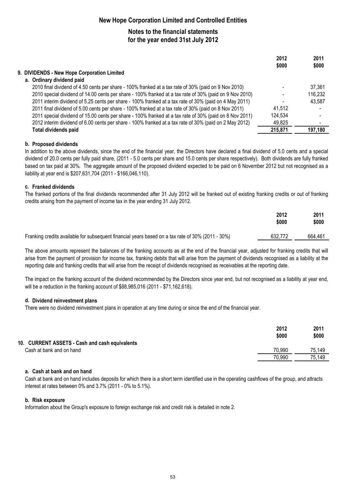## **Notes to the financial statements for the year ended 31st July 2012**

|                                                                                                         | 2012<br>\$000 | 2011<br>\$000 |
|---------------------------------------------------------------------------------------------------------|---------------|---------------|
| 9. DIVIDENDS - New Hope Corporation Limited                                                             |               |               |
| a. Ordinary dividend paid                                                                               |               |               |
| 2010 final dividend of 4.50 cents per share - 100% franked at a tax rate of 30% (paid on 9 Nov 2010)    |               | 37,361        |
| 2010 special dividend of 14.00 cents per share - 100% franked at a tax rate of 30% (paid on 9 Nov 2010) |               | 116,232       |
| 2011 interim dividend of 5.25 cents per share - 100% franked at a tax rate of 30% (paid on 4 May 2011)  |               | 43,587        |
| 2011 final dividend of 5.00 cents per share - 100% franked at a tax rate of 30% (paid on 8 Nov 2011)    | 41.512        |               |
| 2011 special dividend of 15.00 cents per share - 100% franked at a tax rate of 30% (paid on 8 Nov 2011) | 124,534       |               |
| 2012 interim dividend of 6.00 cents per share - 100% franked at a tax rate of 30% (paid on 2 May 2012)  | 49,825        |               |
| <b>Total dividends paid</b>                                                                             | 215,871       | 197,180       |
|                                                                                                         |               |               |

#### **b. Proposed dividends**

In addition to the above dividends, since the end of the financial year, the Directors have declared a final dividend of 5.0 cents and a special dividend of 20.0 cents per fully paid share, (2011 - 5.0 cents per share and 15.0 cents per share respectively). Both dividends are fully franked based on tax paid at 30%. The aggregate amount of the proposed dividend expected to be paid on 6 November 2012 but not recognised as a liability at year end is \$207,631,704 (2011 - \$166,046,110).

#### **c. Franked dividends**

The franked portions of the final dividends recommended after 31 July 2012 will be franked out of existing franking credits or out of franking credits arising from the payment of income tax in the year ending 31 July 2012.

|                                                                                                   | 2012<br>\$000 | 2011<br>\$000 |
|---------------------------------------------------------------------------------------------------|---------------|---------------|
| Franking credits available for subsequent financial years based on a tax rate of 30% (2011 - 30%) | 632.772       | 664.461       |

The above amounts represent the balances of the franking accounts as at the end of the financial year, adjusted for franking credits that will arise from the payment of provision for income tax, franking debits that will arise from the payment of dividends recognised as a liability at the reporting date and franking credits that will arise from the receipt of dividends recognised as receivables at the reporting date.

The impact on the franking account of the dividend recommended by the Directors since year end, but not recognised as a liability at year end, will be a reduction in the franking account of \$88,985,016 (2011 - \$71,162,618).

#### **d. Dividend reinvestment plans**

There were no dividend reinvestment plans in operation at any time during or since the end of the financial year.

|                                                | 2012<br>\$000 | 2011<br>\$000 |
|------------------------------------------------|---------------|---------------|
| 10. CURRENT ASSETS - Cash and cash equivalents |               |               |
| Cash at bank and on hand                       | 70,990        | 75.149        |
|                                                | 70,990        | 75,149        |

#### **a. Cash at bank and on hand**

Cash at bank and on hand includes deposits for which there is a short term identified use in the operating cashflows of the group, and attracts interest at rates between 0% and 3.7% (2011 - 0% to 5.1%).

#### **b. Risk exposure**

Information about the Group's exposure to foreign exchange risk and credit risk is detailed in note 2.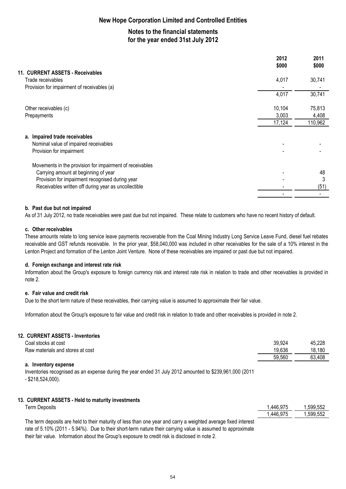## **Notes to the financial statements for the year ended 31st July 2012**

|                                                          | 2012<br>\$000 | 2011<br>\$000 |
|----------------------------------------------------------|---------------|---------------|
| 11. CURRENT ASSETS - Receivables                         |               |               |
| Trade receivables                                        | 4,017         | 30,741        |
| Provision for impairment of receivables (a)              |               |               |
|                                                          | 4,017         | 30,741        |
| Other receivables (c)                                    | 10,104        | 75,813        |
| Prepayments                                              | 3,003         | 4,408         |
|                                                          | 17,124        | 110,962       |
| a. Impaired trade receivables                            |               |               |
| Nominal value of impaired receivables                    |               |               |
| Provision for impairment                                 |               |               |
| Movements in the provision for impairment of receivables |               |               |
| Carrying amount at beginning of year                     |               | 48            |
| Provision for impairment recognised during year          |               | 3             |
| Receivables written off during year as uncollectible     |               | (51)          |
|                                                          |               |               |

#### **b. Past due but not impaired**

As of 31 July 2012, no trade receivables were past due but not impaired. These relate to customers who have no recent history of default.

#### **c. Other receivables**

These amounts relate to long service leave payments recoverable from the Coal Mining Industry Long Service Leave Fund, diesel fuel rebates receivable and GST refunds receivable. In the prior year, \$58,040,000 was included in other receivables for the sale of a 10% interest in the Lenton Project and formation of the Lenton Joint Venture. None of these receivables are impaired or past due but not impaired.

#### **d. Foreign exchange and interest rate risk**

Information about the Group's exposure to foreign currency risk and interest rate risk in relation to trade and other receivables is provided in note 2.

#### **e. Fair value and credit risk**

Due to the short term nature of these receivables, their carrying value is assumed to approximate their fair value.

Information about the Group's exposure to fair value and credit risk in relation to trade and other receivables is provided in note 2.

#### **12. CURRENT ASSETS - Inventories**

| Coal stocks at cost              | 39,924 | 45,228 |
|----------------------------------|--------|--------|
| Raw materials and stores at cost | 19,636 | 18,180 |
|                                  | 59.560 | 63.408 |
| a. Inventory expense             |        |        |

Inventories recognised as an expense during the year ended 31 July 2012 amounted to \$239,961,000 (2011 - \$218,524,000).

#### **13. CURRENT ASSETS - Held to maturity investments**

| Term Deposits                                                                                                  | .446,975 | .599,552 |
|----------------------------------------------------------------------------------------------------------------|----------|----------|
|                                                                                                                | .446,975 | .599.552 |
| The term deposits are held to their maturity of less than one year and carry a weighted average fixed interest |          |          |

rate of 5.10% (2011 - 5.94%). Due to their short-term nature their carrying value is assumed to approximate their fair value. Information about the Group's exposure to credit risk is disclosed in note 2.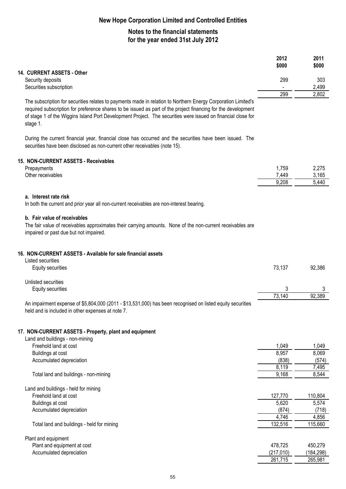## **Notes to the financial statements for the year ended 31st July 2012**

|                                                                                                                                                                                                                                                                                                                                                            | 2012<br>\$000         | 2011<br>\$000    |
|------------------------------------------------------------------------------------------------------------------------------------------------------------------------------------------------------------------------------------------------------------------------------------------------------------------------------------------------------------|-----------------------|------------------|
| 14. CURRENT ASSETS - Other<br>Security deposits                                                                                                                                                                                                                                                                                                            | 299                   | 303              |
| Securities subscription                                                                                                                                                                                                                                                                                                                                    | $\blacksquare$<br>299 | 2,499            |
| The subscription for securities relates to payments made in relation to Northern Energy Corporation Limited's<br>required subscription for preference shares to be issued as part of the project financing for the development<br>of stage 1 of the Wiggins Island Port Development Project. The securities were issued on financial close for<br>stage 1. |                       | 2,802            |
| During the current financial year, financial close has occurred and the securities have been issued. The<br>securities have been disclosed as non-current other receivables (note 15).                                                                                                                                                                     |                       |                  |
| 15. NON-CURRENT ASSETS - Receivables                                                                                                                                                                                                                                                                                                                       |                       |                  |
| Prepayments                                                                                                                                                                                                                                                                                                                                                | 1,759                 | 2,275            |
| Other receivables                                                                                                                                                                                                                                                                                                                                          | 7,449                 | 3,165            |
|                                                                                                                                                                                                                                                                                                                                                            | 9,208                 | 5,440            |
| a. Interest rate risk<br>In both the current and prior year all non-current receivables are non-interest bearing.                                                                                                                                                                                                                                          |                       |                  |
| b. Fair value of receivables<br>The fair value of receivables approximates their carrying amounts. None of the non-current receivables are<br>impaired or past due but not impaired.                                                                                                                                                                       |                       |                  |
| 16. NON-CURRENT ASSETS - Available for sale financial assets<br>Listed securities                                                                                                                                                                                                                                                                          |                       |                  |
| Equity securities                                                                                                                                                                                                                                                                                                                                          | 73,137                | 92,386           |
| Unlisted securities                                                                                                                                                                                                                                                                                                                                        |                       |                  |
| Equity securities                                                                                                                                                                                                                                                                                                                                          | 3                     | 3                |
|                                                                                                                                                                                                                                                                                                                                                            | 73, 140               | 92,389           |
| An impairment expense of \$5,804,000 (2011 - \$13,531,000) has been recognised on listed equity securities<br>held and is included in other expenses at note 7.                                                                                                                                                                                            |                       |                  |
| 17. NON-CURRENT ASSETS - Property, plant and equipment<br>Land and buildings - non-mining                                                                                                                                                                                                                                                                  |                       |                  |
| Freehold land at cost                                                                                                                                                                                                                                                                                                                                      | 1,049                 | 1,049            |
| Buildings at cost                                                                                                                                                                                                                                                                                                                                          | 8,957                 | 8,069            |
| Accumulated depreciation                                                                                                                                                                                                                                                                                                                                   | (838)                 | (574)            |
| Total land and buildings - non-mining                                                                                                                                                                                                                                                                                                                      | 8,119<br>9,168        | 7,495<br>8,544   |
|                                                                                                                                                                                                                                                                                                                                                            |                       |                  |
| Land and buildings - held for mining                                                                                                                                                                                                                                                                                                                       |                       |                  |
| Freehold land at cost                                                                                                                                                                                                                                                                                                                                      | 127,770               | 110,804          |
| Buildings at cost                                                                                                                                                                                                                                                                                                                                          | 5,620                 | 5,574            |
| Accumulated depreciation                                                                                                                                                                                                                                                                                                                                   | (874)                 | (718)            |
| Total land and buildings - held for mining                                                                                                                                                                                                                                                                                                                 | 4,746<br>132,516      | 4,856<br>115,660 |
|                                                                                                                                                                                                                                                                                                                                                            |                       |                  |
| Plant and equipment                                                                                                                                                                                                                                                                                                                                        |                       |                  |
| Plant and equipment at cost                                                                                                                                                                                                                                                                                                                                | 478,725               | 450,279          |
| Accumulated depreciation                                                                                                                                                                                                                                                                                                                                   | (217, 010)            | (184, 298)       |
|                                                                                                                                                                                                                                                                                                                                                            | 261,715               | 265,981          |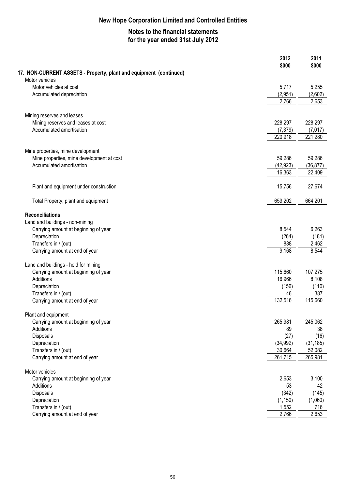## **Notes to the financial statements for the year ended 31st July 2012**

|                                                                                      | 2012                | 2011               |
|--------------------------------------------------------------------------------------|---------------------|--------------------|
|                                                                                      | \$000               | \$000              |
| 17. NON-CURRENT ASSETS - Property, plant and equipment (continued)<br>Motor vehicles |                     |                    |
| Motor vehicles at cost                                                               | 5,717               | 5,255              |
| Accumulated depreciation                                                             | (2,951)             | (2,602)            |
|                                                                                      | 2,766               | 2,653              |
|                                                                                      |                     |                    |
| Mining reserves and leases                                                           |                     |                    |
| Mining reserves and leases at cost                                                   | 228,297             | 228,297            |
| Accumulated amortisation                                                             | (7, 379)<br>220,918 | (7,017)<br>221,280 |
|                                                                                      |                     |                    |
| Mine properties, mine development                                                    |                     |                    |
| Mine properties, mine development at cost                                            | 59,286              | 59,286             |
| Accumulated amortisation                                                             | (42, 923)           | (36, 877)          |
|                                                                                      | 16,363              | 22,409             |
| Plant and equipment under construction                                               | 15,756              | 27,674             |
|                                                                                      |                     |                    |
| Total Property, plant and equipment                                                  | 659,202             | 664,201            |
| <b>Reconciliations</b>                                                               |                     |                    |
| Land and buildings - non-mining                                                      |                     |                    |
| Carrying amount at beginning of year                                                 | 8,544               | 6,263              |
| Depreciation                                                                         | (264)               | (181)              |
| Transfers in / (out)                                                                 | 888                 | 2,462              |
| Carrying amount at end of year                                                       | 9,168               | 8,544              |
|                                                                                      |                     |                    |
| Land and buildings - held for mining<br>Carrying amount at beginning of year         | 115,660             | 107,275            |
| Additions                                                                            | 16,966              | 8,108              |
| Depreciation                                                                         | (156)               | (110)              |
| Transfers in / (out)                                                                 | 46                  | 387                |
| Carrying amount at end of year                                                       | 132,516             | 115,660            |
|                                                                                      |                     |                    |
| Plant and equipment                                                                  |                     |                    |
| Carrying amount at beginning of year                                                 | 265,981             | 245,062            |
| Additions                                                                            | 89                  | 38                 |
| Disposals                                                                            | (27)                | (16)               |
| Depreciation                                                                         | (34, 992)           | (31, 185)          |
| Transfers in / (out)                                                                 | 30,664              | 52,082             |
| Carrying amount at end of year                                                       | 261,715             | 265,981            |
| Motor vehicles                                                                       |                     |                    |
| Carrying amount at beginning of year                                                 | 2,653               | 3,100              |
| Additions                                                                            | 53                  | 42                 |
| Disposals                                                                            | (342)               | (145)              |
| Depreciation                                                                         | (1, 150)            | (1,060)            |
| Transfers in / (out)                                                                 | 1,552               | 716                |
| Carrying amount at end of year                                                       | 2,766               | 2,653              |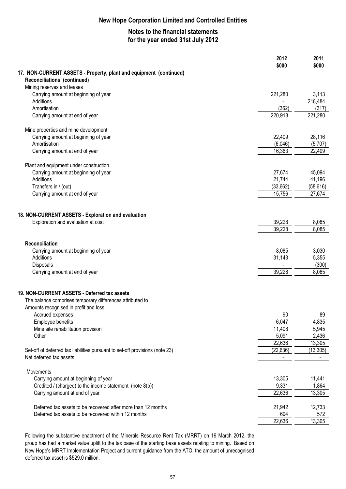## **Notes to the financial statements for the year ended 31st July 2012**

|                                                                              | 2012<br>\$000       | 2011<br>\$000       |
|------------------------------------------------------------------------------|---------------------|---------------------|
| 17. NON-CURRENT ASSETS - Property, plant and equipment (continued)           |                     |                     |
| Reconciliations (continued)<br>Mining reserves and leases                    |                     |                     |
| Carrying amount at beginning of year                                         | 221,280             | 3,113               |
| Additions                                                                    |                     | 218,484             |
| Amortisation                                                                 | (362)               | (317)               |
| Carrying amount at end of year                                               | 220,918             | 221,280             |
| Mine properties and mine development                                         |                     |                     |
| Carrying amount at beginning of year                                         | 22,409              | 28,116              |
| Amortisation                                                                 | (6,046)             | (5,707)             |
| Carrying amount at end of year                                               | 16,363              | 22,409              |
| Plant and equipment under construction                                       |                     |                     |
| Carrying amount at beginning of year                                         | 27,674              | 45,094              |
| Additions                                                                    | 21,744              | 41,196              |
| Transfers in / (out)                                                         | (33, 662)           | (58, 616)           |
| Carrying amount at end of year                                               | 15,756              | 27,674              |
| 18. NON-CURRENT ASSETS - Exploration and evaluation                          |                     |                     |
| Exploration and evaluation at cost                                           | 39,228              | 8,085               |
|                                                                              | 39,228              | 8,085               |
|                                                                              |                     |                     |
| Reconciliation                                                               |                     |                     |
| Carrying amount at beginning of year<br>Additions                            | 8,085<br>31,143     | 3,030               |
| Disposals                                                                    |                     | 5,355<br>(300)      |
| Carrying amount at end of year                                               | 39,228              | 8,085               |
|                                                                              |                     |                     |
| 19. NON-CURRENT ASSETS - Deferred tax assets                                 |                     |                     |
| The balance comprises temporary differences attributed to:                   |                     |                     |
| Amounts recognised in profit and loss                                        |                     |                     |
| Accrued expenses                                                             | 90                  | 89                  |
| Employee benefits                                                            | 6,047               | 4,835               |
| Mine site rehabilitation provision                                           | 11,408              | 5,945               |
| Other                                                                        | 5,091               | 2,436               |
| Set-off of deferred tax liabilities pursuant to set-off provisions (note 23) | 22,636<br>(22, 636) | 13,305<br>(13, 305) |
| Net deferred tax assets                                                      |                     |                     |
| Movements                                                                    |                     |                     |
| Carrying amount at beginning of year                                         | 13,305              | 11,441              |
| Credited / (charged) to the income statement (note 8(b))                     | 9,331               | 1,864               |
| Carrying amount at end of year                                               | 22,636              | 13,305              |
|                                                                              |                     |                     |
| Deferred tax assets to be recovered after more than 12 months                | 21,942              | 12,733              |
| Deferred tax assets to be recovered within 12 months                         | 694                 | 572                 |
|                                                                              | 22,636              | 13,305              |

Following the substantive enactment of the Minerals Resource Rent Tax (MRRT) on 19 March 2012, the group has had a market value uplift to the tax base of the starting base assets relating to mining. Based on New Hope's MRRT Implementation Project and current guidance from the ATO, the amount of unrecognised deferred tax asset is \$529.0 million.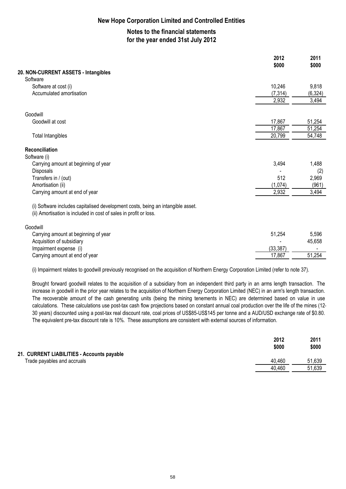## **Notes to the financial statements for the year ended 31st July 2012**

|                                                                                                                                                      | 2012<br>\$000 | 2011<br>\$000 |
|------------------------------------------------------------------------------------------------------------------------------------------------------|---------------|---------------|
| 20. NON-CURRENT ASSETS - Intangibles                                                                                                                 |               |               |
| Software                                                                                                                                             |               |               |
| Software at cost (i)                                                                                                                                 | 10,246        | 9,818         |
| Accumulated amortisation                                                                                                                             | (7, 314)      | (6, 324)      |
|                                                                                                                                                      | 2,932         | 3,494         |
| Goodwill                                                                                                                                             |               |               |
| Goodwill at cost                                                                                                                                     | 17,867        | 51,254        |
|                                                                                                                                                      | 17,867        | 51,254        |
| <b>Total Intangibles</b>                                                                                                                             | 20,799        | 54,748        |
| <b>Reconciliation</b>                                                                                                                                |               |               |
| Software (i)                                                                                                                                         |               |               |
| Carrying amount at beginning of year                                                                                                                 | 3,494         | 1,488         |
| Disposals                                                                                                                                            |               | (2)           |
| Transfers in / (out)                                                                                                                                 | 512           | 2,969         |
| Amortisation (ii)                                                                                                                                    | (1,074)       | (961)         |
| Carrying amount at end of year                                                                                                                       | 2,932         | 3,494         |
| (i) Software includes capitalised development costs, being an intangible asset.<br>(ii) Amortisation is included in cost of sales in profit or loss. |               |               |
| Goodwill                                                                                                                                             |               |               |
| Carrying amount at beginning of year                                                                                                                 | 51,254        | 5,596         |
| Acquisition of subsidiary                                                                                                                            |               | 45,658        |
| Impairment expense (i)                                                                                                                               | (33, 387)     |               |
| Carrying amount at end of year                                                                                                                       | 17,867        | 51,254        |
|                                                                                                                                                      |               |               |

(i) Impairment relates to goodwill previously recognised on the acquisition of Northern Energy Corporation Limited (refer to note 37).

Brought forward goodwill relates to the acquisition of a subsidiary from an independent third party in an arms length transaction. The increase in goodwill in the prior year relates to the acquisition of Northern Energy Corporation Limited (NEC) in an arm's length transaction. The recoverable amount of the cash generating units (being the mining tenements in NEC) are determined based on value in use calculations. These calculations use post-tax cash flow projections based on constant annual coal production over the life of the mines (12- 30 years) discounted using a post-tax real discount rate, coal prices of US\$85-US\$145 per tonne and a AUD/USD exchange rate of \$0.80. The equivalent pre-tax discount rate is 10%. These assumptions are consistent with external sources of information.

|                                            | 2012<br>\$000 | 2011<br>\$000 |
|--------------------------------------------|---------------|---------------|
| 21. CURRENT LIABILITIES - Accounts payable |               |               |
| Trade payables and accruals                | 40.460        | 51,639        |
|                                            | 40,460        | 51,639        |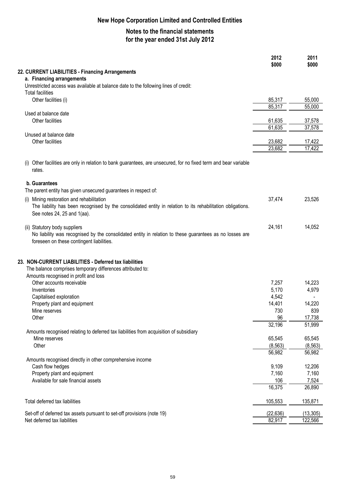## **Notes to the financial statements for the year ended 31st July 2012**

|                                                                                                                                                                                       | 2012<br>\$000    | 2011<br>\$000 |
|---------------------------------------------------------------------------------------------------------------------------------------------------------------------------------------|------------------|---------------|
| 22. CURRENT LIABILITIES - Financing Arrangements                                                                                                                                      |                  |               |
| a. Financing arrangements                                                                                                                                                             |                  |               |
| Unrestricted access was available at balance date to the following lines of credit:                                                                                                   |                  |               |
| <b>Total facilities</b>                                                                                                                                                               |                  | 55,000        |
| Other facilities (i)                                                                                                                                                                  | 85,317<br>85,317 | 55,000        |
| Used at balance date                                                                                                                                                                  |                  |               |
| Other facilities                                                                                                                                                                      | 61,635           | 37,578        |
|                                                                                                                                                                                       | 61,635           | 37,578        |
| Unused at balance date                                                                                                                                                                |                  |               |
| Other facilities                                                                                                                                                                      | 23,682           | 17,422        |
|                                                                                                                                                                                       | 23,682           | 17,422        |
| Other facilities are only in relation to bank guarantees, are unsecured, for no fixed term and bear variable<br>(1)<br>rates.                                                         |                  |               |
| b. Guarantees                                                                                                                                                                         |                  |               |
| The parent entity has given unsecured guarantees in respect of:                                                                                                                       |                  |               |
| (i) Mining restoration and rehabilitation                                                                                                                                             | 37,474           | 23,526        |
| The liability has been recognised by the consolidated entity in relation to its rehabilitation obligations.<br>See notes 24, 25 and 1(aa).                                            |                  |               |
| (ii) Statutory body suppliers<br>No liability was recognised by the consolidated entity in relation to these guarantees as no losses are<br>foreseen on these contingent liabilities. | 24,161           | 14,052        |
| 23. NON-CURRENT LIABILITIES - Deferred tax liabilities<br>The balance comprises temporary differences attributed to:<br>Amounts recognised in profit and loss                         |                  |               |
| Other accounts receivable                                                                                                                                                             | 7,257            | 14,223        |
| Inventories                                                                                                                                                                           | 5,170            | 4,979         |
| Capitalised exploration                                                                                                                                                               | 4,542            |               |
| Property plant and equipment                                                                                                                                                          | 14,401           | 14,220        |
| Mine reserves                                                                                                                                                                         | 730              | 839           |
| Other                                                                                                                                                                                 | 96               | 17,738        |
| Amounts recognised relating to deferred tax liabilities from acquisition of subsidiary                                                                                                | 32,196           | 51,999        |
| Mine reserves                                                                                                                                                                         | 65,545           | 65,545        |
| Other                                                                                                                                                                                 | (8, 563)         | (8, 563)      |
|                                                                                                                                                                                       | 56,982           | 56,982        |
| Amounts recognised directly in other comprehensive income                                                                                                                             |                  |               |
| Cash flow hedges                                                                                                                                                                      | 9,109            | 12,206        |
| Property plant and equipment                                                                                                                                                          | 7,160            | 7,160         |
| Available for sale financial assets                                                                                                                                                   | 106              | 7,524         |
|                                                                                                                                                                                       | 16,375           | 26,890        |
| Total deferred tax liabilities                                                                                                                                                        | 105,553          | 135,871       |
| Set-off of deferred tax assets pursuant to set-off provisions (note 19)                                                                                                               | (22, 636)        | (13, 305)     |
| Net deferred tax liabilities                                                                                                                                                          | 82,917           | 122,566       |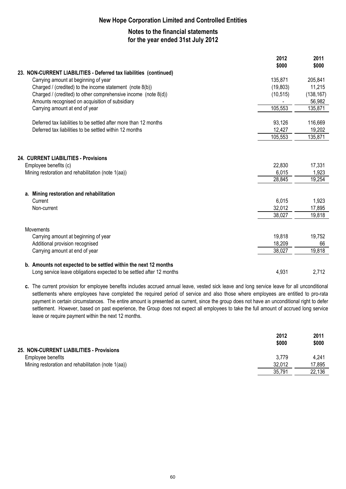## **Notes to the financial statements for the year ended 31st July 2012**

|                                                                       | 2012<br>\$000 | 2011<br>\$000 |
|-----------------------------------------------------------------------|---------------|---------------|
| 23. NON-CURRENT LIABILITIES - Deferred tax liabilities (continued)    |               |               |
| Carrying amount at beginning of year                                  | 135,871       | 205,841       |
| Charged / (credited) to the income statement (note 8(b))              | (19,803)      | 11,215        |
| Charged / (credited) to other comprehensive income (note $8(d)$ )     | (10, 515)     | (138, 167)    |
| Amounts recognised on acquisition of subsidiary                       |               | 56,982        |
| Carrying amount at end of year                                        | 105,553       | 135,871       |
| Deferred tax liabilities to be settled after more than 12 months      | 93,126        | 116,669       |
| Deferred tax liabilities to be settled within 12 months               | 12,427        | 19,202        |
|                                                                       | 105,553       | 135,871       |
|                                                                       |               |               |
| 24. CURRENT LIABILITIES - Provisions                                  |               |               |
| Employee benefits (c)                                                 | 22,830        | 17,331        |
| Mining restoration and rehabilitation (note 1(aa))                    | 6,015         | 1,923         |
|                                                                       | 28,845        | 19,254        |
| a. Mining restoration and rehabilitation                              |               |               |
| Current                                                               | 6,015         | 1,923         |
| Non-current                                                           | 32,012        | 17,895        |
|                                                                       | 38,027        | 19,818        |
| <b>Movements</b>                                                      |               |               |
| Carrying amount at beginning of year                                  | 19,818        | 19,752        |
| Additional provision recognised                                       | 18,209        | 66            |
| Carrying amount at end of year                                        | 38,027        | 19,818        |
| b. Amounts not expected to be settled within the next 12 months       |               |               |
| Long service leave obligations expected to be settled after 12 months | 4,931         | 2,712         |

**c.** The current provision for employee benefits includes accrued annual leave, vested sick leave and long service leave for all unconditional settlements where employees have completed the required period of service and also those where employees are entitled to pro-rata payment in certain circumstances. The entire amount is presented as current, since the group does not have an unconditional right to defer settlement. However, based on past experience, the Group does not expect all employees to take the full amount of accrued long service leave or require payment within the next 12 months.

|                                                    | 2012<br>\$000 | 2011<br>\$000 |
|----------------------------------------------------|---------------|---------------|
| 25. NON-CURRENT LIABILITIES - Provisions           |               |               |
| Employee benefits                                  | 3.779         | 4.241         |
| Mining restoration and rehabilitation (note 1(aa)) | 32.012        | 17,895        |
|                                                    | 35,791        | 22,136        |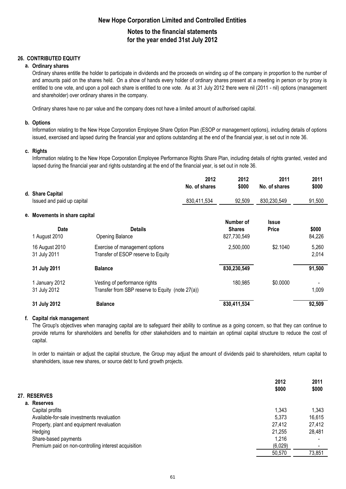## **New Hope Corporation Limited and Controlled Entities Notes to the financial statements**

## **for the year ended 31st July 2012**

### **26. CONTRIBUTED EQUITY**

#### **a. Ordinary shares**

Ordinary shares entitle the holder to participate in dividends and the proceeds on winding up of the company in proportion to the number of and amounts paid on the shares held. On a show of hands every holder of ordinary shares present at a meeting in person or by proxy is entitled to one vote, and upon a poll each share is entitled to one vote. As at 31 July 2012 there were nil (2011 - nil) options (management and shareholder) over ordinary shares in the company.

Ordinary shares have no par value and the company does not have a limited amount of authorised capital.

#### **b. Options**

Information relating to the New Hope Corporation Employee Share Option Plan (ESOP or management options), including details of options issued, exercised and lapsed during the financial year and options outstanding at the end of the financial year, is set out in note 36.

#### **c. Rights**

Information relating to the New Hope Corporation Employee Performance Rights Share Plan, including details of rights granted, vested and lapsed during the financial year and rights outstanding at the end of the financial year, is set out in note 36.

|                                                |                                                                                   | 2012<br>No. of shares | 2012<br>\$000                | 2011<br>No. of shares | 2011<br>\$000   |
|------------------------------------------------|-----------------------------------------------------------------------------------|-----------------------|------------------------------|-----------------------|-----------------|
| d. Share Capital<br>Issued and paid up capital |                                                                                   | 830,411,534           | 92,509                       | 830,230,549           | 91,500          |
| e. Movements in share capital                  |                                                                                   |                       | Number of                    | <b>Issue</b>          |                 |
| <b>Date</b><br>1 August 2010                   | <b>Details</b><br><b>Opening Balance</b>                                          |                       | <b>Shares</b><br>827,730,549 | <b>Price</b>          | \$000<br>84,226 |
| 16 August 2010<br>31 July 2011                 | Exercise of management options<br>Transfer of ESOP reserve to Equity              |                       | 2,500,000                    | \$2.1040              | 5,260<br>2,014  |
| 31 July 2011                                   | <b>Balance</b>                                                                    |                       | 830,230,549                  |                       | 91,500          |
| 1 January 2012<br>31 July 2012                 | Vesting of performance rights<br>Transfer from SBP reserve to Equity (note 27(a)) |                       | 180,985                      | \$0.0000              | 1,009           |
| 31 July 2012                                   | <b>Balance</b>                                                                    |                       | 830,411,534                  |                       | 92,509          |

#### **f. Capital risk management**

The Group's objectives when managing capital are to safeguard their ability to continue as a going concern, so that they can continue to provide returns for shareholders and benefits for other stakeholders and to maintain an optimal capital structure to reduce the cost of capital.

In order to maintain or adjust the capital structure, the Group may adjust the amount of dividends paid to shareholders, return capital to shareholders, issue new shares, or source debt to fund growth projects.

|                                                      | 2012<br>\$000 | 2011<br>\$000 |
|------------------------------------------------------|---------------|---------------|
| 27. RESERVES                                         |               |               |
| a. Reserves                                          |               |               |
| Capital profits                                      | 1,343         | 1,343         |
| Available-for-sale investments revaluation           | 5,373         | 16,615        |
| Property, plant and equipment revaluation            | 27,412        | 27,412        |
| Hedging                                              | 21,255        | 28,481        |
| Share-based payments                                 | 1,216         |               |
| Premium paid on non-controlling interest acquisition | (6,029)       |               |
|                                                      | 50,570        | 73,851        |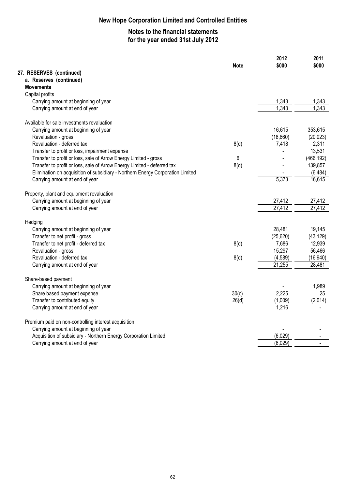## **Notes to the financial statements for the year ended 31st July 2012**

|                                                                                | <b>Note</b> | 2012<br>\$000 | 2011<br>\$000 |
|--------------------------------------------------------------------------------|-------------|---------------|---------------|
| 27. RESERVES (continued)                                                       |             |               |               |
| a. Reserves (continued)                                                        |             |               |               |
| <b>Movements</b>                                                               |             |               |               |
| Capital profits                                                                |             |               |               |
| Carrying amount at beginning of year                                           |             | 1,343         | 1,343         |
| Carrying amount at end of year                                                 |             | 1,343         | 1.343         |
| Available for sale investments revaluation                                     |             |               |               |
| Carrying amount at beginning of year                                           |             | 16,615        | 353,615       |
| Revaluation - gross                                                            |             | (18,660)      | (20, 023)     |
| Revaluation - deferred tax                                                     | 8(d)        | 7,418         | 2,311         |
| Transfer to profit or loss, impairment expense                                 |             |               | 13,531        |
| Transfer to profit or loss, sale of Arrow Energy Limited - gross               | 6           |               | (466, 192)    |
| Transfer to profit or loss, sale of Arrow Energy Limited - deferred tax        | 8(d)        |               | 139,857       |
| Elimination on acquisition of subsidiary - Northern Energy Corporation Limited |             |               | (6, 484)      |
| Carrying amount at end of year                                                 |             | 5,373         | 16,615        |
| Property, plant and equipment revaluation                                      |             |               |               |
| Carrying amount at beginning of year                                           |             | 27,412        | 27,412        |
| Carrying amount at end of year                                                 |             | 27,412        | 27,412        |
| Hedging                                                                        |             |               |               |
| Carrying amount at beginning of year                                           |             | 28,481        | 19,145        |
| Transfer to net profit - gross                                                 |             | (25, 620)     | (43, 129)     |
| Transfer to net profit - deferred tax                                          | 8(d)        | 7,686         | 12,939        |
| Revaluation - gross                                                            |             | 15,297        | 56,466        |
| Revaluation - deferred tax                                                     | 8(d)        | (4,589)       | (16, 940)     |
| Carrying amount at end of year                                                 |             | 21,255        | 28,481        |
| Share-based payment                                                            |             |               |               |
| Carrying amount at beginning of year                                           |             |               | 1,989         |
| Share based payment expense                                                    | 30(c)       | 2,225         | 25            |
| Transfer to contributed equity                                                 | 26(d)       | (1,009)       | (2,014)       |
| Carrying amount at end of year                                                 |             | 1,216         |               |
| Premium paid on non-controlling interest acquisition                           |             |               |               |
| Carrying amount at beginning of year                                           |             |               |               |
| Acquisition of subsidiary - Northern Energy Corporation Limited                |             | (6,029)       |               |
| Carrying amount at end of year                                                 |             | (6,029)       |               |
|                                                                                |             |               |               |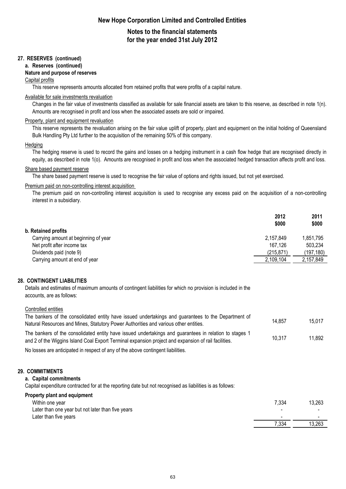## **Notes to the financial statements for the year ended 31st July 2012**

#### **27. RESERVES (continued)**

#### **a. Reserves (continued)**

#### **Nature and purpose of reserves**

#### Capital profits

This reserve represents amounts allocated from retained profits that were profits of a capital nature.

### Available for sale investments revaluation

Changes in the fair value of investments classified as available for sale financial assets are taken to this reserve, as described in note 1(n). Amounts are recognised in profit and loss when the associated assets are sold or impaired.

#### Property, plant and equipment revaluation

This reserve represents the revaluation arising on the fair value uplift of property, plant and equipment on the initial holding of Queensland Bulk Handling Pty Ltd further to the acquisition of the remaining 50% of this company.

#### **Hedging**

The hedging reserve is used to record the gains and losses on a hedging instrument in a cash flow hedge that are recognised directly in equity, as described in note 1(o). Amounts are recognised in profit and loss when the associated hedged transaction affects profit and loss.

#### Share based payment reserve

The share based payment reserve is used to recognise the fair value of options and rights issued, but not yet exercised.

#### Premium paid on non-controlling interest acquisition

The premium paid on non-controlling interest acquisition is used to recognise any excess paid on the acquisition of a non-controlling interest in a subsidiary.

|                                      | 2012<br>\$000 | 2011<br>\$000 |
|--------------------------------------|---------------|---------------|
| b. Retained profits                  |               |               |
| Carrying amount at beginning of year | 2,157,849     | 1,851,795     |
| Net profit after income tax          | 167.126       | 503,234       |
| Dividends paid (note 9)              | (215, 871)    | (197,180)     |
| Carrying amount at end of year       | 2,109,104     | 2,157,849     |

#### **28. CONTINGENT LIABILITIES**

Details and estimates of maximum amounts of contingent liabilities for which no provision is included in the accounts, are as follows:

#### Controlled entities

| The bankers of the consolidated entity have issued undertakings and guarantees to the Department of<br>Natural Resources and Mines, Statutory Power Authorities and various other entities.                    | 14.857         | 15,017           |
|----------------------------------------------------------------------------------------------------------------------------------------------------------------------------------------------------------------|----------------|------------------|
| The bankers of the consolidated entity have issued undertakings and guarantees in relation to stages 1<br>and 2 of the Wiggins Island Coal Export Terminal expansion project and expansion of rail facilities. | 10,317         | 11,892           |
| No losses are anticipated in respect of any of the above contingent liabilities.                                                                                                                               |                |                  |
| 29. COMMITMENTS<br>a. Capital commitments<br>Capital expenditure contracted for at the reporting date but not recognised as liabilities is as follows:                                                         |                |                  |
| Property plant and equipment<br>Within one year<br>Later than one year but not later than five years<br>Later than five years                                                                                  | 7,334<br>7,334 | 13,263<br>13,263 |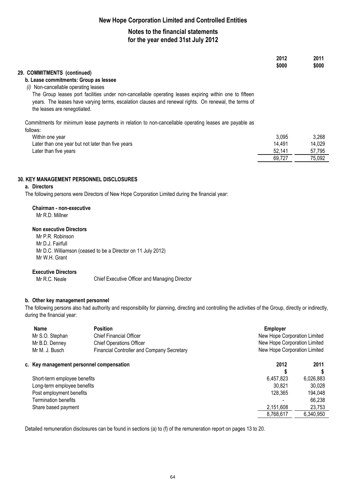## **Notes to the financial statements for the year ended 31st July 2012**

|                                                                                                                                                                                                                                                 | 2012<br>\$000 | 2011<br>\$000 |
|-------------------------------------------------------------------------------------------------------------------------------------------------------------------------------------------------------------------------------------------------|---------------|---------------|
| 29. COMMITMENTS (continued)                                                                                                                                                                                                                     |               |               |
| b. Lease commitments: Group as lessee                                                                                                                                                                                                           |               |               |
| Non-cancellable operating leases<br>(i)                                                                                                                                                                                                         |               |               |
| The Group leases port facilities under non-cancellable operating leases expiring within one to fifteen<br>years. The leases have varying terms, escalation clauses and renewal rights. On renewal, the terms of<br>the leases are renegotiated. |               |               |
| Commitments for minimum lease payments in relation to non-cancellable operating leases are payable as                                                                                                                                           |               |               |
| follows:                                                                                                                                                                                                                                        |               |               |
| Within one year                                                                                                                                                                                                                                 | 3.095         | 3,268         |
| Later than one year but not later than five years                                                                                                                                                                                               | 14,491        | 14,029        |
| Later than five years                                                                                                                                                                                                                           | 52,141        | 57,795        |
|                                                                                                                                                                                                                                                 | 69,727        | 75,092        |

#### **30. KEY MANAGEMENT PERSONNEL DISCLOSURES**

#### **a. Directors**

The following persons were Directors of New Hope Corporation Limited during the financial year:

#### **Chairman - non-executive**

Mr R.D. Millner

#### **Non executive Directors**

Mr P.R. Robinson Mr D.J. Fairfull Mr D.C. Williamson (ceased to be a Director on 11 July 2012) Mr W.H. Grant

#### **Executive Directors**

Mr R.C. Neale

Chief Executive Officer and Managing Director

#### **b. Other key management personnel**

The following persons also had authority and responsibility for planning, directing and controlling the activities of the Group, directly or indirectly, during the financial year:

| <b>Name</b><br>Mr S.O. Stephan<br>Mr B.D. Denney<br>Mr M. J. Busch | <b>Position</b><br><b>Chief Financial Officer</b><br><b>Chief Operations Officer</b><br>Financial Controller and Company Secretary |           | New Hope Corporation Limited<br>New Hope Corporation Limited<br>New Hope Corporation Limited |
|--------------------------------------------------------------------|------------------------------------------------------------------------------------------------------------------------------------|-----------|----------------------------------------------------------------------------------------------|
| c. Key management personnel compensation                           |                                                                                                                                    | 2012      | 2011                                                                                         |
|                                                                    |                                                                                                                                    |           |                                                                                              |
| Short-term employee benefits                                       |                                                                                                                                    | 6,457,823 | 6,026,883                                                                                    |
| Long-term employee benefits                                        |                                                                                                                                    | 30.821    | 30,028                                                                                       |
| Post employment benefits                                           |                                                                                                                                    | 128,365   | 194,048                                                                                      |
| <b>Termination benefits</b>                                        |                                                                                                                                    |           | 66,238                                                                                       |
| Share based payment                                                |                                                                                                                                    | 2,151,608 | 23,753                                                                                       |
|                                                                    |                                                                                                                                    | 8,768,617 | 6,340,950                                                                                    |
|                                                                    |                                                                                                                                    |           |                                                                                              |

Detailed remuneration disclosures can be found in sections (a) to (f) of the remuneration report on pages 13 to 20.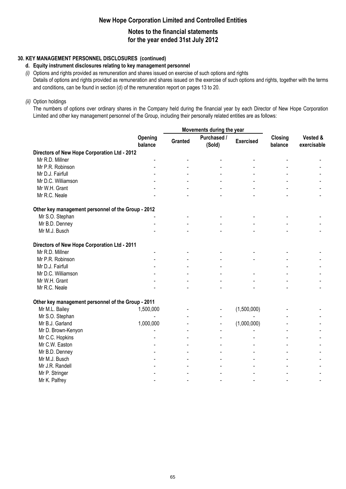## **Notes to the financial statements for the year ended 31st July 2012**

### **30. KEY MANAGEMENT PERSONNEL DISCLOSURES (continued)**

#### **d. Equity instrument disclosures relating to key management personnel**

*(i)* Options and rights provided as remuneration and shares issued on exercise of such options and rights Details of options and rights provided as remuneration and shares issued on the exercise of such options and rights, together with the terms and conditions, can be found in section (d) of the remuneration report on pages 13 to 20.

#### *(ii)* Option holdings

The numbers of options over ordinary shares in the Company held during the financial year by each Director of New Hope Corporation Limited and other key management personnel of the Group, including their personally related entities are as follows:

|                                                    |                    | Movements during the year |                       |                  |                    |                         |
|----------------------------------------------------|--------------------|---------------------------|-----------------------|------------------|--------------------|-------------------------|
|                                                    | Opening<br>balance | Granted                   | Purchased /<br>(Sold) | <b>Exercised</b> | Closing<br>balance | Vested &<br>exercisable |
| Directors of New Hope Corporation Ltd - 2012       |                    |                           |                       |                  |                    |                         |
| Mr R.D. Millner                                    |                    |                           |                       |                  |                    |                         |
| Mr P.R. Robinson                                   |                    |                           |                       |                  |                    |                         |
| Mr D.J. Fairfull                                   |                    |                           |                       |                  |                    |                         |
| Mr D.C. Williamson                                 |                    |                           |                       |                  |                    |                         |
| Mr W.H. Grant                                      |                    |                           |                       |                  |                    |                         |
| Mr R.C. Neale                                      |                    |                           |                       |                  |                    |                         |
| Other key management personnel of the Group - 2012 |                    |                           |                       |                  |                    |                         |
| Mr S.O. Stephan                                    |                    |                           |                       |                  |                    |                         |
| Mr B.D. Denney                                     |                    |                           |                       |                  |                    |                         |
| Mr M.J. Busch                                      |                    |                           |                       |                  |                    |                         |
| Directors of New Hope Corporation Ltd - 2011       |                    |                           |                       |                  |                    |                         |
| Mr R.D. Millner                                    |                    |                           |                       |                  |                    |                         |
| Mr P.R. Robinson                                   |                    |                           |                       |                  |                    |                         |
| Mr D.J. Fairfull                                   |                    |                           |                       |                  |                    |                         |
| Mr D.C. Williamson                                 |                    |                           |                       |                  |                    |                         |
| Mr W.H. Grant                                      |                    |                           |                       |                  |                    |                         |
| Mr R.C. Neale                                      |                    |                           |                       |                  |                    |                         |
| Other key management personnel of the Group - 2011 |                    |                           |                       |                  |                    |                         |
| Mr M.L. Bailey                                     | 1,500,000          |                           |                       | (1,500,000)      |                    |                         |
| Mr S.O. Stephan                                    |                    |                           |                       |                  |                    |                         |
| Mr B.J. Garland                                    | 1,000,000          |                           |                       | (1,000,000)      |                    |                         |
| Mr D. Brown-Kenyon                                 |                    |                           |                       |                  |                    |                         |
| Mr C.C. Hopkins                                    |                    |                           |                       |                  |                    |                         |
| Mr C.W. Easton                                     |                    |                           |                       |                  |                    |                         |
| Mr B.D. Denney                                     |                    |                           |                       |                  |                    |                         |
| Mr M.J. Busch                                      |                    |                           |                       |                  |                    |                         |
| Mr J.R. Randell                                    |                    |                           |                       |                  |                    |                         |
| Mr P. Stringer                                     |                    |                           |                       |                  |                    |                         |
| Mr K. Palfrey                                      |                    |                           |                       |                  |                    |                         |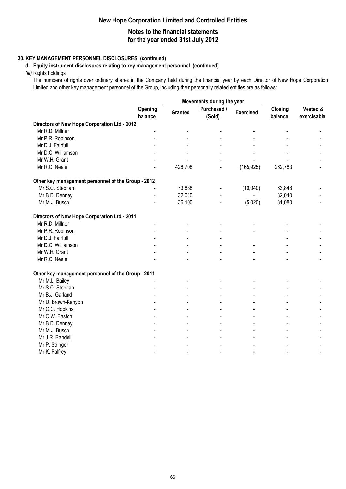## **Notes to the financial statements for the year ended 31st July 2012**

### **30. KEY MANAGEMENT PERSONNEL DISCLOSURES (continued)**

#### **d. Equity instrument disclosures relating to key management personnel (continued)**

*(iii)* Rights holdings

The numbers of rights over ordinary shares in the Company held during the financial year by each Director of New Hope Corporation Limited and other key management personnel of the Group, including their personally related entities are as follows:

|                                                    |                    |         | Movements during the year |                  |                    |                         |
|----------------------------------------------------|--------------------|---------|---------------------------|------------------|--------------------|-------------------------|
|                                                    | Opening<br>balance | Granted | Purchased /<br>(Sold)     | <b>Exercised</b> | Closing<br>balance | Vested &<br>exercisable |
| Directors of New Hope Corporation Ltd - 2012       |                    |         |                           |                  |                    |                         |
| Mr R.D. Millner                                    |                    |         |                           |                  |                    |                         |
| Mr P.R. Robinson                                   |                    |         |                           |                  |                    |                         |
| Mr D.J. Fairfull                                   |                    |         |                           |                  |                    |                         |
| Mr D.C. Williamson                                 |                    |         |                           |                  |                    |                         |
| Mr W.H. Grant                                      |                    |         |                           |                  |                    |                         |
| Mr R.C. Neale                                      |                    | 428,708 | $\overline{a}$            | (165, 925)       | 262,783            |                         |
| Other key management personnel of the Group - 2012 |                    |         |                           |                  |                    |                         |
| Mr S.O. Stephan                                    |                    | 73,888  |                           | (10,040)         | 63,848             |                         |
| Mr B.D. Denney                                     |                    | 32,040  | $\blacksquare$            |                  | 32,040             |                         |
| Mr M.J. Busch                                      |                    | 36,100  | $\blacksquare$            | (5,020)          | 31,080             |                         |
| Directors of New Hope Corporation Ltd - 2011       |                    |         |                           |                  |                    |                         |
| Mr R.D. Millner                                    |                    |         |                           |                  |                    |                         |
| Mr P.R. Robinson                                   |                    |         |                           |                  |                    |                         |
| Mr D.J. Fairfull                                   |                    |         |                           |                  |                    |                         |
| Mr D.C. Williamson                                 |                    |         |                           |                  |                    |                         |
| Mr W.H. Grant                                      |                    |         |                           |                  |                    |                         |
| Mr R.C. Neale                                      |                    |         |                           |                  |                    |                         |
| Other key management personnel of the Group - 2011 |                    |         |                           |                  |                    |                         |
| Mr M.L. Bailey                                     |                    |         |                           |                  |                    |                         |
| Mr S.O. Stephan                                    |                    |         |                           |                  |                    |                         |
| Mr B.J. Garland                                    |                    |         |                           |                  |                    |                         |
| Mr D. Brown-Kenyon                                 |                    |         |                           |                  |                    |                         |
| Mr C.C. Hopkins                                    |                    |         |                           |                  |                    |                         |
| Mr C.W. Easton                                     |                    |         |                           |                  |                    |                         |
| Mr B.D. Denney                                     |                    |         |                           |                  |                    |                         |
| Mr M.J. Busch                                      |                    |         |                           |                  |                    |                         |
| Mr J.R. Randell                                    |                    |         |                           |                  |                    |                         |
| Mr P. Stringer                                     |                    |         |                           |                  |                    |                         |
| Mr K. Palfrey                                      |                    |         |                           | $\blacksquare$   |                    |                         |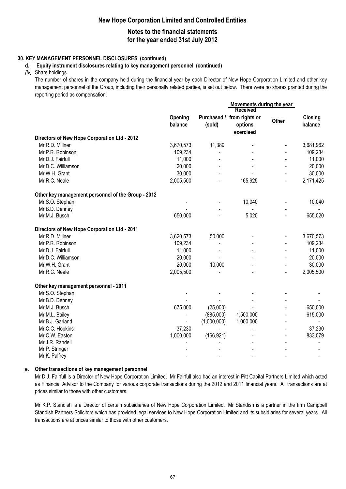## **Notes to the financial statements for the year ended 31st July 2012**

#### **30. KEY MANAGEMENT PERSONNEL DISCLOSURES (continued)**

#### **d. Equity instrument disclosures relating to key management personnel (continued)**

*(iv)* Share holdings

The number of shares in the company held during the financial year by each Director of New Hope Corporation Limited and other key management personnel of the Group, including their personally related parties, is set out below. There were no shares granted during the reporting period as compensation.

|                                                    |                    |             | <b>Received</b>                                    | Movements during the year |                    |
|----------------------------------------------------|--------------------|-------------|----------------------------------------------------|---------------------------|--------------------|
|                                                    | Opening<br>balance | (sold)      | Purchased / from rights or<br>options<br>exercised | Other                     | Closing<br>balance |
| Directors of New Hope Corporation Ltd - 2012       |                    |             |                                                    |                           |                    |
| Mr R.D. Millner                                    | 3,670,573          | 11,389      |                                                    |                           | 3,681,962          |
| Mr P.R. Robinson                                   | 109,234            |             |                                                    |                           | 109,234            |
| Mr D.J. Fairfull                                   | 11,000             |             |                                                    |                           | 11,000             |
| Mr D.C. Williamson                                 | 20,000             |             |                                                    |                           | 20,000             |
| Mr W.H. Grant                                      | 30,000             |             |                                                    |                           | 30,000             |
| Mr R.C. Neale                                      | 2,005,500          |             | 165,925                                            |                           | 2,171,425          |
| Other key management personnel of the Group - 2012 |                    |             |                                                    |                           |                    |
| Mr S.O. Stephan                                    |                    |             | 10,040                                             |                           | 10,040             |
| Mr B.D. Denney                                     |                    |             |                                                    |                           |                    |
| Mr M.J. Busch                                      | 650,000            |             | 5,020                                              |                           | 655,020            |
| Directors of New Hope Corporation Ltd - 2011       |                    |             |                                                    |                           |                    |
| Mr R.D. Millner                                    | 3,620,573          | 50,000      |                                                    |                           | 3,670,573          |
| Mr P.R. Robinson                                   | 109,234            |             |                                                    |                           | 109,234            |
| Mr D.J. Fairfull                                   | 11,000             |             |                                                    |                           | 11,000             |
| Mr D.C. Williamson                                 | 20,000             |             |                                                    |                           | 20,000             |
| Mr W.H. Grant                                      | 20,000             | 10,000      |                                                    |                           | 30,000             |
| Mr R.C. Neale                                      | 2,005,500          |             |                                                    |                           | 2,005,500          |
| Other key management personnel - 2011              |                    |             |                                                    |                           |                    |
| Mr S.O. Stephan                                    |                    |             |                                                    |                           |                    |
| Mr B.D. Denney                                     |                    |             |                                                    |                           |                    |
| Mr M.J. Busch                                      | 675,000            | (25,000)    |                                                    |                           | 650,000            |
| Mr M.L. Bailey                                     |                    | (885,000)   | 1,500,000                                          |                           | 615,000            |
| Mr B.J. Garland                                    | $\blacksquare$     | (1,000,000) | 1,000,000                                          |                           | $\blacksquare$     |
| Mr C.C. Hopkins                                    | 37,230             |             |                                                    |                           | 37,230             |
| Mr C.W. Easton                                     | 1,000,000          | (166, 921)  |                                                    |                           | 833,079            |
| Mr J.R. Randell                                    |                    |             |                                                    |                           |                    |
| Mr P. Stringer                                     |                    |             |                                                    |                           |                    |
| Mr K. Palfrey                                      |                    |             |                                                    |                           | $\blacksquare$     |

#### **e. Other transactions of key management personnel**

Mr D.J. Fairfull is a Director of New Hope Corporation Limited. Mr Fairfull also had an interest in Pitt Capital Partners Limited which acted as Financial Advisor to the Company for various corporate transactions during the 2012 and 2011 financial years. All transactions are at prices similar to those with other customers.

Mr K.P. Standish is a Director of certain subsidiaries of New Hope Corporation Limited. Mr Standish is a partner in the firm Campbell Standish Partners Solicitors which has provided legal services to New Hope Corporation Limited and its subsidiaries for several years. All transactions are at prices similar to those with other customers.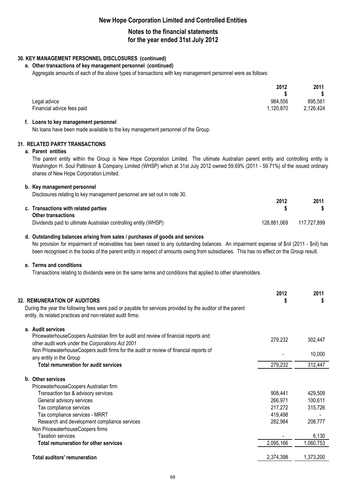## **Notes to the financial statements for the year ended 31st July 2012**

### **30. KEY MANAGEMENT PERSONNEL DISCLOSURES (continued)**

#### **e. Other transactions of key management personnel (continued)**

Aggregate amounts of each of the above types of transactions with key management personnel were as follows:

| 2012                                    | 2011<br>\$ |
|-----------------------------------------|------------|
| 984,556<br>Legal advice                 | 895,561    |
| 1,120,870<br>Financial advice fees paid | 2,126,424  |

#### **f. Loans to key management personnel**

No loans have been made available to the key management personnel of the Group.

#### **31. RELATED PARTY TRANSACTIONS**

#### **a. Parent entities**

The parent entity within the Group is New Hope Corporation Limited. The ultimate Australian parent entity and controlling entity is Washington H. Soul Pattinson & Company Limited (WHSP) which at 31st July 2012 owned 59.69% (2011 - 59.71%) of the issued ordinary shares of New Hope Corporation Limited.

#### **b. Key management personnel**

Disclosures relating to key management personnel are set out in note 30.

|                                                                 | 2012        | 2011        |
|-----------------------------------------------------------------|-------------|-------------|
| c. Transactions with related parties                            |             |             |
| <b>Other transactions</b>                                       |             |             |
| Dividends paid to ultimate Australian controlling entity (WHSP) | 128,881,069 | 117,727,899 |

#### **d. Outstanding balances arising from sales / purchases of goods and services**

No provision for impairment of receivables has been raised to any outstanding balances. An impairment expense of \$nil (2011 - \$nil) has been recognised in the books of the parent entity in respect of amounts owing from subsidiaries. This has no effect on the Group result.

#### **e. Terms and conditions**

Transactions relating to dividends were on the same terms and conditions that applied to other shareholders.

|                                     | <b>32. REMUNERATION OF AUDITORS</b><br>During the year the following fees were paid or payable for services provided by the auditor of the parent<br>entity, its related practices and non-related audit firms: | 2012<br>\$ | 2011<br>\$ |
|-------------------------------------|-----------------------------------------------------------------------------------------------------------------------------------------------------------------------------------------------------------------|------------|------------|
|                                     | a. Audit services                                                                                                                                                                                               |            |            |
|                                     | PricewaterhouseCoopers Australian firm for audit and review of financial reports and<br>other audit work under the Corporations Act 2001                                                                        | 279,232    | 302,447    |
|                                     | Non PricewaterhouseCoopers audit firms for the audit or review of financial reports of<br>any entity in the Group                                                                                               |            | 10,000     |
|                                     | <b>Total remuneration for audit services</b>                                                                                                                                                                    | 279,232    | 312,447    |
|                                     | b. Other services                                                                                                                                                                                               |            |            |
|                                     | PricewaterhouseCoopers Australian firm                                                                                                                                                                          |            |            |
|                                     | Transaction tax & advisory services                                                                                                                                                                             | 908,441    | 429,509    |
|                                     | General advisory services                                                                                                                                                                                       | 266,971    | 100,611    |
|                                     | Tax compliance services                                                                                                                                                                                         | 217,272    | 315,726    |
|                                     | Tax compliance services - MRRT                                                                                                                                                                                  | 419,498    |            |
|                                     | Research and development compliance services                                                                                                                                                                    | 282,984    | 208,777    |
|                                     | Non PricewaterhouseCoopers firms                                                                                                                                                                                |            |            |
|                                     | <b>Taxation services</b>                                                                                                                                                                                        |            | 6,130      |
|                                     | <b>Total remuneration for other services</b>                                                                                                                                                                    | 2,095,166  | ,060,753   |
| <b>Total auditors' remuneration</b> |                                                                                                                                                                                                                 | 2,374,398  | 1,373,200  |
|                                     |                                                                                                                                                                                                                 |            |            |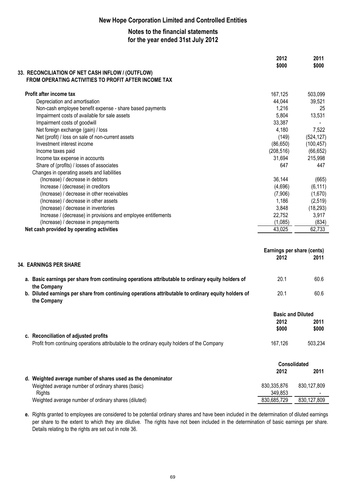## **Notes to the financial statements for the year ended 31st July 2012**

|                                                                                                                  | 2012<br>\$000              | 2011<br>\$000 |
|------------------------------------------------------------------------------------------------------------------|----------------------------|---------------|
| 33. RECONCILIATION OF NET CASH INFLOW / (OUTFLOW)<br>FROM OPERATING ACTIVITIES TO PROFIT AFTER INCOME TAX        |                            |               |
| Profit after income tax                                                                                          | 167,125                    | 503,099       |
| Depreciation and amortisation                                                                                    | 44,044                     | 39,521        |
| Non-cash employee benefit expense - share based payments                                                         | 1,216                      | 25            |
| Impairment costs of available for sale assets                                                                    | 5,804                      | 13,531        |
| Impairment costs of goodwill                                                                                     | 33,387                     |               |
| Net foreign exchange (gain) / loss                                                                               | 4,180                      | 7,522         |
| Net (profit) / loss on sale of non-current assets                                                                | (149)                      | (524, 127)    |
| Investment interest income                                                                                       | (86, 650)                  | (100, 457)    |
| Income taxes paid                                                                                                | (208, 516)                 | (66, 652)     |
| Income tax expense in accounts                                                                                   | 31,694                     | 215,998       |
| Share of (profits) / losses of associates                                                                        | 647                        | 447           |
| Changes in operating assets and liabilities                                                                      |                            |               |
| (Increase) / decrease in debtors                                                                                 | 36,144                     | (665)         |
| Increase / (decrease) in creditors                                                                               | (4,696)                    | (6, 111)      |
| (Increase) / decrease in other receivables                                                                       | (7,906)                    | (1,670)       |
| (Increase) / decrease in other assets                                                                            | 1,186                      | (2, 519)      |
| (Increase) / decrease in inventories                                                                             | 3,848                      | (18, 293)     |
| Increase / (decrease) in provisions and employee entitlements                                                    | 22,752                     | 3,917         |
| (Increase) / decrease in prepayments                                                                             | (1,085)                    | (834)         |
| Net cash provided by operating activities                                                                        | 43,025                     | 62,733        |
|                                                                                                                  | Earnings per share (cents) |               |
|                                                                                                                  | 2012                       | 2011          |
| <b>34. EARNINGS PER SHARE</b>                                                                                    |                            |               |
| a. Basic earnings per share from continuing operations attributable to ordinary equity holders of<br>the Company | 20.1                       | 60.6          |
| h. Diluted earnings ner share from continuing operations attributable to ordinary equity holders of              | 2011                       | GN G          |

**b.** 20.1 60.6 **Diluted earnings per share from continuing operations attributable to ordinary equity holders of the Company**

|                                                                                              | 2012<br>\$000 | 2011<br>\$000            |
|----------------------------------------------------------------------------------------------|---------------|--------------------------|
| c. Reconciliation of adjusted profits                                                        |               |                          |
| Profit from continuing operations attributable to the ordinary equity holders of the Company | 167,126       | 503,234                  |
|                                                                                              |               | Consolidated             |
|                                                                                              | 2012          | 2011                     |
| d. Weighted average number of shares used as the denominator                                 |               |                          |
| Weighted average number of ordinary shares (basic)                                           | 830,335,876   | 830,127,809              |
| Rights                                                                                       | 349,853       |                          |
| Weighted average number of ordinary shares (diluted)                                         | 830,685,729   | 830,127,809              |
|                                                                                              |               | <b>Basic and Diluted</b> |

**e.** Rights granted to employees are considered to be potential ordinary shares and have been included in the determination of diluted earnings per share to the extent to which they are dilutive. The rights have not been included in the determination of basic earnings per share. Details relating to the rights are set out in note 36.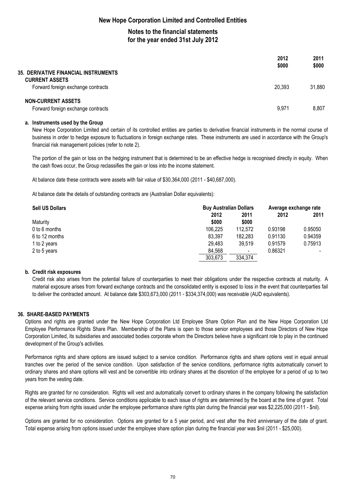## **Notes to the financial statements for the year ended 31st July 2012**

| <b>35. DERIVATIVE FINANCIAL INSTRUMENTS</b>                     | 2012<br>\$000 | 2011<br>\$000 |
|-----------------------------------------------------------------|---------------|---------------|
| <b>CURRENT ASSETS</b><br>Forward foreign exchange contracts     | 20,393        | 31,880        |
| <b>NON-CURRENT ASSETS</b><br>Forward foreign exchange contracts | 9,971         | 8,807         |

#### **a. Instruments used by the Group**

New Hope Corporation Limited and certain of its controlled entities are parties to derivative financial instruments in the normal course of business in order to hedge exposure to fluctuations in foreign exchange rates. These instruments are used in accordance with the Group's financial risk management policies (refer to note 2).

The portion of the gain or loss on the hedging instrument that is determined to be an effective hedge is recognised directly in equity. When the cash flows occur, the Group reclassifies the gain or loss into the income statement.

At balance date these contracts were assets with fair value of \$30,364,000 (2011 - \$40,687,000).

At balance date the details of outstanding contracts are (Australian Dollar equivalents):

| <b>Sell US Dollars</b> | <b>Buy Australian Dollars</b> |                |         | Average exchange rate        |  |
|------------------------|-------------------------------|----------------|---------|------------------------------|--|
|                        | 2012                          | 2011           | 2012    | 2011                         |  |
| Maturity               | \$000                         | \$000          |         |                              |  |
| 0 to 6 months          | 106,225                       | 112.572        | 0.93198 | 0.95050                      |  |
| 6 to 12 months         | 83,397                        | 182,283        | 0.91130 | 0.94359                      |  |
| 1 to 2 years           | 29.483                        | 39.519         | 0.91579 | 0.75913                      |  |
| 2 to 5 years           | 84.568                        | $\blacksquare$ | 0.86321 | $\qquad \qquad \blacksquare$ |  |
|                        | 303,673                       | 334,374        |         |                              |  |

#### **b. Credit risk exposures**

Credit risk also arises from the potential failure of counterparties to meet their obligations under the respective contracts at maturity. A material exposure arises from forward exchange contracts and the consolidated entity is exposed to loss in the event that counterparties fail to deliver the contracted amount. At balance date \$303,673,000 (2011 - \$334,374,000) was receivable (AUD equivalents).

### **36. SHARE-BASED PAYMENTS**

Options and rights are granted under the New Hope Corporation Ltd Employee Share Option Plan and the New Hope Corporation Ltd Employee Performance Rights Share Plan. Membership of the Plans is open to those senior employees and those Directors of New Hope Corporation Limited, its subsidiaries and associated bodies corporate whom the Directors believe have a significant role to play in the continued development of the Group's activities.

Performance rights and share options are issued subject to a service condition. Performance rights and share options vest in equal annual tranches over the period of the service condition. Upon satisfaction of the service conditions, performance rights automatically convert to ordinary shares and share options will vest and be convertible into ordinary shares at the discretion of the employee for a period of up to two years from the vesting date.

Rights are granted for no consideration. Rights will vest and automatically convert to ordinary shares in the company following the satisfaction of the relevant service conditions. Service conditions applicable to each issue of rights are determined by the board at the time of grant. Total expense arising from rights issued under the employee performance share rights plan during the financial year was \$2,225,000 (2011 - \$nil).

Options are granted for no consideration. Options are granted for a 5 year period, and vest after the third anniversary of the date of grant. Total expense arising from options issued under the employee share option plan during the financial year was \$nil (2011 - \$25,000).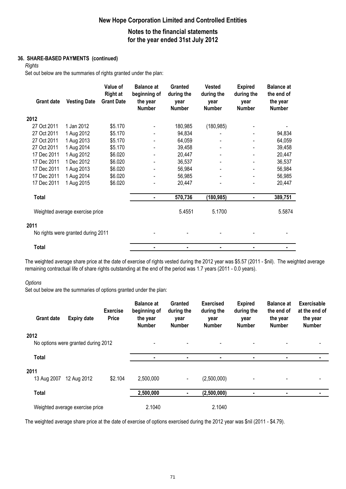# **New Hope Corporation Limited and Controlled Entities Notes to the financial statements**

**for the year ended 31st July 2012**

### **36. SHARE-BASED PAYMENTS (continued)**

*Rights*

Set out below are the summaries of rights granted under the plan:

| <b>Grant date</b> | <b>Vesting Date</b>                | Value of<br><b>Right at</b><br><b>Grant Date</b> | <b>Balance at</b><br>beginning of<br>the year<br><b>Number</b> | Granted<br>during the<br>year<br><b>Number</b> | <b>Vested</b><br>during the<br>year<br><b>Number</b> | <b>Expired</b><br>during the<br>year<br><b>Number</b> | <b>Balance at</b><br>the end of<br>the year<br><b>Number</b> |
|-------------------|------------------------------------|--------------------------------------------------|----------------------------------------------------------------|------------------------------------------------|------------------------------------------------------|-------------------------------------------------------|--------------------------------------------------------------|
| 2012              |                                    |                                                  |                                                                |                                                |                                                      |                                                       |                                                              |
| 27 Oct 2011       | 1 Jan 2012                         | \$5.170                                          |                                                                | 180,985                                        | (180, 985)                                           |                                                       |                                                              |
| 27 Oct 2011       | 1 Aug 2012                         | \$5.170                                          |                                                                | 94,834                                         |                                                      |                                                       | 94,834                                                       |
| 27 Oct 2011       | 1 Aug 2013                         | \$5.170                                          |                                                                | 64,059                                         |                                                      |                                                       | 64,059                                                       |
| 27 Oct 2011       | 1 Aug 2014                         | \$5.170                                          |                                                                | 39,458                                         |                                                      |                                                       | 39,458                                                       |
| 17 Dec 2011       | 1 Aug 2012                         | \$6.020                                          |                                                                | 20,447                                         |                                                      |                                                       | 20,447                                                       |
| 17 Dec 2011       | 1 Dec 2012                         | \$6.020                                          |                                                                | 36,537                                         |                                                      | $\overline{\phantom{0}}$                              | 36,537                                                       |
| 17 Dec 2011       | 1 Aug 2013                         | \$6.020                                          |                                                                | 56,984                                         |                                                      |                                                       | 56,984                                                       |
| 17 Dec 2011       | 1 Aug 2014                         | \$6.020                                          |                                                                | 56,985                                         |                                                      |                                                       | 56,985                                                       |
| 17 Dec 2011       | 1 Aug 2015                         | \$6.020                                          |                                                                | 20,447                                         |                                                      |                                                       | 20,447                                                       |
| <b>Total</b>      |                                    |                                                  | $\blacksquare$                                                 | 570,736                                        | (180, 985)                                           | ٠                                                     | 389,751                                                      |
|                   | Weighted average exercise price    |                                                  |                                                                | 5.4551                                         | 5.1700                                               |                                                       | 5.5874                                                       |
| 2011              |                                    |                                                  |                                                                |                                                |                                                      |                                                       |                                                              |
|                   | No rights were granted during 2011 |                                                  |                                                                |                                                |                                                      |                                                       |                                                              |
| Total             |                                    |                                                  |                                                                | ۰                                              |                                                      |                                                       |                                                              |

The weighted average share price at the date of exercise of rights vested during the 2012 year was \$5.57 (2011 - \$nil). The weighted average remaining contractual life of share rights outstanding at the end of the period was 1.7 years (2011 - 0.0 years).

#### *Options*

Set out below are the summaries of options granted under the plan:

| <b>Grant date</b>   | <b>Expiry date</b>                  | <b>Exercise</b><br><b>Price</b> | <b>Balance at</b><br>beginning of<br>the year<br><b>Number</b> | <b>Granted</b><br>during the<br>year<br><b>Number</b> | <b>Exercised</b><br>during the<br>year<br><b>Number</b> | <b>Expired</b><br>during the<br>year<br><b>Number</b> | <b>Balance at</b><br>the end of<br>the year<br><b>Number</b> | <b>Exercisable</b><br>at the end of<br>the year<br><b>Number</b> |
|---------------------|-------------------------------------|---------------------------------|----------------------------------------------------------------|-------------------------------------------------------|---------------------------------------------------------|-------------------------------------------------------|--------------------------------------------------------------|------------------------------------------------------------------|
| 2012                | No options were granted during 2012 |                                 |                                                                |                                                       |                                                         |                                                       |                                                              |                                                                  |
| <b>Total</b>        |                                     |                                 |                                                                | ٠                                                     | ٠                                                       | ٠                                                     | ٠                                                            |                                                                  |
| 2011<br>13 Aug 2007 | 12 Aug 2012                         | \$2.104                         | 2,500,000                                                      | $\blacksquare$                                        | (2,500,000)                                             |                                                       |                                                              |                                                                  |
| <b>Total</b>        |                                     |                                 | 2,500,000                                                      | ۰.                                                    | (2,500,000)                                             |                                                       | ٠                                                            |                                                                  |
|                     | Weighted average exercise price     |                                 | 2.1040                                                         |                                                       | 2.1040                                                  |                                                       |                                                              |                                                                  |

The weighted average share price at the date of exercise of options exercised during the 2012 year was \$nil (2011 - \$4.79).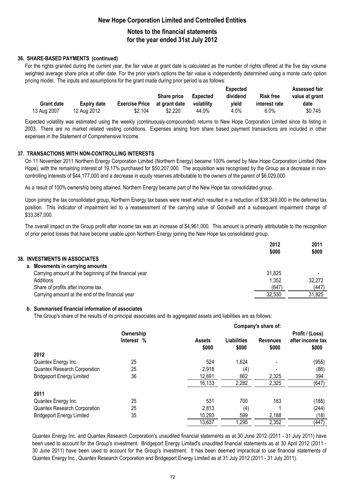## **New Hope Corporation Limited and Controlled Entities Notes to the financial statements**

# **for the year ended 31st July 2012**

## **36. SHARE-BASED PAYMENTS (continued)**

For the rights granted during the current year, the fair value at grant date is calculated as the number of rights offered at the five day volume weighted average share price at offer date. For the prior year's options the fair value is independently determined using a monte carlo option pricing model. The inputs and assumptions for the grant made during prior period is as follows:

|                   |                    |                       |                    |            | Expected |                  | <b>Assessed fair</b> |
|-------------------|--------------------|-----------------------|--------------------|------------|----------|------------------|----------------------|
|                   |                    |                       | <b>Share price</b> | Expected   | dividend | <b>Risk free</b> | value at grant       |
| <b>Grant date</b> | <b>Expiry date</b> | <b>Exercise Price</b> | at grant date      | volatility | vield    | interest rate    | date                 |
| 13 Aug 2007       | 12 Aug 2012        | \$2.104               | \$2.220            | 44.0%      | 4.0%     | $6.0\%$          | \$0.745              |

Expected volatility was estimated using the weekly (continuously-compounded) returns to New Hope Corporation Limited since its listing in 2003. There are no market related vesting conditions. Expenses arising from share based payment transactions are included in other expenses in the Statement of Comprehensive Income.

## **37. TRANSACTIONS WITH NON-CONTROLLING INTERESTS**

On 11 November 2011 Northern Energy Corporation Limited (Northern Energy) became 100% owned by New Hope Corporation Limited (New Hope), with the remaining interest of 19.17% purchased for \$50,207,000. The acquisition was recognised by the Group as a decrease in noncontrolling interests of \$44,177,000 and a decrease in equity reserves attributable to the owners of the parent of \$6,029,000.

As a result of 100% ownership being attained, Northern Energy became part of the New Hope tax consolidated group.

Upon joining the tax consolidated group, Northern Energy tax bases were reset which resulted in a reduction of \$38,348,000 in the deferred tax position. This indicator of impairment led to a reassessment of the carrying value of Goodwill and a subsequent impairment charge of \$33,387,000.

The overall impact on the Group profit after income tax was an increase of \$4,961,000. This amount is primarily attributable to the recognition of prior period losses that have become usable upon Northern Energy joining the New Hope tax consolidated group.

|                                                        | 2012<br>\$000 | 2011<br>\$000            |
|--------------------------------------------------------|---------------|--------------------------|
| 38. INVESTMENTS IN ASSOCIATES                          |               |                          |
| a. Movements in carrying amounts                       |               |                          |
| Carrying amount at the beginning of the financial year | 31,825        | $\overline{\phantom{0}}$ |
| Additions                                              | 1,352         | 32,272                   |
| Share of profits after income tax                      | (647          | (447)                    |
| Carrying amount at the end of the financial year       | 32.530        | 31,825                   |

### **b. Summarised financial information of associates**

The Group's share of the results of its principal associates and its aggregated assets and liabilities are as follows:

|                                     |            | Company's share of:    |                             |                          |                           |  |
|-------------------------------------|------------|------------------------|-----------------------------|--------------------------|---------------------------|--|
|                                     | Ownership  |                        |                             |                          | Profit / (Loss)           |  |
|                                     | Interest % | <b>Assets</b><br>\$000 | <b>Liabilities</b><br>\$000 | <b>Revenues</b><br>\$000 | after income tax<br>\$000 |  |
| 2012                                |            |                        |                             |                          |                           |  |
| Quantex Energy Inc.                 | 25         | 524                    | 1,624                       |                          | (955)                     |  |
| <b>Quantex Research Corporation</b> | 25         | 2,918                  | (4)                         |                          | (86)                      |  |
| <b>Bridgeport Energy Limited</b>    | 36         | 12,691                 | 662                         | 2,325                    | 394                       |  |
|                                     |            | 16,133                 | 2,282                       | 2,325                    | (647)                     |  |
| 2011                                |            |                        |                             |                          |                           |  |
| Quantex Energy Inc.                 | 25         | 531                    | 700                         | 163                      | (185)                     |  |
| <b>Quantex Research Corporation</b> | 25         | 2,813                  | (4)                         |                          | (244)                     |  |
| <b>Bridgeport Energy Limited</b>    | 35         | 10,293                 | 599                         | 2,188                    | (18)                      |  |
|                                     |            | 13,637                 | 1,295                       | 2,352                    | (447)                     |  |

Quantex Energy Inc. and Quantex Research Corporation's unaudited financial statements as at 30 June 2012 (2011 - 31 July 2011) have been used to account for the Group's investment. Bridgeport Energy Limited's unaudited financial statements as at 30 April 2012 (2011 - 30 June 2011) have been used to account for the Group's investment. It has been deemed impractical to use financial statements of Quantex Energy Inc., Quantex Research Corporation and Bridgeport Energy Limited as at 31 July 2012 (2011 - 31 July 2011).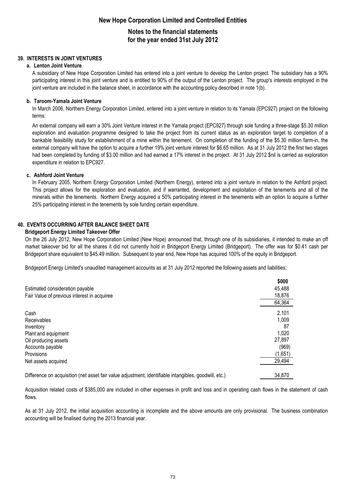## **Notes to the financial statements for the year ended 31st July 2012**

### **39. INTERESTS IN JOINT VENTURES**

#### **a. Lenton Joint Venture**

A subsidiary of New Hope Corporation Limited has entered into a joint venture to develop the Lenton project. The subsidiary has a 90% participating interest in this joint venture and is entitled to 90% of the output of the Lenton project. The group's interests employed in the joint venture are included in the balance sheet, in accordance with the accounting policy described in note 1(b).

#### **b. Taroom-Yamala Joint Venture**

In March 2006, Northern Energy Corporation Limited, entered into a joint venture in relation to its Yamala (EPC927) project on the following terms:

An external company will earn a 30% Joint Venture interest in the Yamala project (EPC927) through sole funding a three-stage \$5.30 million exploration and evaluation programme designed to take the project from its current status as an exploration target to completion of a bankable feasibility study for establishment of a mine within the tenement. On completion of the funding of the \$5.30 million farm-in, the external company will have the option to acquire a further 19% joint venture interest for \$6.65 million. As at 31 July 2012 the first two stages had been completed by funding of \$3.00 million and had earned a 17% interest in the project. At 31 July 2012 \$nil is carried as exploration expenditure in relation to EPC927.

#### **c. Ashford Joint Venture**

In February 2005, Northern Energy Corporation Limited (Northern Energy), entered into a joint venture in relation to the Ashford project. This project allows for the exploration and evaluation, and if warranted, development and exploitation of the tenements and all of the minerals within the tenements. Northern Energy acquired a 50% participating interest in the tenements with an option to acquire a further 25% participating interest in the tenements by sole funding certain expenditure.

### **40. EVENTS OCCURRING AFTER BALANCE SHEET DATE**

#### **Bridgeport Energy Limited Takeover Offer**

On the 26 July 2012, New Hope Corporation Limited (New Hope) announced that, through one of its subsidiaries, it intended to make an off market takeover bid for all the shares it did not currently hold in Bridgeport Energy Limited (Bridgeport). The offer was for \$0.41 cash per Bridgeport share equivalent to \$45.49 million. Subsequent to year end, New Hope has acquired 100% of the equity in Bridgeport.

Bridgeport Energy Limited's unaudited management accounts as at 31 July 2012 reported the following assets and liabilities:

| 45,488  |
|---------|
|         |
| 18,876  |
| 64,364  |
| 2,101   |
| 1,009   |
| 87      |
| 1,020   |
| 27,897  |
| (969)   |
| (1,651) |
| 29,494  |
|         |

Difference on acquisition (net asset fair value adjustment, identifiable intangibles, goodwill, etc.) 34,870

Acquisition related costs of \$385,000 are included in other expenses in profit and loss and in operating cash flows in the statement of cash flows.

As at 31 July 2012, the initial acquisition accounting is incomplete and the above amounts are only provisional. The business combination accounting will be finalised during the 2013 financial year.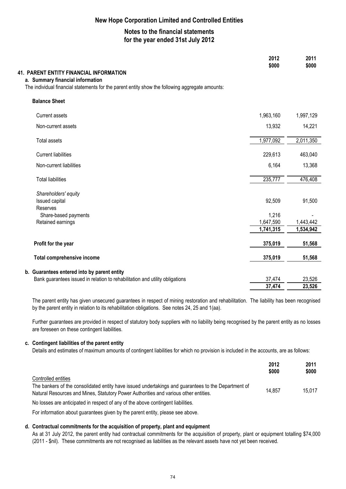## **Notes to the financial statements for the year ended 31st July 2012**

|                                                                                                                                                                                       | 2012<br>\$000          | 2011<br>\$000          |
|---------------------------------------------------------------------------------------------------------------------------------------------------------------------------------------|------------------------|------------------------|
| <b>41. PARENT ENTITY FINANCIAL INFORMATION</b><br>a. Summary financial information<br>The individual financial statements for the parent entity show the following aggregate amounts: |                        |                        |
| <b>Balance Sheet</b>                                                                                                                                                                  |                        |                        |
| <b>Current assets</b>                                                                                                                                                                 | 1,963,160              | 1,997,129              |
| Non-current assets                                                                                                                                                                    | 13,932                 | 14,221                 |
| <b>Total assets</b>                                                                                                                                                                   | 1,977,092              | 2,011,350              |
| <b>Current liabilities</b>                                                                                                                                                            | 229,613                | 463,040                |
| Non-current liabilities                                                                                                                                                               | 6,164                  | 13,368                 |
| <b>Total liabilities</b>                                                                                                                                                              | 235,777                | 476,408                |
| Shareholders' equity                                                                                                                                                                  |                        |                        |
| Issued capital<br>Reserves                                                                                                                                                            | 92,509                 | 91,500                 |
| Share-based payments                                                                                                                                                                  | 1,216                  |                        |
| Retained earnings                                                                                                                                                                     | 1,647,590<br>1,741,315 | 1,443,442<br>1,534,942 |
| Profit for the year                                                                                                                                                                   | 375,019                | 51,568                 |
| <b>Total comprehensive income</b>                                                                                                                                                     | 375,019                | 51,568                 |
| b. Guarantees entered into by parent entity                                                                                                                                           |                        |                        |
| Bank guarantees issued in relation to rehabilitation and utility obligations                                                                                                          | 37,474                 | 23,526                 |
|                                                                                                                                                                                       | 37,474                 | 23,526                 |

The parent entity has given unsecured guarantees in respect of mining restoration and rehabilitation. The liability has been recognised by the parent entity in relation to its rehabilitation obligations. See notes 24, 25 and 1(aa).

Further guarantees are provided in respect of statutory body suppliers with no liability being recognised by the parent entity as no losses are foreseen on these contingent liabilities.

#### **c. Contingent liabilities of the parent entity**

Details and estimates of maximum amounts of contingent liabilities for which no provision is included in the accounts, are as follows:

|                                                                                                                                                                                                                    | 2012<br>\$000 | 2011<br>\$000 |
|--------------------------------------------------------------------------------------------------------------------------------------------------------------------------------------------------------------------|---------------|---------------|
| Controlled entities<br>The bankers of the consolidated entity have issued undertakings and guarantees to the Department of<br>Natural Resources and Mines, Statutory Power Authorities and various other entities. | 14.857        | 15.017        |
| No losses are anticipated in respect of any of the above contingent liabilities.                                                                                                                                   |               |               |

# For information about guarantees given by the parent entity, please see above.

## **d. Contractual commitments for the acquisition of property, plant and equipment**

As at 31 July 2012, the parent entity had contractual commitments for the acquisition of property, plant or equipment totalling \$74,000 (2011 - \$nil). These commitments are not recognised as liabilities as the relevant assets have not yet been received.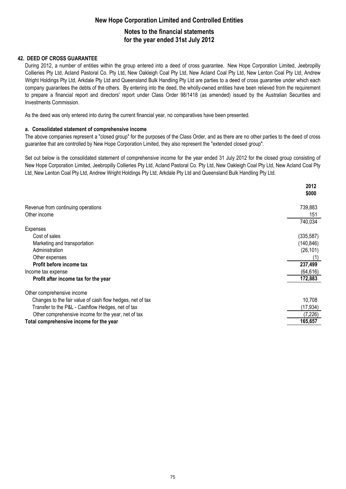# **New Hope Corporation Limited and Controlled Entities Notes to the financial statements for the year ended 31st July 2012**

### **42. DEED OF CROSS GUARANTEE**

During 2012, a number of entities within the group entered into a deed of cross guarantee. New Hope Corporation Limited, Jeebropilly Collieries Pty Ltd, Acland Pastoral Co. Pty Ltd, New Oakleigh Coal Pty Ltd, New Acland Coal Pty Ltd, New Lenton Coal Pty Ltd, Andrew Wright Holdings Pty Ltd, Arkdale Pty Ltd and Queensland Bulk Handling Pty Ltd are parties to a deed of cross guarantee under which each company guarantees the debts of the others. By entering into the deed, the wholly-owned entities have been relieved from the requirement to prepare a financial report and directors' report under Class Order 98/1418 (as amended) issued by the Australian Securities and Investments Commission.

As the deed was only entered into during the current financial year, no comparatives have been presented.

### **a. Consolidated statement of comprehensive income**

The above companies represent a "closed group" for the purposes of the Class Order, and as there are no other parties to the deed of cross guarantee that are controlled by New Hope Corporation Limited, they also represent the "extended closed group".

Set out below is the consolidated statement of comprehensive income for the year ended 31 July 2012 for the closed group consisting of New Hope Corporation Limited, Jeebropilly Collieries Pty Ltd, Acland Pastoral Co. Pty Ltd, New Oakleigh Coal Pty Ltd, New Acland Coal Pty Ltd, New Lenton Coal Pty Ltd, Andrew Wright Holdings Pty Ltd, Arkdale Pty Ltd and Queensland Bulk Handling Pty Ltd.

|                                                           | 2012<br>\$000 |
|-----------------------------------------------------------|---------------|
|                                                           |               |
| Revenue from continuing operations                        | 739,883       |
| Other income                                              | 151           |
|                                                           | 740,034       |
| Expenses                                                  |               |
| Cost of sales                                             | (335, 587)    |
| Marketing and transportation                              | (140, 846)    |
| Administration                                            | (26, 101)     |
| Other expenses                                            |               |
| Profit before income tax                                  | 237,499       |
| Income tax expense                                        | (64, 616)     |
| Profit after income tax for the year                      | 172,883       |
| Other comprehensive income                                |               |
| Changes to the fair value of cash flow hedges, net of tax | 10,708        |
| Transfer to the P&L - Cashflow Hedges, net of tax         | (17,934)      |
| Other comprehensive income for the year, net of tax       | (7, 226)      |
| Total comprehensive income for the year                   | 165,657       |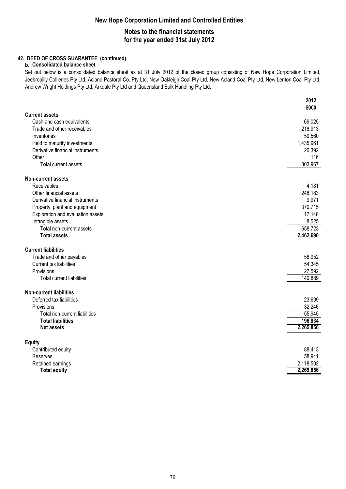# **New Hope Corporation Limited and Controlled Entities Notes to the financial statements**

## **for the year ended 31st July 2012**

## **42. DEED OF CROSS GUARANTEE (continued)**

### **b. Consolidated balance sheet**

Set out below is a consolidated balance sheet as at 31 July 2012 of the closed group consisting of New Hope Corporation Limited, Jeebropilly Collieries Pty Ltd, Acland Pastoral Co. Pty Ltd, New Oakleigh Coal Pty Ltd, New Acland Coal Pty Ltd, New Lenton Coal Pty Ltd, Andrew Wright Holdings Pty Ltd, Arkdale Pty Ltd and Queensland Bulk Handling Pty Ltd.

|                                   | 2012<br>\$000 |
|-----------------------------------|---------------|
| <b>Current assets</b>             |               |
| Cash and cash equivalents         | 69,025        |
| Trade and other receivables       | 218,913       |
| Inventories                       | 59,560        |
| Held to maturity investments      | 1,435,961     |
| Derivative financial instruments  | 20,392        |
| Other                             | 116           |
| Total current assets              | 1,803,967     |
| <b>Non-current assets</b>         |               |
| Receivables                       | 4,181         |
| Other financial assets            | 248,183       |
| Derivative financial instruments  | 9,971         |
| Property, plant and equipment     | 370,715       |
| Exploration and evaluation assets | 17,148        |
| Intangible assets                 | 8,525         |
| Total non-current assets          | 658,723       |
| <b>Total assets</b>               | 2,462,690     |
| <b>Current liabilities</b>        |               |
| Trade and other payables          | 58,952        |
| Current tax liabilities           | 54,345        |
| Provisions                        | 27,592        |
| <b>Total current liabilities</b>  | 140,889       |
| <b>Non-current liabilities</b>    |               |
| Deferred tax liabilities          | 23,699        |
| Provisions                        | 32,246        |
| Total non-current liabilities     | 55,945        |
| <b>Total liabilities</b>          | 196,834       |
| <b>Net assets</b>                 | 2,265,856     |
| <b>Equity</b>                     |               |
| Contributed equity                | 88,413        |
| Reserves                          | 58,941        |
| Retained earnings                 | 2,118,502     |
| <b>Total equity</b>               | 2,265,856     |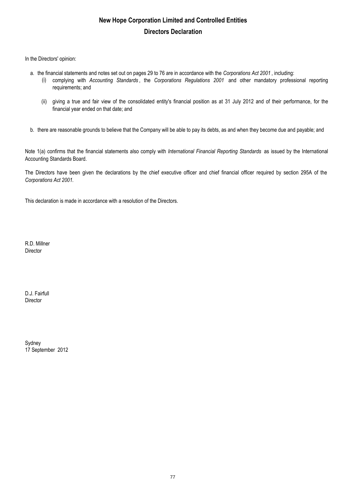# **New Hope Corporation Limited and Controlled Entities Directors Declaration**

In the Directors' opinion:

- a. the financial statements and notes set out on pages 29 to 76 are in accordance with the *Corporations Act 2001* , including:
	- (i) complying with *Accounting Standards* , the *Corporations Regulations 2001* and other mandatory professional reporting requirements; and
		- (ii) giving a true and fair view of the consolidated entity's financial position as at 31 July 2012 and of their performance, for the financial year ended on that date; and
- b. there are reasonable grounds to believe that the Company will be able to pay its debts, as and when they become due and payable; and

Note 1(a) confirms that the financial statements also comply with *International Financial Reporting Standards* as issued by the International Accounting Standards Board.

The Directors have been given the declarations by the chief executive officer and chief financial officer required by section 295A of the *Corporations Act 2001.*

This declaration is made in accordance with a resolution of the Directors.

R.D. Millner Director

D.J. Fairfull Director

Sydney 17 September 2012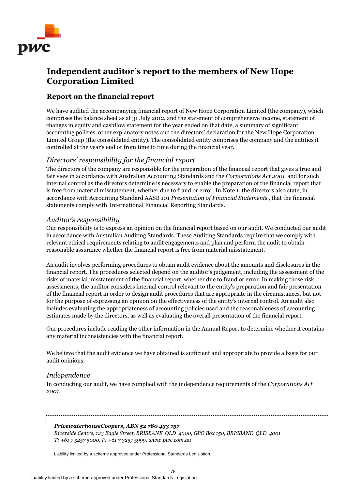

# **Independent auditor's report to the members of New Hope Corporation Limited**

## **Report on the financial report**

We have audited the accompanying financial report of New Hope Corporation Limited (the company), which comprises the balance sheet as at 31 July 2012, and the statement of comprehensive income, statement of changes in equity and cashflow statement for the year ended on that date, a summary of significant accounting policies, other explanatory notes and the directors' declaration for the New Hope Corporation Limited Group (the consolidated entity). The consolidated entity comprises the company and the entities it controlled at the year's end or from time to time during the financial year.

## *Directors' responsibility for the financial report*

The directors of the company are responsible for the preparation of the financial report that gives a true and fair view in accordance with Australian Accounting Standards and the *Corporations Act 2001* and for such internal control as the directors determine is necessary to enable the preparation of the financial report that is free from material misstatement, whether due to fraud or error. In Note 1, the directors also state, in accordance with Accounting Standard AASB 101 *Presentation of Financial Statements* , that the financial statements comply with International Financial Reporting Standards*.*

## *Auditor's responsibility*

Our responsibility is to express an opinion on the financial report based on our audit. We conducted our audit in accordance with Australian Auditing Standards. These Auditing Standards require that we comply with relevant ethical requirements relating to audit engagements and plan and perform the audit to obtain reasonable assurance whether the financial report is free from material misstatement.

An audit involves performing procedures to obtain audit evidence about the amounts and disclosures in the financial report. The procedures selected depend on the auditor's judgement, including the assessment of the risks of material misstatement of the financial report, whether due to fraud or error. In making those risk assessments, the auditor considers internal control relevant to the entity's preparation and fair presentation of the financial report in order to design audit procedures that are appropriate in the circumstances, but not for the purpose of expressing an opinion on the effectiveness of the entity's internal control. An audit also includes evaluating the appropriateness of accounting policies used and the reasonableness of accounting estimates made by the directors, as well as evaluating the overall presentation of the financial report.

Our procedures include reading the other information in the Annual Report to determine whether it contains any material inconsistencies with the financial report.

We believe that the audit evidence we have obtained is sufficient and appropriate to provide a basis for our audit opinions.

## *Independence*

In conducting our audit, we have complied with the independence requirements of the *Corporations Act 2001.* 

### *PricewaterhouseCoopers, ABN 52 780 433 757*

*Riverside Centre, 123 Eagle Street, BRISBANE QLD 4000, GPO Box 150, BRISBANE QLD 4001 T: +61 7 3257 5000, F: +61 7 3257 5999, www.pwc.com.au*

Liability limited by a scheme approved under Professional Standards Legislation.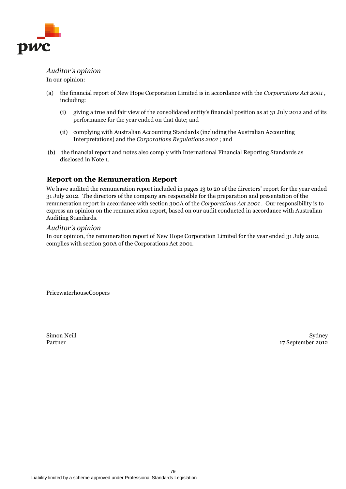

*Auditor's opinion* In our opinion:

- (a) the financial report of New Hope Corporation Limited is in accordance with the *Corporations Act 2001* , including:
	- (i) giving a true and fair view of the consolidated entity's financial position as at 31 July 2012 and of its performance for the year ended on that date; and
	- (ii) complying with Australian Accounting Standards (including the Australian Accounting Interpretations) and the *Corporations Regulations 2001* ; and
- (b) the financial report and notes also comply with International Financial Reporting Standards as disclosed in Note 1.

## **Report on the Remuneration Report**

We have audited the remuneration report included in pages 13 to 20 of the directors' report for the year ended 31 July 2012. The directors of the company are responsible for the preparation and presentation of the remuneration report in accordance with section 300A of the *Corporations Act 2001* . Our responsibility is to express an opinion on the remuneration report, based on our audit conducted in accordance with Australian Auditing Standards.

### *Auditor's opinion*

In our opinion, the remuneration report of New Hope Corporation Limited for the year ended 31 July 2012, complies with section 300A of the Corporations Act 2001.

PricewaterhouseCoopers

Simon Neill Partner

Sydney 17 September 2012